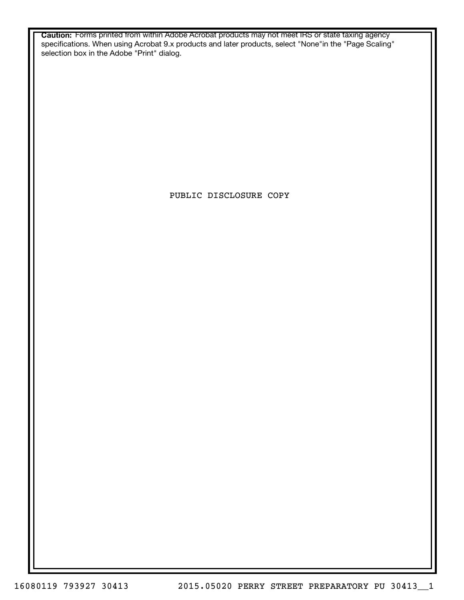**Caution:** Forms printed from within Adobe Acrobat products may not meet IRS or state taxing agency specifications. When using Acrobat 9.x products and later products, select "None"in the "Page Scaling" selection box in the Adobe "Print" dialog.

PUBLIC DISCLOSURE COPY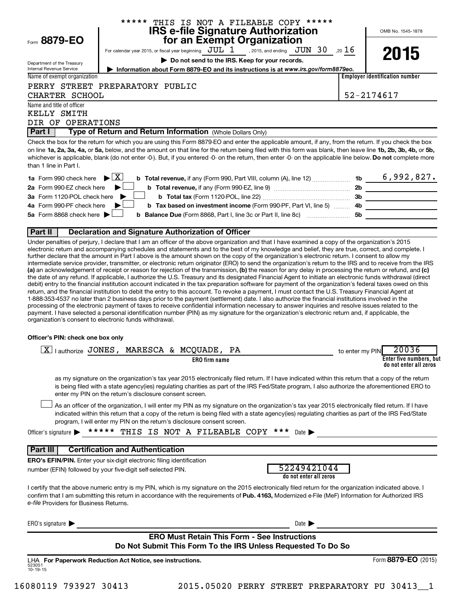|                                               | ***** THIS IS NOT A FILEABLE COPY *****                                                                                                                                                                                                                                                                                                                                                                                                                                                                                                                                                                                                                                                                                                                                                                                                                                                                                                                                                             |                                                |                                                                                           |                 |                                       |
|-----------------------------------------------|-----------------------------------------------------------------------------------------------------------------------------------------------------------------------------------------------------------------------------------------------------------------------------------------------------------------------------------------------------------------------------------------------------------------------------------------------------------------------------------------------------------------------------------------------------------------------------------------------------------------------------------------------------------------------------------------------------------------------------------------------------------------------------------------------------------------------------------------------------------------------------------------------------------------------------------------------------------------------------------------------------|------------------------------------------------|-------------------------------------------------------------------------------------------|-----------------|---------------------------------------|
| Form 8879-EO                                  |                                                                                                                                                                                                                                                                                                                                                                                                                                                                                                                                                                                                                                                                                                                                                                                                                                                                                                                                                                                                     | for an Exempt Organization                     | IRS e-file Signature Authorization                                                        |                 | OMB No. 1545-1878                     |
|                                               | For calendar year 2015, or fiscal year beginning $JUL$ $1$ , 2015, and ending $JUN$ $30$ ,20 $16$                                                                                                                                                                                                                                                                                                                                                                                                                                                                                                                                                                                                                                                                                                                                                                                                                                                                                                   |                                                |                                                                                           |                 |                                       |
| Department of the Treasury                    |                                                                                                                                                                                                                                                                                                                                                                                                                                                                                                                                                                                                                                                                                                                                                                                                                                                                                                                                                                                                     | Do not send to the IRS. Keep for your records. |                                                                                           |                 | 2015                                  |
| Internal Revenue Service                      | Information about Form 8879-EO and its instructions is at www.irs.gov/form8879eo.                                                                                                                                                                                                                                                                                                                                                                                                                                                                                                                                                                                                                                                                                                                                                                                                                                                                                                                   |                                                |                                                                                           |                 |                                       |
| Name of exempt organization                   |                                                                                                                                                                                                                                                                                                                                                                                                                                                                                                                                                                                                                                                                                                                                                                                                                                                                                                                                                                                                     |                                                |                                                                                           |                 | <b>Employer identification number</b> |
| CHARTER SCHOOL                                | PERRY STREET PREPARATORY PUBLIC                                                                                                                                                                                                                                                                                                                                                                                                                                                                                                                                                                                                                                                                                                                                                                                                                                                                                                                                                                     |                                                |                                                                                           |                 | 52-2174617                            |
| Name and title of officer                     |                                                                                                                                                                                                                                                                                                                                                                                                                                                                                                                                                                                                                                                                                                                                                                                                                                                                                                                                                                                                     |                                                |                                                                                           |                 |                                       |
| KELLY SMITH                                   |                                                                                                                                                                                                                                                                                                                                                                                                                                                                                                                                                                                                                                                                                                                                                                                                                                                                                                                                                                                                     |                                                |                                                                                           |                 |                                       |
| DIR OF OPERATIONS<br>Part I                   | Type of Return and Return Information (Whole Dollars Only)                                                                                                                                                                                                                                                                                                                                                                                                                                                                                                                                                                                                                                                                                                                                                                                                                                                                                                                                          |                                                |                                                                                           |                 |                                       |
|                                               |                                                                                                                                                                                                                                                                                                                                                                                                                                                                                                                                                                                                                                                                                                                                                                                                                                                                                                                                                                                                     |                                                |                                                                                           |                 |                                       |
| than 1 line in Part I.                        | Check the box for the return for which you are using this Form 8879-EO and enter the applicable amount, if any, from the return. If you check the box<br>on line 1a, 2a, 3a, 4a, or 5a, below, and the amount on that line for the return being filed with this form was blank, then leave line 1b, 2b, 3b, 4b, or 5b,<br>whichever is applicable, blank (do not enter -0-). But, if you entered -0- on the return, then enter -0- on the applicable line below. Do not complete more                                                                                                                                                                                                                                                                                                                                                                                                                                                                                                               |                                                |                                                                                           |                 |                                       |
| <b>1a</b> Form 990 check here                 | $\blacktriangleright$ $\vert$ X $\vert$                                                                                                                                                                                                                                                                                                                                                                                                                                                                                                                                                                                                                                                                                                                                                                                                                                                                                                                                                             |                                                |                                                                                           |                 |                                       |
| 2a Form 990-EZ check here                     |                                                                                                                                                                                                                                                                                                                                                                                                                                                                                                                                                                                                                                                                                                                                                                                                                                                                                                                                                                                                     |                                                |                                                                                           |                 |                                       |
| 3a Form 1120-POL check here                   |                                                                                                                                                                                                                                                                                                                                                                                                                                                                                                                                                                                                                                                                                                                                                                                                                                                                                                                                                                                                     |                                                |                                                                                           |                 |                                       |
| 4a Form 990-PF check here                     |                                                                                                                                                                                                                                                                                                                                                                                                                                                                                                                                                                                                                                                                                                                                                                                                                                                                                                                                                                                                     |                                                | b Tax based on investment income (Form 990-PF, Part VI, line 5)  4b _____________________ |                 |                                       |
| 5a Form 8868 check here $\blacktriangleright$ |                                                                                                                                                                                                                                                                                                                                                                                                                                                                                                                                                                                                                                                                                                                                                                                                                                                                                                                                                                                                     |                                                |                                                                                           |                 |                                       |
|                                               |                                                                                                                                                                                                                                                                                                                                                                                                                                                                                                                                                                                                                                                                                                                                                                                                                                                                                                                                                                                                     |                                                |                                                                                           |                 |                                       |
| Part II                                       | Declaration and Signature Authorization of Officer                                                                                                                                                                                                                                                                                                                                                                                                                                                                                                                                                                                                                                                                                                                                                                                                                                                                                                                                                  |                                                |                                                                                           |                 |                                       |
|                                               | the date of any refund. If applicable, I authorize the U.S. Treasury and its designated Financial Agent to initiate an electronic funds withdrawal (direct<br>debit) entry to the financial institution account indicated in the tax preparation software for payment of the organization's federal taxes owed on this<br>return, and the financial institution to debit the entry to this account. To revoke a payment, I must contact the U.S. Treasury Financial Agent at<br>1-888-353-4537 no later than 2 business days prior to the payment (settlement) date. I also authorize the financial institutions involved in the<br>processing of the electronic payment of taxes to receive confidential information necessary to answer inquiries and resolve issues related to the<br>payment. I have selected a personal identification number (PIN) as my signature for the organization's electronic return and, if applicable, the<br>organization's consent to electronic funds withdrawal. |                                                |                                                                                           |                 |                                       |
| Officer's PIN: check one box only             |                                                                                                                                                                                                                                                                                                                                                                                                                                                                                                                                                                                                                                                                                                                                                                                                                                                                                                                                                                                                     |                                                |                                                                                           |                 |                                       |
|                                               | $\boxed{\text{X}}$   authorize JONES, MARESCA & MCQUADE,                                                                                                                                                                                                                                                                                                                                                                                                                                                                                                                                                                                                                                                                                                                                                                                                                                                                                                                                            | PA                                             |                                                                                           | to enter my PIN | 20036                                 |
|                                               |                                                                                                                                                                                                                                                                                                                                                                                                                                                                                                                                                                                                                                                                                                                                                                                                                                                                                                                                                                                                     | <b>ERO</b> firm name                           |                                                                                           |                 | Enter five numbers, but               |
|                                               | as my signature on the organization's tax year 2015 electronically filed return. If I have indicated within this return that a copy of the return<br>is being filed with a state agency(ies) regulating charities as part of the IRS Fed/State program, I also authorize the aforementioned ERO to<br>enter my PIN on the return's disclosure consent screen.<br>As an officer of the organization, I will enter my PIN as my signature on the organization's tax year 2015 electronically filed return. If I have                                                                                                                                                                                                                                                                                                                                                                                                                                                                                  |                                                |                                                                                           |                 | do not enter all zeros                |
|                                               | indicated within this return that a copy of the return is being filed with a state agency(ies) regulating charities as part of the IRS Fed/State<br>program, I will enter my PIN on the return's disclosure consent screen.                                                                                                                                                                                                                                                                                                                                                                                                                                                                                                                                                                                                                                                                                                                                                                         |                                                |                                                                                           |                 |                                       |
| Officer's signature                           | ***** THIS IS NOT A FILEABLE COPY ***                                                                                                                                                                                                                                                                                                                                                                                                                                                                                                                                                                                                                                                                                                                                                                                                                                                                                                                                                               |                                                | Date $\blacksquare$                                                                       |                 |                                       |
| Part III                                      | <b>Certification and Authentication</b>                                                                                                                                                                                                                                                                                                                                                                                                                                                                                                                                                                                                                                                                                                                                                                                                                                                                                                                                                             |                                                |                                                                                           |                 |                                       |
|                                               | <b>ERO's EFIN/PIN.</b> Enter your six-digit electronic filing identification                                                                                                                                                                                                                                                                                                                                                                                                                                                                                                                                                                                                                                                                                                                                                                                                                                                                                                                        |                                                |                                                                                           |                 |                                       |
|                                               | number (EFIN) followed by your five-digit self-selected PIN.                                                                                                                                                                                                                                                                                                                                                                                                                                                                                                                                                                                                                                                                                                                                                                                                                                                                                                                                        |                                                | 52249421044<br>do not enter all zeros                                                     |                 |                                       |
| <i>e-file</i> Providers for Business Returns. | I certify that the above numeric entry is my PIN, which is my signature on the 2015 electronically filed return for the organization indicated above. I<br>confirm that I am submitting this return in accordance with the requirements of Pub. 4163, Modernized e-File (MeF) Information for Authorized IRS                                                                                                                                                                                                                                                                                                                                                                                                                                                                                                                                                                                                                                                                                        |                                                |                                                                                           |                 |                                       |
| ERO's signature $\blacktriangleright$         |                                                                                                                                                                                                                                                                                                                                                                                                                                                                                                                                                                                                                                                                                                                                                                                                                                                                                                                                                                                                     |                                                | Date $\blacktriangleright$                                                                |                 |                                       |

## **ERO Must Retain This Form - See Instructions Do Not Submit This Form To the IRS Unless Requested To Do So**

523051 10-19-15 **For Paperwork Reduction Act Notice, see instructions.** LHA Form (2015) **8879-EO**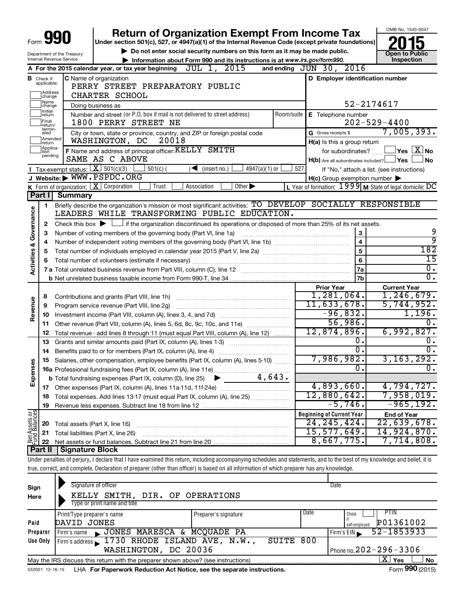|                                                                                                        |                             |                                             | <b>Return of Organization Exempt From Income Tax</b>                                                                                                                       |                                                                       | OMB No. 1545-0047                                     |  |  |
|--------------------------------------------------------------------------------------------------------|-----------------------------|---------------------------------------------|----------------------------------------------------------------------------------------------------------------------------------------------------------------------------|-----------------------------------------------------------------------|-------------------------------------------------------|--|--|
| Form                                                                                                   |                             |                                             | Under section 501(c), 527, or 4947(a)(1) of the Internal Revenue Code (except private foundations)                                                                         |                                                                       |                                                       |  |  |
|                                                                                                        |                             | Department of the Treasury                  | Do not enter social security numbers on this form as it may be made public.                                                                                                |                                                                       | Open to Public                                        |  |  |
| Internal Revenue Service<br>Information about Form 990 and its instructions is at www.irs.gov/form990. |                             |                                             |                                                                                                                                                                            |                                                                       |                                                       |  |  |
|                                                                                                        |                             |                                             | A For the 2015 calendar year, or tax year beginning $JUL$ 1, $2015$                                                                                                        | and ending JUN 30, 2016                                               |                                                       |  |  |
|                                                                                                        | <b>B</b> Check if           |                                             | <b>C</b> Name of organization                                                                                                                                              | D Employer identification number                                      |                                                       |  |  |
|                                                                                                        | applicable:                 |                                             | PERRY STREET PREPARATORY PUBLIC                                                                                                                                            |                                                                       |                                                       |  |  |
|                                                                                                        | Address<br>change           |                                             | CHARTER SCHOOL                                                                                                                                                             |                                                                       |                                                       |  |  |
|                                                                                                        | ]Name<br>]change<br>Initial |                                             | Doing business as                                                                                                                                                          |                                                                       | 52-2174617                                            |  |  |
|                                                                                                        | return<br>Final             |                                             | Number and street (or P.O. box if mail is not delivered to street address)<br>Room/suite                                                                                   | E Telephone number                                                    |                                                       |  |  |
|                                                                                                        | return/<br>termin-          |                                             | 1800 PERRY STREET NE                                                                                                                                                       |                                                                       | $202 - 529 - 4400$                                    |  |  |
|                                                                                                        | ated<br>Amended             |                                             | City or town, state or province, country, and ZIP or foreign postal code<br>20018                                                                                          | G Gross receipts \$                                                   | 7,005,393.                                            |  |  |
|                                                                                                        | return<br>Applica-          |                                             | WASHINGTON, DC                                                                                                                                                             | H(a) Is this a group return                                           | $\overline{\mathsf{Y}}$ es $\overline{\mathsf{X}}$ No |  |  |
|                                                                                                        | tion<br>pending             |                                             | F Name and address of principal officer: KELLY SMITH<br>SAME AS C ABOVE                                                                                                    | for subordinates?<br>$H(b)$ Are all subordinates included? $\Box$ Yes | ⊥No                                                   |  |  |
|                                                                                                        |                             | <b>I</b> Tax-exempt status: $X \ 501(c)(3)$ | $\frac{1}{2}$ 501(c) (<br>$\sqrt{\frac{1}{1}}$ (insert no.)<br>$4947(a)(1)$ or                                                                                             | 527                                                                   | If "No," attach a list. (see instructions)            |  |  |
|                                                                                                        |                             |                                             | J Website: WWW.PSPDC.ORG                                                                                                                                                   | $H(c)$ Group exemption number $\blacktriangleright$                   |                                                       |  |  |
|                                                                                                        |                             |                                             | <b>K</b> Form of organization: $\boxed{\mathbf{X}}$ Corporation<br>Trust<br>Association<br>$\overline{Other}$                                                              | L Year of formation: $1999$ M State of legal domicile: DC             |                                                       |  |  |
|                                                                                                        | Part I                      | <b>Summary</b>                              |                                                                                                                                                                            |                                                                       |                                                       |  |  |
|                                                                                                        | 1.                          |                                             | Briefly describe the organization's mission or most significant activities: TO DEVELOP SOCIALLY RESPONSIBLE                                                                |                                                                       |                                                       |  |  |
| Governance                                                                                             |                             |                                             | LEADERS WHILE TRANSFORMING PUBLIC EDUCATION.                                                                                                                               |                                                                       |                                                       |  |  |
|                                                                                                        | 2                           |                                             | Check this box $\blacktriangleright$ $\Box$ if the organization discontinued its operations or disposed of more than 25% of its net assets.                                |                                                                       |                                                       |  |  |
|                                                                                                        | 3                           |                                             | Number of voting members of the governing body (Part VI, line 1a)                                                                                                          | 3                                                                     | 9                                                     |  |  |
| જ                                                                                                      | 4                           |                                             |                                                                                                                                                                            | $\overline{4}$                                                        | 9                                                     |  |  |
|                                                                                                        | 5                           |                                             |                                                                                                                                                                            | 5                                                                     | 182                                                   |  |  |
| Activities                                                                                             | 6                           |                                             |                                                                                                                                                                            | 6                                                                     | 15                                                    |  |  |
|                                                                                                        |                             |                                             |                                                                                                                                                                            | 7a                                                                    | $\overline{0}$ .<br>σ.                                |  |  |
|                                                                                                        |                             |                                             |                                                                                                                                                                            | 7b                                                                    |                                                       |  |  |
|                                                                                                        |                             |                                             |                                                                                                                                                                            | <b>Prior Year</b><br>1,281,064.                                       | <b>Current Year</b><br>1,246,679.                     |  |  |
|                                                                                                        | 8                           |                                             |                                                                                                                                                                            | 11,633,678.                                                           | 5,744,952.                                            |  |  |
| Revenue                                                                                                | 9                           |                                             | Program service revenue (Part VIII, line 2g)                                                                                                                               | $-96,832.$                                                            | 1,196.                                                |  |  |
|                                                                                                        | 10<br>11                    |                                             | Other revenue (Part VIII, column (A), lines 5, 6d, 8c, 9c, 10c, and 11e)                                                                                                   | 56,986.                                                               | 0.                                                    |  |  |
|                                                                                                        | 12                          |                                             | Total revenue - add lines 8 through 11 (must equal Part VIII, column (A), line 12)                                                                                         | 12,874,896.                                                           | 6,992,827.                                            |  |  |
|                                                                                                        | 13                          |                                             | Grants and similar amounts paid (Part IX, column (A), lines 1-3)                                                                                                           | О.                                                                    | 0.                                                    |  |  |
|                                                                                                        | 14                          |                                             | Benefits paid to or for members (Part IX, column (A), line 4)                                                                                                              | $\overline{0}$ .                                                      | $\overline{0}$ .                                      |  |  |
| 8                                                                                                      |                             |                                             | 15 Salaries, other compensation, employee benefits (Part IX, column (A), lines 5-10)                                                                                       | 7,986,982.                                                            | 3, 163, 292.                                          |  |  |
|                                                                                                        |                             |                                             |                                                                                                                                                                            | υ.                                                                    | υ.                                                    |  |  |
| Expens                                                                                                 |                             |                                             |                                                                                                                                                                            |                                                                       |                                                       |  |  |
|                                                                                                        |                             |                                             |                                                                                                                                                                            | 4,893,660.                                                            | 4,794,727.                                            |  |  |
|                                                                                                        | 18                          |                                             | Total expenses. Add lines 13-17 (must equal Part IX, column (A), line 25)                                                                                                  | 12,880,642.                                                           | 7,958,019.                                            |  |  |
|                                                                                                        | 19                          |                                             |                                                                                                                                                                            | $-5,746$ .                                                            | $-965, 192.$                                          |  |  |
|                                                                                                        |                             |                                             |                                                                                                                                                                            | <b>Beginning of Current Year</b>                                      | <b>End of Year</b>                                    |  |  |
|                                                                                                        | 20                          |                                             | Total assets (Part X, line 16)                                                                                                                                             | 24, 245, 424.                                                         | 22,639,678.                                           |  |  |
| Net Assets or                                                                                          | 21                          |                                             | Total liabilities (Part X, line 26)                                                                                                                                        | 15,577,649.                                                           | 14,924,870.                                           |  |  |
|                                                                                                        | 22                          |                                             |                                                                                                                                                                            | 8,667,775.                                                            | 7,714,808.                                            |  |  |
|                                                                                                        | Part $  $                   | <b>Signature Block</b>                      |                                                                                                                                                                            |                                                                       |                                                       |  |  |
|                                                                                                        |                             |                                             | Under penalties of perjury, I declare that I have examined this return, including accompanying schedules and statements, and to the best of my knowledge and belief, it is |                                                                       |                                                       |  |  |
|                                                                                                        |                             |                                             | true, correct, and complete. Declaration of preparer (other than officer) is based on all information of which preparer has any knowledge.                                 |                                                                       |                                                       |  |  |
|                                                                                                        |                             |                                             | Signature of officer                                                                                                                                                       | Date                                                                  |                                                       |  |  |
| Sign                                                                                                   |                             |                                             |                                                                                                                                                                            |                                                                       |                                                       |  |  |

| Here     | KELLY SMITH, DIR. OF OPERATIONS                                                                      |                      |                              |                            |  |  |  |  |  |
|----------|------------------------------------------------------------------------------------------------------|----------------------|------------------------------|----------------------------|--|--|--|--|--|
|          | Type or print name and title                                                                         |                      |                              |                            |  |  |  |  |  |
|          | Print/Type preparer's name                                                                           | Preparer's signature | Date                         | PTIN.<br>Check             |  |  |  |  |  |
| Paid     | DAVID JONES                                                                                          |                      |                              | P01361002<br>self-emploved |  |  |  |  |  |
| Preparer | JONES MARESCA & MCQUADE PA<br>Firm's name                                                            |                      |                              | 52-1853933<br>Firm's EIN   |  |  |  |  |  |
| Use Only | Firm's address $\sim 1730$ RHODE ISLAND AVE, N.W.,                                                   | SUITE 800            |                              |                            |  |  |  |  |  |
|          | WASHINGTON, DC 20036                                                                                 |                      | Phone no. $202 - 296 - 3306$ |                            |  |  |  |  |  |
|          | ΧI<br>Yes<br>No<br>May the IRS discuss this return with the preparer shown above? (see instructions) |                      |                              |                            |  |  |  |  |  |
|          |                                                                                                      |                      |                              | $\mathbf{A}$               |  |  |  |  |  |

532001 12-16-15 **For Paperwork Reduction Act Notice, see the separate instructions.** LHA Form (2015)

Form **990** (2015)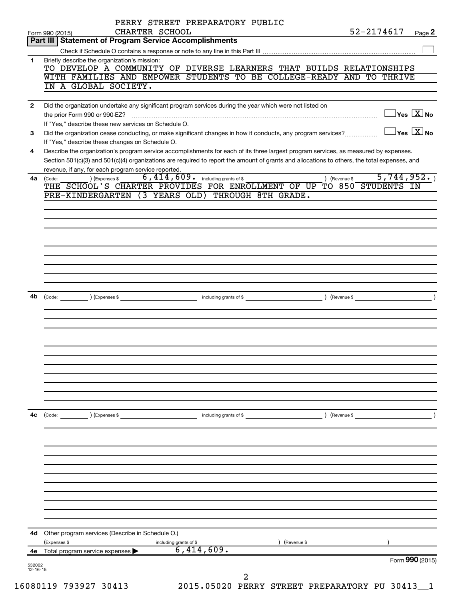| 532002         |                                                                                                                                                                                                                                                                                      |               | Form 990 (2015)                     |  |
|----------------|--------------------------------------------------------------------------------------------------------------------------------------------------------------------------------------------------------------------------------------------------------------------------------------|---------------|-------------------------------------|--|
| 4е             | (Expenses \$<br>) (Revenue \$<br>including grants of \$<br>$\overline{6,414,609}$ .<br>Total program service expenses                                                                                                                                                                |               |                                     |  |
|                | 4d Other program services (Describe in Schedule O.)                                                                                                                                                                                                                                  |               |                                     |  |
|                |                                                                                                                                                                                                                                                                                      |               |                                     |  |
|                |                                                                                                                                                                                                                                                                                      |               |                                     |  |
|                |                                                                                                                                                                                                                                                                                      |               |                                     |  |
|                |                                                                                                                                                                                                                                                                                      |               |                                     |  |
|                |                                                                                                                                                                                                                                                                                      |               |                                     |  |
|                |                                                                                                                                                                                                                                                                                      |               |                                     |  |
| 4c             | (Code: ) (Expenses \$                                                                                                                                                                                                                                                                |               |                                     |  |
|                |                                                                                                                                                                                                                                                                                      |               |                                     |  |
|                |                                                                                                                                                                                                                                                                                      |               |                                     |  |
|                |                                                                                                                                                                                                                                                                                      |               |                                     |  |
|                |                                                                                                                                                                                                                                                                                      |               |                                     |  |
|                |                                                                                                                                                                                                                                                                                      |               |                                     |  |
|                |                                                                                                                                                                                                                                                                                      |               |                                     |  |
| 4b             |                                                                                                                                                                                                                                                                                      |               |                                     |  |
|                |                                                                                                                                                                                                                                                                                      |               |                                     |  |
|                |                                                                                                                                                                                                                                                                                      |               |                                     |  |
|                |                                                                                                                                                                                                                                                                                      |               |                                     |  |
|                |                                                                                                                                                                                                                                                                                      |               |                                     |  |
|                |                                                                                                                                                                                                                                                                                      |               |                                     |  |
|                |                                                                                                                                                                                                                                                                                      |               |                                     |  |
|                | THE SCHOOL'S CHARTER PROVIDES FOR ENROLLMENT OF UP TO 850 STUDENTS IN<br>PRE-KINDERGARTEN (3 YEARS OLD) THROUGH 8TH GRADE.                                                                                                                                                           |               |                                     |  |
|                | revenue, if any, for each program service reported.<br>$6,414,609$ $\cdot$ including grants of \$<br>) (Expenses \$<br>4a (Code:                                                                                                                                                     | ) (Revenue \$ | 5,744,952.                          |  |
| 4              | Describe the organization's program service accomplishments for each of its three largest program services, as measured by expenses.<br>Section 501(c)(3) and 501(c)(4) organizations are required to report the amount of grants and allocations to others, the total expenses, and |               |                                     |  |
|                | If "Yes," describe these changes on Schedule O.                                                                                                                                                                                                                                      |               |                                     |  |
| 3              | If "Yes." describe these new services on Schedule O.                                                                                                                                                                                                                                 |               | $\Box$ Yes $~\boxed{\text{X}}$ No   |  |
| $\overline{2}$ | Did the organization undertake any significant program services during the year which were not listed on                                                                                                                                                                             |               | $\exists$ Yes $\boxed{\text{X}}$ No |  |
|                |                                                                                                                                                                                                                                                                                      |               |                                     |  |
|                | WITH FAMILIES AND EMPOWER STUDENTS TO BE COLLEGE-READY AND TO THRIVE<br>IN A GLOBAL SOCIETY.                                                                                                                                                                                         |               |                                     |  |
| 1              | Briefly describe the organization's mission:<br>TO DEVELOP A COMMUNITY OF DIVERSE LEARNERS THAT BUILDS RELATIONSHIPS                                                                                                                                                                 |               |                                     |  |
|                | <b>Part III   Statement of Program Service Accomplishments</b>                                                                                                                                                                                                                       |               |                                     |  |
|                |                                                                                                                                                                                                                                                                                      |               |                                     |  |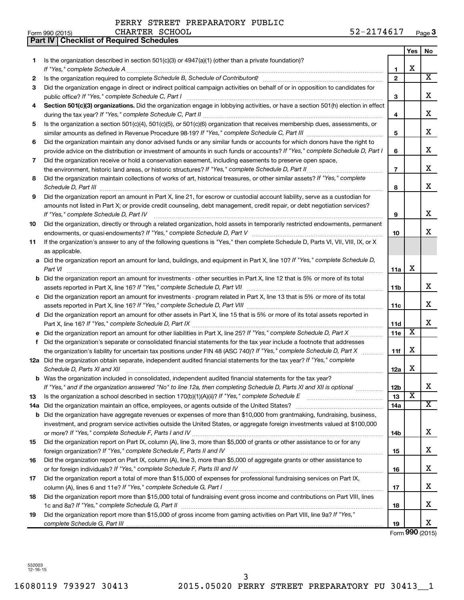|    | Part IV   Checklist of Required Schedules                                                                                                                                                                                                                                                                                                                            |                |                         |                       |
|----|----------------------------------------------------------------------------------------------------------------------------------------------------------------------------------------------------------------------------------------------------------------------------------------------------------------------------------------------------------------------|----------------|-------------------------|-----------------------|
|    |                                                                                                                                                                                                                                                                                                                                                                      |                | Yes                     | No.                   |
| 1  | Is the organization described in section $501(c)(3)$ or $4947(a)(1)$ (other than a private foundation)?                                                                                                                                                                                                                                                              |                |                         |                       |
|    |                                                                                                                                                                                                                                                                                                                                                                      | 1              | X                       |                       |
| 2  |                                                                                                                                                                                                                                                                                                                                                                      | $\mathbf{2}$   |                         | $\overline{\text{X}}$ |
| З  | Did the organization engage in direct or indirect political campaign activities on behalf of or in opposition to candidates for                                                                                                                                                                                                                                      |                |                         |                       |
|    |                                                                                                                                                                                                                                                                                                                                                                      | 3              |                         | х                     |
| 4  | Section 501(c)(3) organizations. Did the organization engage in lobbying activities, or have a section 501(h) election in effect                                                                                                                                                                                                                                     |                |                         |                       |
|    |                                                                                                                                                                                                                                                                                                                                                                      | 4              |                         | х                     |
| 5  | Is the organization a section 501(c)(4), 501(c)(5), or 501(c)(6) organization that receives membership dues, assessments, or                                                                                                                                                                                                                                         |                |                         |                       |
|    |                                                                                                                                                                                                                                                                                                                                                                      | 5              |                         | х                     |
| 6  | Did the organization maintain any donor advised funds or any similar funds or accounts for which donors have the right to                                                                                                                                                                                                                                            |                |                         |                       |
|    | provide advice on the distribution or investment of amounts in such funds or accounts? If "Yes," complete Schedule D, Part I                                                                                                                                                                                                                                         | 6              |                         | х                     |
| 7  | Did the organization receive or hold a conservation easement, including easements to preserve open space,                                                                                                                                                                                                                                                            |                |                         |                       |
|    | the environment, historic land areas, or historic structures? If "Yes," complete Schedule D, Part II                                                                                                                                                                                                                                                                 | $\overline{7}$ |                         | х                     |
| 8  | Did the organization maintain collections of works of art, historical treasures, or other similar assets? If "Yes," complete                                                                                                                                                                                                                                         |                |                         |                       |
|    |                                                                                                                                                                                                                                                                                                                                                                      | 8              |                         | х                     |
| 9  | Schedule D, Part III <b>Marting Community</b> Construction of the Construction of the Construction of the Construction of the Construction of the Construction of the Construction of the Construction of the Construction of the C<br>Did the organization report an amount in Part X, line 21, for escrow or custodial account liability, serve as a custodian for |                |                         |                       |
|    | amounts not listed in Part X; or provide credit counseling, debt management, credit repair, or debt negotiation services?                                                                                                                                                                                                                                            |                |                         |                       |
|    |                                                                                                                                                                                                                                                                                                                                                                      | 9              |                         | х                     |
|    | If "Yes," complete Schedule D, Part IV                                                                                                                                                                                                                                                                                                                               |                |                         |                       |
| 10 | Did the organization, directly or through a related organization, hold assets in temporarily restricted endowments, permanent                                                                                                                                                                                                                                        |                |                         | x                     |
|    |                                                                                                                                                                                                                                                                                                                                                                      | 10             |                         |                       |
| 11 | If the organization's answer to any of the following questions is "Yes," then complete Schedule D, Parts VI, VII, VIII, IX, or X                                                                                                                                                                                                                                     |                |                         |                       |
|    | as applicable.                                                                                                                                                                                                                                                                                                                                                       |                |                         |                       |
|    | a Did the organization report an amount for land, buildings, and equipment in Part X, line 10? If "Yes," complete Schedule D,                                                                                                                                                                                                                                        |                | X                       |                       |
|    | Part VI                                                                                                                                                                                                                                                                                                                                                              | 11a            |                         |                       |
|    | <b>b</b> Did the organization report an amount for investments - other securities in Part X, line 12 that is 5% or more of its total                                                                                                                                                                                                                                 |                |                         | х                     |
|    |                                                                                                                                                                                                                                                                                                                                                                      | 11b            |                         |                       |
|    | c Did the organization report an amount for investments - program related in Part X, line 13 that is 5% or more of its total                                                                                                                                                                                                                                         |                |                         | х                     |
|    |                                                                                                                                                                                                                                                                                                                                                                      | 11c            |                         |                       |
|    | d Did the organization report an amount for other assets in Part X, line 15 that is 5% or more of its total assets reported in                                                                                                                                                                                                                                       |                |                         | х                     |
|    |                                                                                                                                                                                                                                                                                                                                                                      | 11d            | $\overline{\mathbf{X}}$ |                       |
|    |                                                                                                                                                                                                                                                                                                                                                                      | 11e            |                         |                       |
| f  | Did the organization's separate or consolidated financial statements for the tax year include a footnote that addresses                                                                                                                                                                                                                                              |                | X                       |                       |
|    | the organization's liability for uncertain tax positions under FIN 48 (ASC 740)? If "Yes," complete Schedule D, Part X                                                                                                                                                                                                                                               | 11f            |                         |                       |
|    | 12a Did the organization obtain separate, independent audited financial statements for the tax year? If "Yes," complete                                                                                                                                                                                                                                              |                | х                       |                       |
|    | Schedule D, Parts XI and XII <b>continuum continuum continuum continuum continuum continuum continuum continuum</b> continuum continuum continuum continuum continuum continuum continuum continuum continuum continuum continuum c                                                                                                                                  | 12a            |                         |                       |
|    | b Was the organization included in consolidated, independent audited financial statements for the tax year?                                                                                                                                                                                                                                                          |                |                         | х                     |
|    | If "Yes," and if the organization answered "No" to line 12a, then completing Schedule D, Parts XI and XII is optional                                                                                                                                                                                                                                                | 12b            | $\overline{\textbf{x}}$ |                       |
| 13 |                                                                                                                                                                                                                                                                                                                                                                      | 13             |                         | х                     |
|    |                                                                                                                                                                                                                                                                                                                                                                      | 14a            |                         |                       |
|    | <b>b</b> Did the organization have aggregate revenues or expenses of more than \$10,000 from grantmaking, fundraising, business,                                                                                                                                                                                                                                     |                |                         |                       |
|    | investment, and program service activities outside the United States, or aggregate foreign investments valued at \$100,000                                                                                                                                                                                                                                           |                |                         | х                     |
|    |                                                                                                                                                                                                                                                                                                                                                                      | 14b            |                         |                       |
| 15 | Did the organization report on Part IX, column (A), line 3, more than \$5,000 of grants or other assistance to or for any                                                                                                                                                                                                                                            |                |                         |                       |
|    |                                                                                                                                                                                                                                                                                                                                                                      | 15             |                         | х                     |
| 16 | Did the organization report on Part IX, column (A), line 3, more than \$5,000 of aggregate grants or other assistance to                                                                                                                                                                                                                                             |                |                         | х                     |
|    |                                                                                                                                                                                                                                                                                                                                                                      | 16             |                         |                       |
| 17 | Did the organization report a total of more than \$15,000 of expenses for professional fundraising services on Part IX,                                                                                                                                                                                                                                              |                |                         |                       |
|    |                                                                                                                                                                                                                                                                                                                                                                      | 17             |                         | х                     |
| 18 | Did the organization report more than \$15,000 total of fundraising event gross income and contributions on Part VIII, lines                                                                                                                                                                                                                                         |                |                         |                       |
|    |                                                                                                                                                                                                                                                                                                                                                                      | 18             |                         | х                     |
| 19 | Did the organization report more than \$15,000 of gross income from gaming activities on Part VIII, line 9a? If "Yes,"                                                                                                                                                                                                                                               |                |                         |                       |
|    |                                                                                                                                                                                                                                                                                                                                                                      | 19             |                         | x                     |

Form **990** (2015)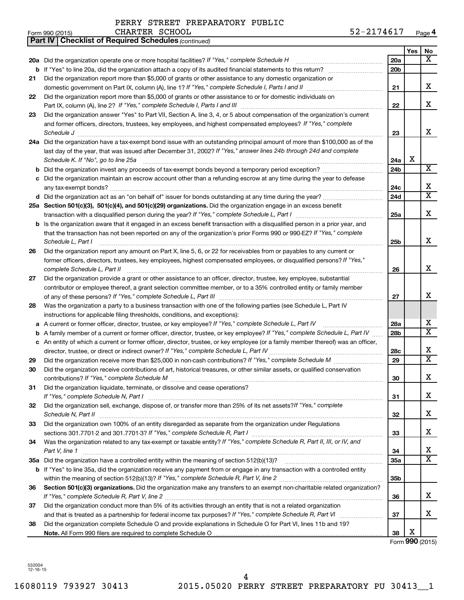| Form<br>റററ<br>. ອອບ ' | 1001F<br>וכו ט∠ו | <b>SCHOOL</b><br>$\sim$ UT<br>CHARTER<br>______ | ∼<br>ึ∪ ⊥ | Paɑe |
|------------------------|------------------|-------------------------------------------------|-----------|------|
|                        |                  |                                                 |           |      |

|    | <b>Part IV   Checklist of Required Schedules (continued)</b>                                                                      |                 |     |                       |
|----|-----------------------------------------------------------------------------------------------------------------------------------|-----------------|-----|-----------------------|
|    |                                                                                                                                   |                 | Yes | No                    |
|    | 20a Did the organization operate one or more hospital facilities? If "Yes," complete Schedule H                                   | 20a             |     | x                     |
|    |                                                                                                                                   | 20 <sub>b</sub> |     |                       |
| 21 | Did the organization report more than \$5,000 of grants or other assistance to any domestic organization or                       |                 |     |                       |
|    |                                                                                                                                   | 21              |     | х                     |
| 22 | Did the organization report more than \$5,000 of grants or other assistance to or for domestic individuals on                     |                 |     |                       |
|    |                                                                                                                                   | 22              |     | х                     |
| 23 | Did the organization answer "Yes" to Part VII, Section A, line 3, 4, or 5 about compensation of the organization's current        |                 |     |                       |
|    | and former officers, directors, trustees, key employees, and highest compensated employees? If "Yes," complete                    |                 |     |                       |
|    | Schedule J <b>Execute Schedule Schedule Schedule Schedule</b> J <b>Execute Schedule J Execute Schedule J</b>                      | 23              |     | x                     |
|    | 24a Did the organization have a tax-exempt bond issue with an outstanding principal amount of more than \$100,000 as of the       |                 |     |                       |
|    | last day of the year, that was issued after December 31, 2002? If "Yes," answer lines 24b through 24d and complete                |                 |     |                       |
|    | Schedule K. If "No", go to line 25a                                                                                               | 24a             | X   |                       |
| b  |                                                                                                                                   | 24b             |     | x                     |
|    | Did the organization maintain an escrow account other than a refunding escrow at any time during the year to defease              |                 |     |                       |
|    |                                                                                                                                   | 24c             |     | х                     |
|    | d Did the organization act as an "on behalf of" issuer for bonds outstanding at any time during the year?                         | 24d             |     | $\overline{\text{X}}$ |
|    | 25a Section 501(c)(3), 501(c)(4), and 501(c)(29) organizations. Did the organization engage in an excess benefit                  |                 |     |                       |
|    |                                                                                                                                   | 25a             |     | х                     |
| b  | Is the organization aware that it engaged in an excess benefit transaction with a disqualified person in a prior year, and        |                 |     |                       |
|    | that the transaction has not been reported on any of the organization's prior Forms 990 or 990-EZ? If "Yes," complete             |                 |     |                       |
|    | Schedule L, Part I                                                                                                                | 25b             |     | x                     |
| 26 | Did the organization report any amount on Part X, line 5, 6, or 22 for receivables from or payables to any current or             |                 |     |                       |
|    | former officers, directors, trustees, key employees, highest compensated employees, or disqualified persons? If "Yes,"            |                 |     |                       |
|    | complete Schedule L, Part II                                                                                                      | 26              |     | х                     |
| 27 | Did the organization provide a grant or other assistance to an officer, director, trustee, key employee, substantial              |                 |     |                       |
|    | contributor or employee thereof, a grant selection committee member, or to a 35% controlled entity or family member               |                 |     |                       |
|    |                                                                                                                                   | 27              |     | x                     |
| 28 | Was the organization a party to a business transaction with one of the following parties (see Schedule L, Part IV                 |                 |     |                       |
|    | instructions for applicable filing thresholds, conditions, and exceptions):                                                       |                 |     |                       |
| а  | A current or former officer, director, trustee, or key employee? If "Yes," complete Schedule L, Part IV                           | 28a             |     | x                     |
| b  | A family member of a current or former officer, director, trustee, or key employee? If "Yes," complete Schedule L, Part IV        | 28b             |     | $\overline{\text{X}}$ |
|    | c An entity of which a current or former officer, director, trustee, or key employee (or a family member thereof) was an officer, |                 |     |                       |
|    | director, trustee, or direct or indirect owner? If "Yes," complete Schedule L, Part IV                                            | 28c             |     | х                     |
| 29 |                                                                                                                                   | 29              |     | $\overline{\text{X}}$ |
| 30 | Did the organization receive contributions of art, historical treasures, or other similar assets, or qualified conservation       |                 |     |                       |
|    |                                                                                                                                   | 30              |     | Χ                     |
| 31 | Did the organization liquidate, terminate, or dissolve and cease operations?                                                      |                 |     |                       |
|    |                                                                                                                                   | 31              |     | х                     |
| 32 | Did the organization sell, exchange, dispose of, or transfer more than 25% of its net assets?/f "Yes," complete                   |                 |     |                       |
|    | Schedule N, Part II                                                                                                               | 32              |     | X.                    |
| 33 | Did the organization own 100% of an entity disregarded as separate from the organization under Regulations                        |                 |     |                       |
|    |                                                                                                                                   | 33              |     | X.                    |
| 34 | Was the organization related to any tax-exempt or taxable entity? If "Yes," complete Schedule R, Part II, III, or IV, and         |                 |     |                       |
|    | Part V, line 1                                                                                                                    | 34              |     | x                     |
|    |                                                                                                                                   | 35a             |     | $\overline{\text{X}}$ |
|    | b If "Yes" to line 35a, did the organization receive any payment from or engage in any transaction with a controlled entity       |                 |     |                       |
|    |                                                                                                                                   | 35b             |     |                       |
| 36 | Section 501(c)(3) organizations. Did the organization make any transfers to an exempt non-charitable related organization?        |                 |     |                       |
|    |                                                                                                                                   | 36              |     | х                     |
| 37 | Did the organization conduct more than 5% of its activities through an entity that is not a related organization                  |                 |     |                       |
|    |                                                                                                                                   | 37              |     | х                     |
| 38 | Did the organization complete Schedule O and provide explanations in Schedule O for Part VI, lines 11b and 19?                    |                 |     |                       |
|    |                                                                                                                                   | 38              | х   |                       |
|    |                                                                                                                                   |                 |     | Form 990 (2015)       |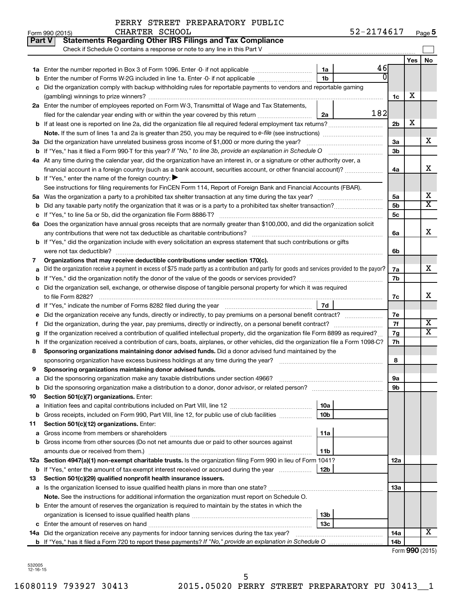|  | PERRY STREET PREPARATORY PUBLIC |  |  |
|--|---------------------------------|--|--|
|--|---------------------------------|--|--|

|    | Part V<br><b>Statements Regarding Other IRS Filings and Tax Compliance</b><br>Check if Schedule O contains a response or note to any line in this Part V                                                                         |                 |     |                |            |                              |
|----|----------------------------------------------------------------------------------------------------------------------------------------------------------------------------------------------------------------------------------|-----------------|-----|----------------|------------|------------------------------|
|    |                                                                                                                                                                                                                                  |                 |     |                | <b>Yes</b> | No                           |
|    |                                                                                                                                                                                                                                  | 1a              | 46  |                |            |                              |
|    | Enter the number of Forms W-2G included in line 1a. Enter -0- if not applicable                                                                                                                                                  | 1 <sub>b</sub>  |     |                |            |                              |
|    | c Did the organization comply with backup withholding rules for reportable payments to vendors and reportable gaming                                                                                                             |                 |     |                |            |                              |
|    |                                                                                                                                                                                                                                  |                 |     | 1c             | х          |                              |
|    | 2a Enter the number of employees reported on Form W-3, Transmittal of Wage and Tax Statements,                                                                                                                                   |                 |     |                |            |                              |
|    | filed for the calendar year ending with or within the year covered by this return                                                                                                                                                | 2a              | 182 |                |            |                              |
|    |                                                                                                                                                                                                                                  |                 |     | 2 <sub>b</sub> | х          |                              |
|    |                                                                                                                                                                                                                                  |                 |     |                |            |                              |
|    | 3a Did the organization have unrelated business gross income of \$1,000 or more during the year?                                                                                                                                 |                 |     | За             |            | x                            |
|    | <b>b</b> If "Yes," has it filed a Form 990 T for this year? If "No," to line 3b, provide an explanation in Schedule O                                                                                                            |                 |     | 3 <sub>b</sub> |            |                              |
|    | 4a At any time during the calendar year, did the organization have an interest in, or a signature or other authority over, a                                                                                                     |                 |     |                |            |                              |
|    |                                                                                                                                                                                                                                  |                 |     | 4a             |            | x                            |
|    | <b>b</b> If "Yes," enter the name of the foreign country: $\blacktriangleright$                                                                                                                                                  |                 |     |                |            |                              |
|    | See instructions for filing requirements for FinCEN Form 114, Report of Foreign Bank and Financial Accounts (FBAR).                                                                                                              |                 |     |                |            |                              |
|    |                                                                                                                                                                                                                                  |                 |     | 5a             |            | х<br>$\overline{\texttt{x}}$ |
|    |                                                                                                                                                                                                                                  |                 |     | 5 <sub>b</sub> |            |                              |
|    |                                                                                                                                                                                                                                  |                 |     | 5с             |            |                              |
|    | 6a Does the organization have annual gross receipts that are normally greater than \$100,000, and did the organization solicit                                                                                                   |                 |     |                |            | х                            |
|    | any contributions that were not tax deductible as charitable contributions?                                                                                                                                                      |                 |     | 6a             |            |                              |
|    | <b>b</b> If "Yes," did the organization include with every solicitation an express statement that such contributions or gifts                                                                                                    |                 |     |                |            |                              |
|    | were not tax deductible?                                                                                                                                                                                                         |                 |     | 6b             |            |                              |
| 7  | Organizations that may receive deductible contributions under section 170(c).<br>Did the organization receive a payment in excess of \$75 made partly as a contribution and partly for goods and services provided to the payor? |                 |     | 7а             |            | х                            |
|    |                                                                                                                                                                                                                                  |                 |     | 7b             |            |                              |
|    | c Did the organization sell, exchange, or otherwise dispose of tangible personal property for which it was required                                                                                                              |                 |     |                |            |                              |
|    |                                                                                                                                                                                                                                  |                 |     | 7c             |            | x                            |
|    |                                                                                                                                                                                                                                  | 7d              |     |                |            |                              |
|    | Did the organization receive any funds, directly or indirectly, to pay premiums on a personal benefit contract?                                                                                                                  |                 |     | 7е             |            |                              |
| t  | Did the organization, during the year, pay premiums, directly or indirectly, on a personal benefit contract?                                                                                                                     |                 |     | 7f             |            | X                            |
|    | If the organization received a contribution of qualified intellectual property, did the organization file Form 8899 as required?                                                                                                 |                 |     | 7g             |            | $\overline{\text{X}}$        |
| h  | If the organization received a contribution of cars, boats, airplanes, or other vehicles, did the organization file a Form 1098-C?                                                                                               |                 |     | 7h             |            |                              |
| 8  | Sponsoring organizations maintaining donor advised funds. Did a donor advised fund maintained by the                                                                                                                             |                 |     |                |            |                              |
|    |                                                                                                                                                                                                                                  |                 |     | 8              |            |                              |
| 9  | Sponsoring organizations maintaining donor advised funds.                                                                                                                                                                        |                 |     |                |            |                              |
|    |                                                                                                                                                                                                                                  |                 |     | эа             |            |                              |
|    |                                                                                                                                                                                                                                  |                 |     | 9b             |            |                              |
| 10 | Section 501(c)(7) organizations. Enter:                                                                                                                                                                                          |                 |     |                |            |                              |
| а  |                                                                                                                                                                                                                                  | 10a             |     |                |            |                              |
|    | <b>b</b> Gross receipts, included on Form 990, Part VIII, line 12, for public use of club facilities <i>manument</i>                                                                                                             | 10 <sub>b</sub> |     |                |            |                              |
| 11 | Section 501(c)(12) organizations. Enter:                                                                                                                                                                                         |                 |     |                |            |                              |
| а  |                                                                                                                                                                                                                                  | 11a             |     |                |            |                              |
|    | b Gross income from other sources (Do not net amounts due or paid to other sources against                                                                                                                                       |                 |     |                |            |                              |
|    | amounts due or received from them.)                                                                                                                                                                                              | 11b             |     |                |            |                              |
|    | 12a Section 4947(a)(1) non-exempt charitable trusts. Is the organization filing Form 990 in lieu of Form 1041?                                                                                                                   |                 |     | 12a            |            |                              |
|    | b If "Yes," enter the amount of tax-exempt interest received or accrued during the year                                                                                                                                          | 12b             |     |                |            |                              |
| 13 | Section 501(c)(29) qualified nonprofit health insurance issuers.                                                                                                                                                                 |                 |     |                |            |                              |
|    | a Is the organization licensed to issue qualified health plans in more than one state?                                                                                                                                           |                 |     | 13a            |            |                              |
|    | Note. See the instructions for additional information the organization must report on Schedule O.<br><b>b</b> Enter the amount of reserves the organization is required to maintain by the states in which the                   |                 |     |                |            |                              |
|    |                                                                                                                                                                                                                                  | 13 <sub>b</sub> |     |                |            |                              |
|    |                                                                                                                                                                                                                                  | 13 <sub>c</sub> |     |                |            |                              |
|    | 14a Did the organization receive any payments for indoor tanning services during the tax year?                                                                                                                                   |                 |     | 14a            |            | x                            |
|    | <b>b</b> If "Yes," has it filed a Form 720 to report these payments? If "No," provide an explanation in Schedule O                                                                                                               |                 |     | 14b            |            |                              |

Form (2015) **990**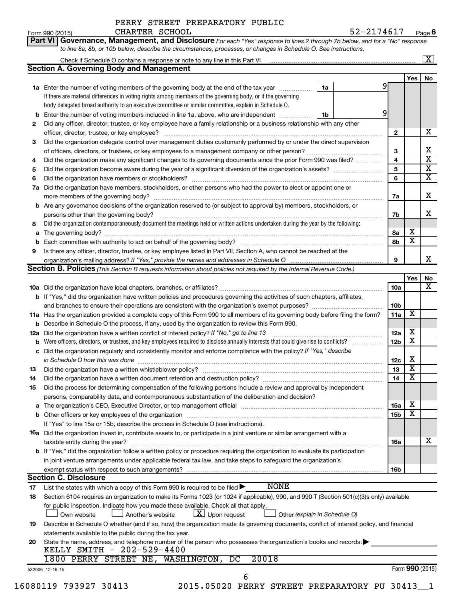| Form 990 (2015) | CHARTER SCHOOL                                                                                                                     |  | 52-2174617 | Pag |
|-----------------|------------------------------------------------------------------------------------------------------------------------------------|--|------------|-----|
|                 | <b>Part VI Governance, Management, and Disclosure</b> For each "Yes" response to lines 2 through 7b below, and for a "No" response |  |            |     |
|                 | to line 8a, 8b, or 10b below, describe the circumstances, processes, or changes in Schedule O. See instructions.                   |  |            |     |

|     | Check if Schedule O contains a response or note to any line in this Part VI [1] [1] [1] [1] [1] [1] [1] [1] [1                                                                                                   |                               |                 |                         | $\mathbf{X}$ |
|-----|------------------------------------------------------------------------------------------------------------------------------------------------------------------------------------------------------------------|-------------------------------|-----------------|-------------------------|--------------|
|     | <b>Section A. Governing Body and Management</b>                                                                                                                                                                  |                               |                 |                         |              |
|     |                                                                                                                                                                                                                  |                               |                 | Yes                     | No           |
|     | 1a Enter the number of voting members of the governing body at the end of the tax year <i>manument</i>                                                                                                           | 1a                            | 9               |                         |              |
|     | If there are material differences in voting rights among members of the governing body, or if the governing                                                                                                      |                               |                 |                         |              |
|     | body delegated broad authority to an executive committee or similar committee, explain in Schedule O.                                                                                                            |                               |                 |                         |              |
| b   | Enter the number of voting members included in line 1a, above, who are independent <i>manumum</i>                                                                                                                | 1b                            | 9               |                         |              |
| 2   | Did any officer, director, trustee, or key employee have a family relationship or a business relationship with any other                                                                                         |                               |                 |                         |              |
|     | officer, director, trustee, or key employee?                                                                                                                                                                     |                               | 2               |                         |              |
| 3   | Did the organization delegate control over management duties customarily performed by or under the direct supervision                                                                                            |                               |                 |                         |              |
|     |                                                                                                                                                                                                                  |                               | 3               |                         |              |
| 4   | Did the organization make any significant changes to its governing documents since the prior Form 990 was filed?                                                                                                 |                               | 4               |                         |              |
| 5   |                                                                                                                                                                                                                  |                               | 5               |                         |              |
| 6   |                                                                                                                                                                                                                  |                               | 6               |                         |              |
|     | Did the organization have members, stockholders, or other persons who had the power to elect or appoint one or                                                                                                   |                               |                 |                         |              |
| 7a  |                                                                                                                                                                                                                  |                               |                 |                         |              |
|     |                                                                                                                                                                                                                  |                               | 7a              |                         |              |
| b   | Are any governance decisions of the organization reserved to (or subject to approval by) members, stockholders, or                                                                                               |                               |                 |                         |              |
|     | persons other than the governing body?                                                                                                                                                                           |                               | 7b              |                         |              |
| 8   | Did the organization contemporaneously document the meetings held or written actions undertaken during the year by the following:                                                                                |                               |                 |                         |              |
| а   |                                                                                                                                                                                                                  |                               | 8а              | x                       |              |
| b   |                                                                                                                                                                                                                  |                               | 8b              | $\overline{\textbf{x}}$ |              |
| 9   | Is there any officer, director, trustee, or key employee listed in Part VII, Section A, who cannot be reached at the                                                                                             |                               |                 |                         |              |
|     |                                                                                                                                                                                                                  |                               | 9               |                         |              |
|     | <b>Section B. Policies</b> (This Section B requests information about policies not required by the Internal Revenue Code.)                                                                                       |                               |                 |                         |              |
|     |                                                                                                                                                                                                                  |                               |                 | Yes                     |              |
|     |                                                                                                                                                                                                                  |                               | 10a             |                         |              |
|     | <b>b</b> If "Yes," did the organization have written policies and procedures governing the activities of such chapters, affiliates,                                                                              |                               |                 |                         |              |
|     |                                                                                                                                                                                                                  |                               | 10 <sub>b</sub> |                         |              |
|     | 11a Has the organization provided a complete copy of this Form 990 to all members of its governing body before filing the form?                                                                                  |                               | 11a             | X                       |              |
| b   | Describe in Schedule O the process, if any, used by the organization to review this Form 990.                                                                                                                    |                               |                 |                         |              |
| 12a | Did the organization have a written conflict of interest policy? If "No," go to line 13                                                                                                                          |                               | 12a             | х                       |              |
| b   | Were officers, directors, or trustees, and key employees required to disclose annually interests that could give rise to conflicts?                                                                              |                               | 12 <sub>b</sub> | $\overline{\textbf{x}}$ |              |
| с   | Did the organization regularly and consistently monitor and enforce compliance with the policy? If "Yes," describe                                                                                               |                               |                 |                         |              |
|     |                                                                                                                                                                                                                  |                               | 12c             | х                       |              |
| 13  |                                                                                                                                                                                                                  |                               | 13              | $\overline{\textbf{x}}$ |              |
|     |                                                                                                                                                                                                                  |                               |                 | $\overline{\textbf{x}}$ |              |
| 14  | Did the organization have a written document retention and destruction policy? [11] manufaction materials and destruction policy? [11] manufaction have a written document retention and destruction policy?     |                               | 14              |                         |              |
| 15  | Did the process for determining compensation of the following persons include a review and approval by independent                                                                                               |                               |                 |                         |              |
|     | persons, comparability data, and contemporaneous substantiation of the deliberation and decision?                                                                                                                |                               |                 |                         |              |
| а   | The organization's CEO, Executive Director, or top management official manufactured content of the organization's CEO, Executive Director, or top management official manufactured content of the organization's |                               | <b>15a</b>      | х                       |              |
|     |                                                                                                                                                                                                                  |                               | 15b             | $\overline{\textbf{x}}$ |              |
|     | If "Yes" to line 15a or 15b, describe the process in Schedule O (see instructions).                                                                                                                              |                               |                 |                         |              |
|     | <b>16a</b> Did the organization invest in, contribute assets to, or participate in a joint venture or similar arrangement with a                                                                                 |                               |                 |                         |              |
|     | taxable entity during the year?                                                                                                                                                                                  |                               | 16a             |                         |              |
|     | b If "Yes," did the organization follow a written policy or procedure requiring the organization to evaluate its participation                                                                                   |                               |                 |                         |              |
|     | in joint venture arrangements under applicable federal tax law, and take steps to safequard the organization's                                                                                                   |                               |                 |                         |              |
|     | exempt status with respect to such arrangements?                                                                                                                                                                 |                               | 16b             |                         |              |
|     | <b>Section C. Disclosure</b>                                                                                                                                                                                     |                               |                 |                         |              |
| 17  | <b>NONE</b><br>List the states with which a copy of this Form 990 is required to be filed $\blacktriangleright$                                                                                                  |                               |                 |                         |              |
| 18  | Section 6104 requires an organization to make its Forms 1023 (or 1024 if applicable), 990, and 990-T (Section 501(c)(3)s only) available                                                                         |                               |                 |                         |              |
|     | for public inspection. Indicate how you made these available. Check all that apply.                                                                                                                              |                               |                 |                         |              |
|     | $\lfloor x \rfloor$ Upon request                                                                                                                                                                                 |                               |                 |                         |              |
|     | Own website<br>Another's website                                                                                                                                                                                 | Other (explain in Schedule O) |                 |                         |              |
| 19  | Describe in Schedule O whether (and if so, how) the organization made its governing documents, conflict of interest policy, and financial                                                                        |                               |                 |                         |              |
|     | statements available to the public during the tax year.                                                                                                                                                          |                               |                 |                         |              |
| 20  | State the name, address, and telephone number of the person who possesses the organization's books and records:                                                                                                  |                               |                 |                         |              |
|     | KELLY SMITH - 202-529-4400                                                                                                                                                                                       |                               |                 |                         |              |
|     | 20018<br>1800 PERRY STREET NE, WASHINGTON,<br>DC                                                                                                                                                                 |                               |                 |                         |              |
|     | 532006 12-16-15                                                                                                                                                                                                  |                               |                 | Form 990 (2015)         |              |
|     | 6                                                                                                                                                                                                                |                               |                 |                         |              |
|     | 16080119 793927 30413<br>2015.05020 PERRY STREET PREPARATORY PU 30413                                                                                                                                            |                               |                 |                         |              |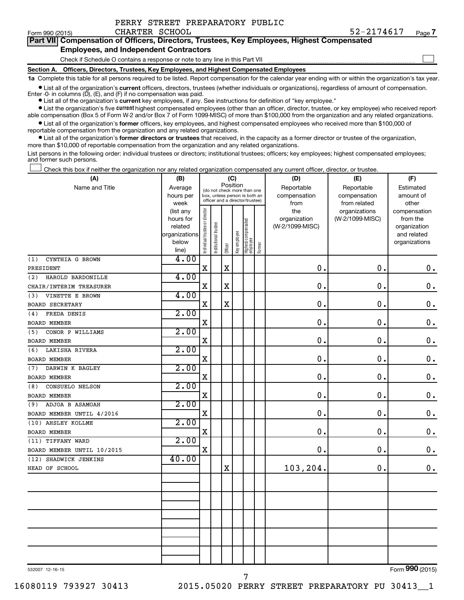| Form 990 (2015)                                                                            | CHARTER SCHOOL                                                               |  |  |  |  |  | 52-2174617 |  | Page 7 |
|--------------------------------------------------------------------------------------------|------------------------------------------------------------------------------|--|--|--|--|--|------------|--|--------|
| Part VII Compensation of Officers, Directors, Trustees, Key Employees, Highest Compensated |                                                                              |  |  |  |  |  |            |  |        |
| <b>Employees, and Independent Contractors</b>                                              |                                                                              |  |  |  |  |  |            |  |        |
|                                                                                            | Check if Schedule O contains a response or note to any line in this Part VII |  |  |  |  |  |            |  |        |
| Section A. Officers, Directors, Trustees, Key Employees, and Highest Compensated Employees |                                                                              |  |  |  |  |  |            |  |        |
|                                                                                            |                                                                              |  |  |  |  |  |            |  |        |

**1a**  Complete this table for all persons required to be listed. Report compensation for the calendar year ending with or within the organization's tax year.

**•** List all of the organization's current officers, directors, trustees (whether individuals or organizations), regardless of amount of compensation. Enter -0- in columns  $(D)$ ,  $(E)$ , and  $(F)$  if no compensation was paid.

**•** List all of the organization's **current** key employees, if any. See instructions for definition of "key employee."

PERRY STREET PREPARATORY PUBLIC

**•** List the organization's five current highest compensated employees (other than an officer, director, trustee, or key employee) who received reportable compensation (Box 5 of Form W-2 and/or Box 7 of Form 1099-MISC) of more than \$100,000 from the organization and any related organizations.

**•** List all of the organization's former officers, key employees, and highest compensated employees who received more than \$100,000 of reportable compensation from the organization and any related organizations.

**•** List all of the organization's former directors or trustees that received, in the capacity as a former director or trustee of the organization, more than \$10,000 of reportable compensation from the organization and any related organizations.

List persons in the following order: individual trustees or directors; institutional trustees; officers; key employees; highest compensated employees; and former such persons.

Check this box if neither the organization nor any related organization compensated any current officer, director, or trustee.  $\Box$ 

| Position<br>Name and Title<br>Reportable<br>Reportable<br>Average<br>Estimated<br>(do not check more than one<br>compensation<br>compensation<br>hours per<br>box, unless person is both an<br>amount of<br>officer and a director/trustee)<br>week<br>from<br>from related<br>other<br>Individual trustee or director<br>the<br>organizations<br>(list any<br>compensation<br>(W-2/1099-MISC)<br>from the<br>hours for<br>organization<br>Highest compensated<br>employee<br>Institutional trustee<br>(W-2/1099-MISC)<br>related<br>Key employee<br>organizations<br>and related<br>below<br>Former<br>Officer<br>line)<br>4.00<br>CYNTHIA G BROWN<br>(1)<br>$\mathbf X$<br>$\mathbf X$<br>$\mathbf 0$ .<br>0.<br>PRESIDENT<br>4.00<br>HAROLD BARDONILLE<br>(2)<br>$\mathbf X$<br>$\mathbf 0$ .<br>$\mathbf X$<br>0<br>CHAIR/INTERIM TREASURER<br>4.00<br>VINETTE E BROWN<br>(3)<br>$\mathbf X$<br>$\mathbf 0$<br>0.<br>X<br><b>BOARD SECRETARY</b><br>2.00<br>FREDA DENIS<br>(4)<br>$\mathbf X$<br>$\mathbf 0$<br>0.<br><b>BOARD MEMBER</b><br>2.00<br>CONOR P WILLIAMS<br>(5)<br>X<br>$\mathbf 0$<br>$\mathbf 0$ .<br><b>BOARD MEMBER</b><br>2.00<br>LAKISHA RIVERA<br>(6)<br>$\mathbf X$<br>0.<br>0<br><b>BOARD MEMBER</b><br>2.00<br>DARWIN K BAGLEY<br>(7)<br>$\mathbf 0$ .<br>X<br>$\mathbf 0$<br><b>BOARD MEMBER</b><br>2.00<br><b>CONSUELO NELSON</b><br>(8)<br>$\mathbf X$<br>0.<br>$\mathbf 0$ .<br><b>BOARD MEMBER</b><br>2.00<br>ADJOA B ASAMOAH<br>(9)<br>$\mathbf X$<br>$\mathbf 0$<br>$\mathbf 0$ .<br>BOARD MEMBER UNTIL 4/2016<br>2.00<br>(10) AHSLEY KOLLME<br>X<br>$\mathbf 0$<br>$\mathbf 0$ .<br>BOARD MEMBER<br>2.00<br>(11) TIFFANY WARD<br>0.<br>X<br>$\mathbf 0$ .<br>BOARD MEMBER UNTIL 10/2015<br>40.00<br>SHADWICK JENKINS<br>(12)<br>103,204.<br>$\mathbf 0$ .<br>$\mathbf X$<br>HEAD OF SCHOOL | (A) | (B) |  |  |  | (C) |  | (D) | (E) | (F)                |  |  |
|-------------------------------------------------------------------------------------------------------------------------------------------------------------------------------------------------------------------------------------------------------------------------------------------------------------------------------------------------------------------------------------------------------------------------------------------------------------------------------------------------------------------------------------------------------------------------------------------------------------------------------------------------------------------------------------------------------------------------------------------------------------------------------------------------------------------------------------------------------------------------------------------------------------------------------------------------------------------------------------------------------------------------------------------------------------------------------------------------------------------------------------------------------------------------------------------------------------------------------------------------------------------------------------------------------------------------------------------------------------------------------------------------------------------------------------------------------------------------------------------------------------------------------------------------------------------------------------------------------------------------------------------------------------------------------------------------------------------------------------------------------------------------------------------------------------------------------|-----|-----|--|--|--|-----|--|-----|-----|--------------------|--|--|
|                                                                                                                                                                                                                                                                                                                                                                                                                                                                                                                                                                                                                                                                                                                                                                                                                                                                                                                                                                                                                                                                                                                                                                                                                                                                                                                                                                                                                                                                                                                                                                                                                                                                                                                                                                                                                               |     |     |  |  |  |     |  |     |     |                    |  |  |
|                                                                                                                                                                                                                                                                                                                                                                                                                                                                                                                                                                                                                                                                                                                                                                                                                                                                                                                                                                                                                                                                                                                                                                                                                                                                                                                                                                                                                                                                                                                                                                                                                                                                                                                                                                                                                               |     |     |  |  |  |     |  |     |     |                    |  |  |
|                                                                                                                                                                                                                                                                                                                                                                                                                                                                                                                                                                                                                                                                                                                                                                                                                                                                                                                                                                                                                                                                                                                                                                                                                                                                                                                                                                                                                                                                                                                                                                                                                                                                                                                                                                                                                               |     |     |  |  |  |     |  |     |     |                    |  |  |
|                                                                                                                                                                                                                                                                                                                                                                                                                                                                                                                                                                                                                                                                                                                                                                                                                                                                                                                                                                                                                                                                                                                                                                                                                                                                                                                                                                                                                                                                                                                                                                                                                                                                                                                                                                                                                               |     |     |  |  |  |     |  |     |     |                    |  |  |
|                                                                                                                                                                                                                                                                                                                                                                                                                                                                                                                                                                                                                                                                                                                                                                                                                                                                                                                                                                                                                                                                                                                                                                                                                                                                                                                                                                                                                                                                                                                                                                                                                                                                                                                                                                                                                               |     |     |  |  |  |     |  |     |     | organization       |  |  |
|                                                                                                                                                                                                                                                                                                                                                                                                                                                                                                                                                                                                                                                                                                                                                                                                                                                                                                                                                                                                                                                                                                                                                                                                                                                                                                                                                                                                                                                                                                                                                                                                                                                                                                                                                                                                                               |     |     |  |  |  |     |  |     |     |                    |  |  |
|                                                                                                                                                                                                                                                                                                                                                                                                                                                                                                                                                                                                                                                                                                                                                                                                                                                                                                                                                                                                                                                                                                                                                                                                                                                                                                                                                                                                                                                                                                                                                                                                                                                                                                                                                                                                                               |     |     |  |  |  |     |  |     |     | organizations      |  |  |
|                                                                                                                                                                                                                                                                                                                                                                                                                                                                                                                                                                                                                                                                                                                                                                                                                                                                                                                                                                                                                                                                                                                                                                                                                                                                                                                                                                                                                                                                                                                                                                                                                                                                                                                                                                                                                               |     |     |  |  |  |     |  |     |     |                    |  |  |
|                                                                                                                                                                                                                                                                                                                                                                                                                                                                                                                                                                                                                                                                                                                                                                                                                                                                                                                                                                                                                                                                                                                                                                                                                                                                                                                                                                                                                                                                                                                                                                                                                                                                                                                                                                                                                               |     |     |  |  |  |     |  |     |     | $\boldsymbol{0}$ . |  |  |
|                                                                                                                                                                                                                                                                                                                                                                                                                                                                                                                                                                                                                                                                                                                                                                                                                                                                                                                                                                                                                                                                                                                                                                                                                                                                                                                                                                                                                                                                                                                                                                                                                                                                                                                                                                                                                               |     |     |  |  |  |     |  |     |     |                    |  |  |
|                                                                                                                                                                                                                                                                                                                                                                                                                                                                                                                                                                                                                                                                                                                                                                                                                                                                                                                                                                                                                                                                                                                                                                                                                                                                                                                                                                                                                                                                                                                                                                                                                                                                                                                                                                                                                               |     |     |  |  |  |     |  |     |     | $\mathbf 0$ .      |  |  |
|                                                                                                                                                                                                                                                                                                                                                                                                                                                                                                                                                                                                                                                                                                                                                                                                                                                                                                                                                                                                                                                                                                                                                                                                                                                                                                                                                                                                                                                                                                                                                                                                                                                                                                                                                                                                                               |     |     |  |  |  |     |  |     |     |                    |  |  |
|                                                                                                                                                                                                                                                                                                                                                                                                                                                                                                                                                                                                                                                                                                                                                                                                                                                                                                                                                                                                                                                                                                                                                                                                                                                                                                                                                                                                                                                                                                                                                                                                                                                                                                                                                                                                                               |     |     |  |  |  |     |  |     |     | $\mathbf 0$ .      |  |  |
|                                                                                                                                                                                                                                                                                                                                                                                                                                                                                                                                                                                                                                                                                                                                                                                                                                                                                                                                                                                                                                                                                                                                                                                                                                                                                                                                                                                                                                                                                                                                                                                                                                                                                                                                                                                                                               |     |     |  |  |  |     |  |     |     |                    |  |  |
|                                                                                                                                                                                                                                                                                                                                                                                                                                                                                                                                                                                                                                                                                                                                                                                                                                                                                                                                                                                                                                                                                                                                                                                                                                                                                                                                                                                                                                                                                                                                                                                                                                                                                                                                                                                                                               |     |     |  |  |  |     |  |     |     | $\mathbf 0$ .      |  |  |
|                                                                                                                                                                                                                                                                                                                                                                                                                                                                                                                                                                                                                                                                                                                                                                                                                                                                                                                                                                                                                                                                                                                                                                                                                                                                                                                                                                                                                                                                                                                                                                                                                                                                                                                                                                                                                               |     |     |  |  |  |     |  |     |     |                    |  |  |
|                                                                                                                                                                                                                                                                                                                                                                                                                                                                                                                                                                                                                                                                                                                                                                                                                                                                                                                                                                                                                                                                                                                                                                                                                                                                                                                                                                                                                                                                                                                                                                                                                                                                                                                                                                                                                               |     |     |  |  |  |     |  |     |     | $\boldsymbol{0}$ . |  |  |
|                                                                                                                                                                                                                                                                                                                                                                                                                                                                                                                                                                                                                                                                                                                                                                                                                                                                                                                                                                                                                                                                                                                                                                                                                                                                                                                                                                                                                                                                                                                                                                                                                                                                                                                                                                                                                               |     |     |  |  |  |     |  |     |     |                    |  |  |
|                                                                                                                                                                                                                                                                                                                                                                                                                                                                                                                                                                                                                                                                                                                                                                                                                                                                                                                                                                                                                                                                                                                                                                                                                                                                                                                                                                                                                                                                                                                                                                                                                                                                                                                                                                                                                               |     |     |  |  |  |     |  |     |     | $\mathbf 0$ .      |  |  |
|                                                                                                                                                                                                                                                                                                                                                                                                                                                                                                                                                                                                                                                                                                                                                                                                                                                                                                                                                                                                                                                                                                                                                                                                                                                                                                                                                                                                                                                                                                                                                                                                                                                                                                                                                                                                                               |     |     |  |  |  |     |  |     |     |                    |  |  |
|                                                                                                                                                                                                                                                                                                                                                                                                                                                                                                                                                                                                                                                                                                                                                                                                                                                                                                                                                                                                                                                                                                                                                                                                                                                                                                                                                                                                                                                                                                                                                                                                                                                                                                                                                                                                                               |     |     |  |  |  |     |  |     |     | $\mathbf 0$ .      |  |  |
|                                                                                                                                                                                                                                                                                                                                                                                                                                                                                                                                                                                                                                                                                                                                                                                                                                                                                                                                                                                                                                                                                                                                                                                                                                                                                                                                                                                                                                                                                                                                                                                                                                                                                                                                                                                                                               |     |     |  |  |  |     |  |     |     |                    |  |  |
|                                                                                                                                                                                                                                                                                                                                                                                                                                                                                                                                                                                                                                                                                                                                                                                                                                                                                                                                                                                                                                                                                                                                                                                                                                                                                                                                                                                                                                                                                                                                                                                                                                                                                                                                                                                                                               |     |     |  |  |  |     |  |     |     | $\mathbf 0$ .      |  |  |
|                                                                                                                                                                                                                                                                                                                                                                                                                                                                                                                                                                                                                                                                                                                                                                                                                                                                                                                                                                                                                                                                                                                                                                                                                                                                                                                                                                                                                                                                                                                                                                                                                                                                                                                                                                                                                               |     |     |  |  |  |     |  |     |     |                    |  |  |
|                                                                                                                                                                                                                                                                                                                                                                                                                                                                                                                                                                                                                                                                                                                                                                                                                                                                                                                                                                                                                                                                                                                                                                                                                                                                                                                                                                                                                                                                                                                                                                                                                                                                                                                                                                                                                               |     |     |  |  |  |     |  |     |     | 0.                 |  |  |
|                                                                                                                                                                                                                                                                                                                                                                                                                                                                                                                                                                                                                                                                                                                                                                                                                                                                                                                                                                                                                                                                                                                                                                                                                                                                                                                                                                                                                                                                                                                                                                                                                                                                                                                                                                                                                               |     |     |  |  |  |     |  |     |     |                    |  |  |
|                                                                                                                                                                                                                                                                                                                                                                                                                                                                                                                                                                                                                                                                                                                                                                                                                                                                                                                                                                                                                                                                                                                                                                                                                                                                                                                                                                                                                                                                                                                                                                                                                                                                                                                                                                                                                               |     |     |  |  |  |     |  |     |     | $\mathbf 0$ .      |  |  |
|                                                                                                                                                                                                                                                                                                                                                                                                                                                                                                                                                                                                                                                                                                                                                                                                                                                                                                                                                                                                                                                                                                                                                                                                                                                                                                                                                                                                                                                                                                                                                                                                                                                                                                                                                                                                                               |     |     |  |  |  |     |  |     |     |                    |  |  |
|                                                                                                                                                                                                                                                                                                                                                                                                                                                                                                                                                                                                                                                                                                                                                                                                                                                                                                                                                                                                                                                                                                                                                                                                                                                                                                                                                                                                                                                                                                                                                                                                                                                                                                                                                                                                                               |     |     |  |  |  |     |  |     |     | 0.                 |  |  |
|                                                                                                                                                                                                                                                                                                                                                                                                                                                                                                                                                                                                                                                                                                                                                                                                                                                                                                                                                                                                                                                                                                                                                                                                                                                                                                                                                                                                                                                                                                                                                                                                                                                                                                                                                                                                                               |     |     |  |  |  |     |  |     |     |                    |  |  |
|                                                                                                                                                                                                                                                                                                                                                                                                                                                                                                                                                                                                                                                                                                                                                                                                                                                                                                                                                                                                                                                                                                                                                                                                                                                                                                                                                                                                                                                                                                                                                                                                                                                                                                                                                                                                                               |     |     |  |  |  |     |  |     |     | 0.                 |  |  |
|                                                                                                                                                                                                                                                                                                                                                                                                                                                                                                                                                                                                                                                                                                                                                                                                                                                                                                                                                                                                                                                                                                                                                                                                                                                                                                                                                                                                                                                                                                                                                                                                                                                                                                                                                                                                                               |     |     |  |  |  |     |  |     |     |                    |  |  |
|                                                                                                                                                                                                                                                                                                                                                                                                                                                                                                                                                                                                                                                                                                                                                                                                                                                                                                                                                                                                                                                                                                                                                                                                                                                                                                                                                                                                                                                                                                                                                                                                                                                                                                                                                                                                                               |     |     |  |  |  |     |  |     |     |                    |  |  |
|                                                                                                                                                                                                                                                                                                                                                                                                                                                                                                                                                                                                                                                                                                                                                                                                                                                                                                                                                                                                                                                                                                                                                                                                                                                                                                                                                                                                                                                                                                                                                                                                                                                                                                                                                                                                                               |     |     |  |  |  |     |  |     |     |                    |  |  |
|                                                                                                                                                                                                                                                                                                                                                                                                                                                                                                                                                                                                                                                                                                                                                                                                                                                                                                                                                                                                                                                                                                                                                                                                                                                                                                                                                                                                                                                                                                                                                                                                                                                                                                                                                                                                                               |     |     |  |  |  |     |  |     |     |                    |  |  |
|                                                                                                                                                                                                                                                                                                                                                                                                                                                                                                                                                                                                                                                                                                                                                                                                                                                                                                                                                                                                                                                                                                                                                                                                                                                                                                                                                                                                                                                                                                                                                                                                                                                                                                                                                                                                                               |     |     |  |  |  |     |  |     |     |                    |  |  |
|                                                                                                                                                                                                                                                                                                                                                                                                                                                                                                                                                                                                                                                                                                                                                                                                                                                                                                                                                                                                                                                                                                                                                                                                                                                                                                                                                                                                                                                                                                                                                                                                                                                                                                                                                                                                                               |     |     |  |  |  |     |  |     |     |                    |  |  |
|                                                                                                                                                                                                                                                                                                                                                                                                                                                                                                                                                                                                                                                                                                                                                                                                                                                                                                                                                                                                                                                                                                                                                                                                                                                                                                                                                                                                                                                                                                                                                                                                                                                                                                                                                                                                                               |     |     |  |  |  |     |  |     |     |                    |  |  |
|                                                                                                                                                                                                                                                                                                                                                                                                                                                                                                                                                                                                                                                                                                                                                                                                                                                                                                                                                                                                                                                                                                                                                                                                                                                                                                                                                                                                                                                                                                                                                                                                                                                                                                                                                                                                                               |     |     |  |  |  |     |  |     |     |                    |  |  |

532007 12-16-15

Form (2015) **990**

7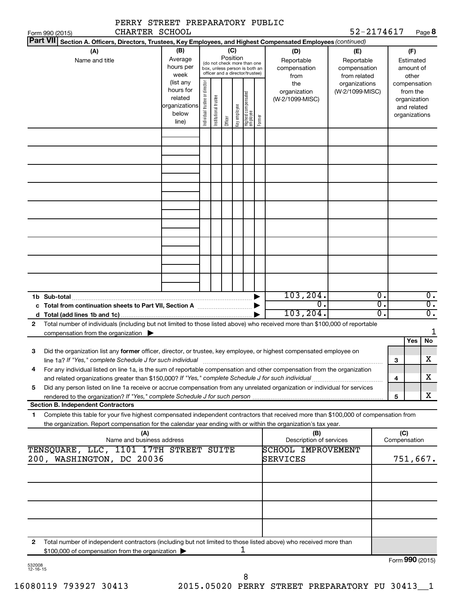|              | PERRY STREET PREPARATORY PUBLIC<br>CHARTER SCHOOL                                                                                                                                                                                                                 |                                                                       |                                |                       |                 |              |                                                                                                 |        |                                                      | 52-2174617                                        |                |                     |                                                                          | Page 8                                     |
|--------------|-------------------------------------------------------------------------------------------------------------------------------------------------------------------------------------------------------------------------------------------------------------------|-----------------------------------------------------------------------|--------------------------------|-----------------------|-----------------|--------------|-------------------------------------------------------------------------------------------------|--------|------------------------------------------------------|---------------------------------------------------|----------------|---------------------|--------------------------------------------------------------------------|--------------------------------------------|
|              | Form 990 (2015)<br>Part VII Section A. Officers, Directors, Trustees, Key Employees, and Highest Compensated Employees (continued)                                                                                                                                |                                                                       |                                |                       |                 |              |                                                                                                 |        |                                                      |                                                   |                |                     |                                                                          |                                            |
|              | (A)<br>Name and title                                                                                                                                                                                                                                             | (B)<br>Average<br>hours per<br>week                                   |                                |                       | (C)<br>Position |              | (do not check more than one<br>box, unless person is both an<br>officer and a director/trustee) |        | (D)<br>Reportable<br>compensation<br>from            | (E)<br>Reportable<br>compensation<br>from related |                |                     | (F)<br>Estimated<br>amount of<br>other                                   |                                            |
|              |                                                                                                                                                                                                                                                                   | (list any<br>hours for<br>related<br> organizations<br>below<br>line) | Individual trustee or director | Institutional trustee | Officer         | key employee | Highest compensated<br>employee                                                                 | Former | the<br>organization<br>(W-2/1099-MISC)               | organizations<br>(W-2/1099-MISC)                  |                |                     | compensation<br>from the<br>organization<br>and related<br>organizations |                                            |
|              |                                                                                                                                                                                                                                                                   |                                                                       |                                |                       |                 |              |                                                                                                 |        |                                                      |                                                   |                |                     |                                                                          |                                            |
|              |                                                                                                                                                                                                                                                                   |                                                                       |                                |                       |                 |              |                                                                                                 |        |                                                      |                                                   |                |                     |                                                                          |                                            |
|              |                                                                                                                                                                                                                                                                   |                                                                       |                                |                       |                 |              |                                                                                                 |        |                                                      |                                                   |                |                     |                                                                          |                                            |
|              |                                                                                                                                                                                                                                                                   |                                                                       |                                |                       |                 |              |                                                                                                 |        |                                                      |                                                   |                |                     |                                                                          |                                            |
|              |                                                                                                                                                                                                                                                                   |                                                                       |                                |                       |                 |              |                                                                                                 |        |                                                      |                                                   |                |                     |                                                                          |                                            |
|              |                                                                                                                                                                                                                                                                   |                                                                       |                                |                       |                 |              |                                                                                                 |        |                                                      |                                                   |                |                     |                                                                          |                                            |
|              |                                                                                                                                                                                                                                                                   |                                                                       |                                |                       |                 |              |                                                                                                 |        | 103, 204.<br>σ.<br>103, 204.                         |                                                   | О.<br>σ.<br>σ. |                     |                                                                          | 0.<br>$\overline{0}$ .<br>$\overline{0}$ . |
| $\mathbf{2}$ | Total number of individuals (including but not limited to those listed above) who received more than \$100,000 of reportable<br>compensation from the organization $\blacktriangleright$                                                                          |                                                                       |                                |                       |                 |              |                                                                                                 |        |                                                      |                                                   |                |                     |                                                                          | 1                                          |
| З            | Did the organization list any former officer, director, or trustee, key employee, or highest compensated employee on<br>line 1a? If "Yes," complete Schedule J for such individual manufactured content to the successive complete schedule J for such individual |                                                                       |                                |                       |                 |              |                                                                                                 |        |                                                      |                                                   |                | 3                   | Yes                                                                      | No<br>X                                    |
| 4            | For any individual listed on line 1a, is the sum of reportable compensation and other compensation from the organization                                                                                                                                          |                                                                       |                                |                       |                 |              |                                                                                                 |        |                                                      |                                                   |                | 4                   |                                                                          | х                                          |
| 5            | Did any person listed on line 1a receive or accrue compensation from any unrelated organization or individual for services<br><b>Section B. Independent Contractors</b>                                                                                           |                                                                       |                                |                       |                 |              |                                                                                                 |        |                                                      |                                                   |                | 5                   |                                                                          | х                                          |
| 1            | Complete this table for your five highest compensated independent contractors that received more than \$100,000 of compensation from<br>the organization. Report compensation for the calendar year ending with or within the organization's tax year.            |                                                                       |                                |                       |                 |              |                                                                                                 |        |                                                      |                                                   |                |                     |                                                                          |                                            |
|              | (A)<br>Name and business address<br>TENSQUARE, LLC, 1101 17TH STREET SUITE                                                                                                                                                                                        |                                                                       |                                |                       |                 |              |                                                                                                 |        | (B)<br>Description of services<br>SCHOOL IMPROVEMENT |                                                   |                | (C)<br>Compensation |                                                                          |                                            |
|              | 200, WASHINGTON, DC 20036                                                                                                                                                                                                                                         |                                                                       |                                |                       |                 |              |                                                                                                 |        | SERVICES                                             |                                                   |                |                     |                                                                          | 751,667.                                   |
|              |                                                                                                                                                                                                                                                                   |                                                                       |                                |                       |                 |              |                                                                                                 |        |                                                      |                                                   |                |                     |                                                                          |                                            |
|              |                                                                                                                                                                                                                                                                   |                                                                       |                                |                       |                 |              |                                                                                                 |        |                                                      |                                                   |                |                     |                                                                          |                                            |
| 2            | Total number of independent contractors (including but not limited to those listed above) who received more than<br>\$100,000 of compensation from the organization >                                                                                             |                                                                       |                                |                       |                 |              | ı                                                                                               |        |                                                      |                                                   |                |                     |                                                                          |                                            |
|              |                                                                                                                                                                                                                                                                   |                                                                       |                                |                       |                 |              |                                                                                                 |        |                                                      |                                                   |                |                     |                                                                          | Form 990 (2015)                            |

| 532008   |  |
|----------|--|
| 12-16-15 |  |

8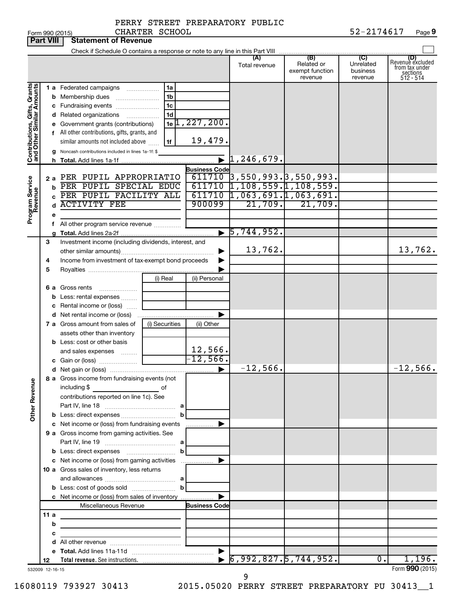PERRY STREET PREPARATORY PUBLIC CHARTER SCHOOL

|                                                           |                       | Form 990 (2015)                                                  | CHARTER SCHOOL |                               |                                                                   |                                                 | 52-2174617                              | Page 9                                                             |
|-----------------------------------------------------------|-----------------------|------------------------------------------------------------------|----------------|-------------------------------|-------------------------------------------------------------------|-------------------------------------------------|-----------------------------------------|--------------------------------------------------------------------|
|                                                           | <b>Part VIII</b>      | <b>Statement of Revenue</b>                                      |                |                               |                                                                   |                                                 |                                         |                                                                    |
|                                                           |                       |                                                                  |                |                               |                                                                   |                                                 |                                         |                                                                    |
|                                                           |                       |                                                                  |                |                               | (A)<br>Total revenue                                              | (B)<br>Related or<br>exempt function<br>revenue | (C)<br>Unrelated<br>business<br>revenue | (D)<br>Revenue excluded<br>from tax under<br>sections<br>512 - 514 |
|                                                           |                       | 1 a Federated campaigns                                          | 1a             |                               |                                                                   |                                                 |                                         |                                                                    |
|                                                           |                       | <b>b</b> Membership dues                                         | 1 <sub>b</sub> |                               |                                                                   |                                                 |                                         |                                                                    |
|                                                           |                       | c Fundraising events                                             | 1 <sub>c</sub> |                               |                                                                   |                                                 |                                         |                                                                    |
|                                                           |                       | d Related organizations<br>$\overline{\phantom{a}}$              | 1 <sub>d</sub> |                               |                                                                   |                                                 |                                         |                                                                    |
|                                                           |                       | e Government grants (contributions)                              |                | $1e$ <sup>1</sup> , 227, 200. |                                                                   |                                                 |                                         |                                                                    |
|                                                           |                       | f All other contributions, gifts, grants, and                    |                |                               |                                                                   |                                                 |                                         |                                                                    |
|                                                           |                       | similar amounts not included above                               | 1f             | 19,479.                       |                                                                   |                                                 |                                         |                                                                    |
| Contributions, Gifts, Grants<br>and Other Similar Amounts |                       | g Noncash contributions included in lines 1a-1f: \$              |                |                               |                                                                   |                                                 |                                         |                                                                    |
|                                                           |                       |                                                                  |                |                               | $\mathbf{1}$ , 246, 679.                                          |                                                 |                                         |                                                                    |
|                                                           |                       | PER PUPIL APPROPRIATIO                                           |                | <b>Business Code</b>          |                                                                   |                                                 |                                         |                                                                    |
| Program Service<br>Revenue                                | 2а<br>b               | PER PUPIL SPECIAL EDUC                                           |                |                               | $\frac{611710}{611710}$<br>3,550,993.<br>559.1,108,559.1,108,559. |                                                 |                                         |                                                                    |
|                                                           |                       | PER PUPIL FACILITY ALL                                           |                |                               | $\overline{611710}$ 1,063,691.1,063,691.                          |                                                 |                                         |                                                                    |
|                                                           | d                     | <b>ACTIVITY FEE</b>                                              |                | 900099                        | 21,709.                                                           | 21,709.                                         |                                         |                                                                    |
|                                                           |                       |                                                                  |                |                               |                                                                   |                                                 |                                         |                                                                    |
|                                                           | τ.                    | All other program service revenue                                |                |                               |                                                                   |                                                 |                                         |                                                                    |
|                                                           |                       |                                                                  |                |                               | $\blacktriangleright$ 5,744,952.                                  |                                                 |                                         |                                                                    |
|                                                           | 3                     | Investment income (including dividends, interest, and            |                |                               |                                                                   |                                                 |                                         |                                                                    |
|                                                           |                       |                                                                  |                |                               | 13,762.                                                           |                                                 |                                         | 13,762.                                                            |
|                                                           | 4                     | Income from investment of tax-exempt bond proceeds               |                |                               |                                                                   |                                                 |                                         |                                                                    |
|                                                           | 5                     |                                                                  |                |                               |                                                                   |                                                 |                                         |                                                                    |
|                                                           |                       |                                                                  | (i) Real       | (ii) Personal                 |                                                                   |                                                 |                                         |                                                                    |
|                                                           |                       | <b>6 a</b> Gross rents                                           |                |                               |                                                                   |                                                 |                                         |                                                                    |
|                                                           |                       | <b>b</b> Less: rental expenses                                   |                |                               |                                                                   |                                                 |                                         |                                                                    |
|                                                           |                       | c Rental income or (loss)                                        |                |                               |                                                                   |                                                 |                                         |                                                                    |
|                                                           |                       |                                                                  |                |                               |                                                                   |                                                 |                                         |                                                                    |
|                                                           |                       | 7 a Gross amount from sales of<br>assets other than inventory    | (i) Securities | (ii) Other                    |                                                                   |                                                 |                                         |                                                                    |
|                                                           |                       | <b>b</b> Less: cost or other basis                               |                |                               |                                                                   |                                                 |                                         |                                                                    |
|                                                           |                       | and sales expenses                                               |                | 12,566.                       |                                                                   |                                                 |                                         |                                                                    |
|                                                           |                       |                                                                  |                | $-12,566.$                    |                                                                   |                                                 |                                         |                                                                    |
|                                                           |                       |                                                                  |                |                               | $-12$ ,566.                                                       |                                                 |                                         | 12,566.                                                            |
|                                                           |                       | 8 a Gross income from fundraising events (not                    |                |                               |                                                                   |                                                 |                                         |                                                                    |
| <b>Other Revenue</b>                                      |                       | including \$                                                     |                |                               |                                                                   |                                                 |                                         |                                                                    |
|                                                           |                       | contributions reported on line 1c). See                          |                |                               |                                                                   |                                                 |                                         |                                                                    |
|                                                           |                       |                                                                  |                |                               |                                                                   |                                                 |                                         |                                                                    |
|                                                           |                       |                                                                  |                |                               |                                                                   |                                                 |                                         |                                                                    |
|                                                           |                       | c Net income or (loss) from fundraising events                   |                | …………… ▶                       |                                                                   |                                                 |                                         |                                                                    |
|                                                           |                       | 9 a Gross income from gaming activities. See                     |                |                               |                                                                   |                                                 |                                         |                                                                    |
|                                                           |                       |                                                                  |                |                               |                                                                   |                                                 |                                         |                                                                    |
|                                                           |                       |                                                                  |                |                               |                                                                   |                                                 |                                         |                                                                    |
|                                                           |                       | <b>10 a</b> Gross sales of inventory, less returns               |                |                               |                                                                   |                                                 |                                         |                                                                    |
|                                                           |                       |                                                                  |                |                               |                                                                   |                                                 |                                         |                                                                    |
|                                                           |                       |                                                                  |                |                               |                                                                   |                                                 |                                         |                                                                    |
|                                                           |                       | c Net income or (loss) from sales of inventory                   |                |                               |                                                                   |                                                 |                                         |                                                                    |
|                                                           |                       | Miscellaneous Revenue                                            |                | <b>Business Code</b>          |                                                                   |                                                 |                                         |                                                                    |
|                                                           | 11 a                  |                                                                  |                |                               |                                                                   |                                                 |                                         |                                                                    |
|                                                           | b                     | <u> 1990 - Johann John Stein, mars an de Francisco (f. 1918)</u> |                |                               |                                                                   |                                                 |                                         |                                                                    |
|                                                           | с                     | <u> 1989 - Johann Barbara, martxa alemaniar a</u>                |                |                               |                                                                   |                                                 |                                         |                                                                    |
|                                                           |                       |                                                                  |                |                               |                                                                   |                                                 |                                         |                                                                    |
|                                                           |                       |                                                                  |                |                               | 6,992,827.5,744.952.                                              |                                                 | $0 \cdot$                               | 1,196.                                                             |
|                                                           | 12<br>532009 12-16-15 |                                                                  |                |                               |                                                                   |                                                 |                                         | Form 990 (2015)                                                    |
|                                                           |                       |                                                                  |                |                               | 9                                                                 |                                                 |                                         |                                                                    |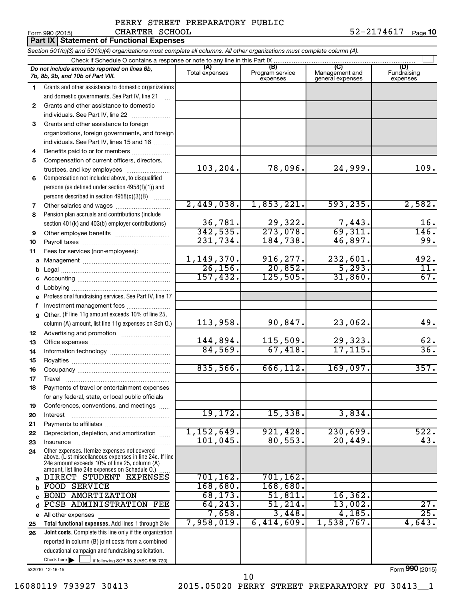#### PERRY STREET PREPARATORY PUBLIC CHARTER SCHOOL

|          | CHARTER SCHOOL<br>Form 990 (2015)                                                                                                                           |                       |                                    |                                           | 52-2174617<br>Page 10          |
|----------|-------------------------------------------------------------------------------------------------------------------------------------------------------------|-----------------------|------------------------------------|-------------------------------------------|--------------------------------|
|          | <b>Part IX Statement of Functional Expenses</b>                                                                                                             |                       |                                    |                                           |                                |
|          | Section 501(c)(3) and 501(c)(4) organizations must complete all columns. All other organizations must complete column (A).                                  |                       |                                    |                                           |                                |
|          |                                                                                                                                                             |                       |                                    |                                           |                                |
|          | Do not include amounts reported on lines 6b,<br>7b, 8b, 9b, and 10b of Part VIII.                                                                           | (A)<br>Total expenses | (B)<br>Program service<br>expenses | (C)<br>Management and<br>general expenses | (D)<br>Fundraising<br>expenses |
| 1.       | Grants and other assistance to domestic organizations                                                                                                       |                       |                                    |                                           |                                |
|          | and domestic governments. See Part IV, line 21                                                                                                              |                       |                                    |                                           |                                |
| 2        | Grants and other assistance to domestic                                                                                                                     |                       |                                    |                                           |                                |
|          | individuals. See Part IV, line 22                                                                                                                           |                       |                                    |                                           |                                |
| 3        | Grants and other assistance to foreign                                                                                                                      |                       |                                    |                                           |                                |
|          | organizations, foreign governments, and foreign                                                                                                             |                       |                                    |                                           |                                |
|          | individuals. See Part IV, lines 15 and 16                                                                                                                   |                       |                                    |                                           |                                |
| 4        | Benefits paid to or for members                                                                                                                             |                       |                                    |                                           |                                |
| 5        | Compensation of current officers, directors,                                                                                                                |                       |                                    |                                           |                                |
|          | trustees, and key employees                                                                                                                                 | 103,204.              | 78,096.                            | 24,999.                                   | 109.                           |
| 6        | Compensation not included above, to disqualified                                                                                                            |                       |                                    |                                           |                                |
|          | persons (as defined under section 4958(f)(1)) and                                                                                                           |                       |                                    |                                           |                                |
|          | persons described in section 4958(c)(3)(B)                                                                                                                  | 2,449,038.            | 1,853,221.                         | 593, 235.                                 | 2,582.                         |
| 7        |                                                                                                                                                             |                       |                                    |                                           |                                |
| 8        | Pension plan accruals and contributions (include                                                                                                            | 36,781.               | 29,322.                            |                                           | 16.                            |
| 9        | section 401(k) and 403(b) employer contributions)                                                                                                           | 342,535.              | 273,078.                           | $\frac{7,443}{69,311}$                    | 146.                           |
| 10       | Other employee benefits                                                                                                                                     | 231,734.              | 184,738.                           | 46,897.                                   | 99.                            |
| 11       | Fees for services (non-employees):                                                                                                                          |                       |                                    |                                           |                                |
| а        |                                                                                                                                                             | 1,149,370.            | 916,277.                           | 232,601.                                  | 492.                           |
| b        |                                                                                                                                                             | 26, 156.              | 20,852.                            | 5,293.                                    | 11.                            |
| с        |                                                                                                                                                             | 157,432.              | 125,505.                           | 31,860.                                   | 67.                            |
| d        |                                                                                                                                                             |                       |                                    |                                           |                                |
| е        | Professional fundraising services. See Part IV, line 17                                                                                                     |                       |                                    |                                           |                                |
| f        | Investment management fees                                                                                                                                  |                       |                                    |                                           |                                |
| g        | Other. (If line 11g amount exceeds 10% of line 25,                                                                                                          |                       |                                    |                                           |                                |
|          | column (A) amount, list line 11g expenses on Sch O.)                                                                                                        | 113,958.              | 90,847.                            | 23,062.                                   | 49.                            |
| 12       |                                                                                                                                                             |                       |                                    |                                           |                                |
| 13       |                                                                                                                                                             | 144,894.              | 115,509.                           | 29,323.                                   | 62.                            |
| 14       |                                                                                                                                                             | 84,569.               | 67,418.                            | 17, 115.                                  | 36.                            |
| 15       |                                                                                                                                                             |                       |                                    |                                           |                                |
| 16       |                                                                                                                                                             | 835,566.              | <u>666,112.</u>                    | 169,097.                                  | 357.                           |
| 17       | Travel                                                                                                                                                      |                       |                                    |                                           |                                |
| 18       | Payments of travel or entertainment expenses                                                                                                                |                       |                                    |                                           |                                |
|          | for any federal, state, or local public officials                                                                                                           |                       |                                    |                                           |                                |
| 19       | Conferences, conventions, and meetings                                                                                                                      | 19, 172.              | 15,338.                            | 3,834.                                    |                                |
| 20       | Interest                                                                                                                                                    |                       |                                    |                                           |                                |
| 21       |                                                                                                                                                             | 1,152,649.            | 921, 428.                          | 230,699.                                  | 522.                           |
| 22       | Depreciation, depletion, and amortization                                                                                                                   | 101,045.              | 80,553.                            | 20,449.                                   | 43.                            |
| 23<br>24 | Insurance<br>Other expenses. Itemize expenses not covered                                                                                                   |                       |                                    |                                           |                                |
|          | above. (List miscellaneous expenses in line 24e. If line<br>24e amount exceeds 10% of line 25, column (A)<br>amount, list line 24e expenses on Schedule 0.) |                       |                                    |                                           |                                |
| a        | DIRECT STUDENT EXPENSES                                                                                                                                     | 701, 162.             | 701, 162.                          |                                           |                                |
| b        | FOOD SERVICE                                                                                                                                                | 168,680.              | 168,680.                           |                                           |                                |
|          | <b>BOND AMORTIZATION</b>                                                                                                                                    | 68, 173.              | 51,811.                            | 16, 362.                                  |                                |
| d        | PCSB ADMINISTRATION FEE                                                                                                                                     | 64,243.               | 51,214.                            | 13,002.                                   | 27.                            |
|          | e All other expenses                                                                                                                                        | 7,658.                | 3,448.                             | 4,185.                                    | 25.                            |
| 25       | Total functional expenses. Add lines 1 through 24e                                                                                                          | 7,958,019.            | 6,414,609.                         | 1,538,767.                                | 4,643.                         |
| 26       | <b>Joint costs.</b> Complete this line only if the organization                                                                                             |                       |                                    |                                           |                                |
|          | reported in column (B) joint costs from a combined                                                                                                          |                       |                                    |                                           |                                |
|          | educational campaign and fundraising solicitation.                                                                                                          |                       |                                    |                                           |                                |
|          | Check here if following SOP 98-2 (ASC 958-720)                                                                                                              |                       |                                    |                                           |                                |

532010 12-16-15

16080119 793927 30413 2015.05020 PERRY STREET PREPARATORY PU 30413\_\_1 10

Form (2015) **990**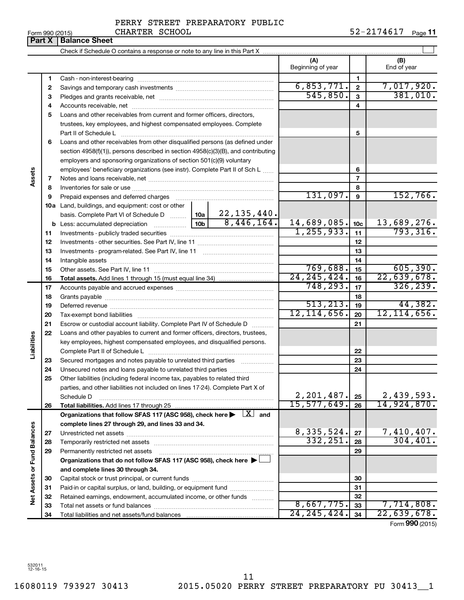**Part X** | Balance Sheet

#### PERRY STREET PREPARATORY PUBLIC CHARTER SCHOOL

Form 990 (2015) CHARTER SCHOOL 5 2-2174617 <sub>Page</sub> 11

 $\perp$ Check if Schedule O contains a response or note to any line in this Part X **(A) (B)** Beginning of year  $\begin{vmatrix} 1 & 1 \end{vmatrix}$  End of year **1 1** Cash - non-interest-bearing ~~~~~~~~~~~~~~~~~~~~~~~~~  $6,853,771. | 2 | 7,017,920.$ **2 2** Savings and temporary cash investments ~~~~~~~~~~~~~~~~~~  $\overline{545,850.}$  3 381,010. **3 3** Pledges and grants receivable, net ~~~~~~~~~~~~~~~~~~~~~ **4 4** Accounts receivable, net ~~~~~~~~~~~~~~~~~~~~~~~~~~ **5** Loans and other receivables from current and former officers, directors, trustees, key employees, and highest compensated employees. Complete **5** Part II of Schedule L ~~~~~~~~~~~~~~~~~~~~~~~~~~~~ **6** Loans and other receivables from other disqualified persons (as defined under section 4958(f)(1)), persons described in section 4958(c)(3)(B), and contributing employers and sponsoring organizations of section 501(c)(9) voluntary employees' beneficiary organizations (see instr). Complete Part II of Sch L ...... **6 Assets 7 7** Notes and loans receivable, net ~~~~~~~~~~~~~~~~~~~~~~~ **8 8** Inventories for sale or use ~~~~~~~~~~~~~~~~~~~~~~~~~~  $131,097.$  9  $152,766.$ **9 9** Prepaid expenses and deferred charges ~~~~~~~~~~~~~~~~~~ **10 a** Land, buildings, and equipment: cost or other 22,135,440. basis. Complete Part VI of Schedule D  $\frac{1}{10}$  10a  $8,446,164.$  14,689,085.  $10c$  13,689,276. **10c b** Less: accumulated depreciation  $\ldots$  [10b  $1,255,933.$   $11$  793,316. **11 11** Investments - publicly traded securities ~~~~~~~~~~~~~~~~~~~ **12 12** Investments - other securities. See Part IV, line 11 ~~~~~~~~~~~~~~ **13 13** Investments - program-related. See Part IV, line 11 ~~~~~~~~~~~~~ **14 14** Intangible assets ~~~~~~~~~~~~~~~~~~~~~~~~~~~~~~ 769,688. 15 Other assets. See Part IV, line 11 ~~~~~~~~~~~~~~~~~~~~~~ **15 15**  $\overline{24}$ , 245, 424.  $\overline{16}$  22, 639, 678. **16 16 Total assets.**  Add lines 1 through 15 (must equal line 34) 748,293. 326,239. **17 17** Accounts payable and accrued expenses ~~~~~~~~~~~~~~~~~~ **18 18** Grants payable ~~~~~~~~~~~~~~~~~~~~~~~~~~~~~~~ 513,213. 44,382. **19 19** Deferred revenue ~~~~~~~~~~~~~~~~~~~~~~~~~~~~~~ 12,114,656. 12,114,656. **20 20** Tax-exempt bond liabilities ~~~~~~~~~~~~~~~~~~~~~~~~~ **21 21** Escrow or custodial account liability. Complete Part IV of Schedule D ........... **22** Loans and other payables to current and former officers, directors, trustees, **Liabilities** key employees, highest compensated employees, and disqualified persons. Complete Part II of Schedule L ~~~~~~~~~~~~~~~~~~~~~~~ **22** Secured mortgages and notes payable to unrelated third parties  $\ldots$ ................. **23 23 24** Unsecured notes and loans payable to unrelated third parties ~~~~~~~~ **24 25** Other liabilities (including federal income tax, payables to related third parties, and other liabilities not included on lines 17-24). Complete Part X of  $2,201,487.$   $2,439,593.$ Schedule D ~~~~~~~~~~~~~~~~~~~~~~~~~~~~~~~~ **25** 15,577,649. 14,924,870. **26 26 Total liabilities.**  Add lines 17 through 25 Organizations that follow SFAS 117 (ASC 958), check here  $\blacktriangleright$   $\boxed{X}$  and **complete lines 27 through 29, and lines 33 and 34. Vet Assets or Fund Balances Net Assets or Fund Balances** 8,335,524. 27 7,410,407. **27 27** Unrestricted net assets ~~~~~~~~~~~~~~~~~~~~~~~~~~~ 332,251. 304,401. **28 28** Temporarily restricted net assets ~~~~~~~~~~~~~~~~~~~~~~ **29 29** Permanently restricted net assets ~~~~~~~~~~~~~~~~~~~~~ **Organizations that do not follow SFAS 117 (ASC 958), check here** | † **and complete lines 30 through 34. 30 30** Capital stock or trust principal, or current funds ~~~~~~~~~~~~~~~ **31 31** Paid-in or capital surplus, or land, building, or equipment fund ....................... **32 32** Retained earnings, endowment, accumulated income, or other funds ............  $8,667,775.$  33 7,714,808. **33** Total net assets or fund balances ~~~~~~~~~~~~~~~~~~~~~~ **33** 24,245,424. 22,639,678. **34 34** Total liabilities and net assets/fund balances

Form (2015) **990**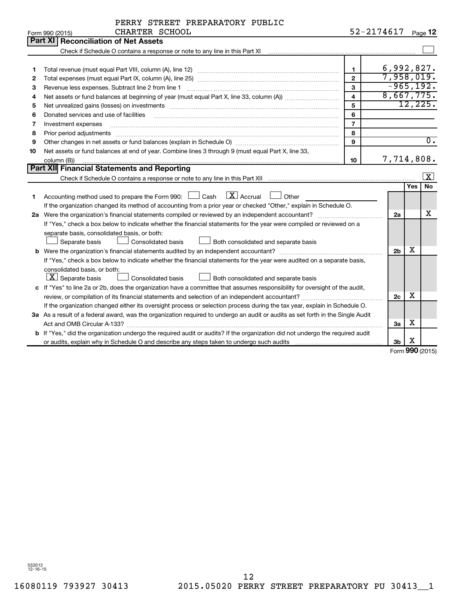|                |  | PERRY STREET PREPARATORY PUBLIC |  |
|----------------|--|---------------------------------|--|
| CHARTER SCHOOL |  |                                 |  |

|    | Form 990 (2015)<br>CHARTER SCHOOL                                                                                               | 52-2174617              |                |     | Page 12                   |
|----|---------------------------------------------------------------------------------------------------------------------------------|-------------------------|----------------|-----|---------------------------|
|    | <b>Part XI Reconciliation of Net Assets</b>                                                                                     |                         |                |     |                           |
|    | Check if Schedule O contains a response or note to any line in this Part XI                                                     |                         |                |     |                           |
|    |                                                                                                                                 |                         |                |     |                           |
| 1  |                                                                                                                                 | $\mathbf{1}$            | 6,992,827.     |     |                           |
| 2  |                                                                                                                                 | $\mathbf{2}$            | 7,958,019.     |     |                           |
| з  | Revenue less expenses. Subtract line 2 from line 1                                                                              | $\mathbf{3}$            | $-965, 192.$   |     |                           |
| 4  |                                                                                                                                 | $\overline{\mathbf{4}}$ | 8,667,775.     |     |                           |
| 5  | Net unrealized gains (losses) on investments [111] www.marting.com/marting.com/marting.com/marting.com/marting.                 | 5                       |                |     | 12, 225.                  |
| 6  | Donated services and use of facilities                                                                                          | 6                       |                |     |                           |
| 7  | Investment expenses                                                                                                             | $\overline{7}$          |                |     |                           |
| 8  | Prior period adjustments                                                                                                        | 8                       |                |     |                           |
| 9  |                                                                                                                                 | $\mathbf{Q}$            |                |     | $\overline{\mathbf{0}}$ . |
| 10 | Net assets or fund balances at end of year. Combine lines 3 through 9 (must equal Part X, line 33,                              |                         |                |     |                           |
|    | column (B))                                                                                                                     | 10                      | 7,714,808.     |     |                           |
|    | Part XII Financial Statements and Reporting                                                                                     |                         |                |     |                           |
|    |                                                                                                                                 |                         |                |     | $\overline{\mathbf{x}}$   |
|    |                                                                                                                                 |                         |                | Yes | <b>No</b>                 |
| 1  | $\lfloor x \rfloor$ Accrual<br>Accounting method used to prepare the Form 990: $\Box$ Cash<br>Other                             |                         |                |     |                           |
|    | If the organization changed its method of accounting from a prior year or checked "Other," explain in Schedule O.               |                         |                |     |                           |
|    | 2a Were the organization's financial statements compiled or reviewed by an independent accountant?                              |                         | 2a             |     | х                         |
|    | If "Yes," check a box below to indicate whether the financial statements for the year were compiled or reviewed on a            |                         |                |     |                           |
|    | separate basis, consolidated basis, or both:                                                                                    |                         |                |     |                           |
|    | Both consolidated and separate basis<br>Separate basis<br>Consolidated basis                                                    |                         |                |     |                           |
|    | <b>b</b> Were the organization's financial statements audited by an independent accountant?                                     |                         | 2 <sub>b</sub> | х   |                           |
|    | If "Yes," check a box below to indicate whether the financial statements for the year were audited on a separate basis,         |                         |                |     |                           |
|    | consolidated basis, or both:                                                                                                    |                         |                |     |                           |
|    | $ \mathbf{X} $ Separate basis<br>Consolidated basis<br>Both consolidated and separate basis                                     |                         |                |     |                           |
|    | c If "Yes" to line 2a or 2b, does the organization have a committee that assumes responsibility for oversight of the audit,     |                         |                |     |                           |
|    | review, or compilation of its financial statements and selection of an independent accountant?                                  |                         | 2 <sub>c</sub> | x   |                           |
|    | If the organization changed either its oversight process or selection process during the tax year, explain in Schedule O.       |                         |                |     |                           |
|    | 3a As a result of a federal award, was the organization required to undergo an audit or audits as set forth in the Single Audit |                         |                |     |                           |
|    |                                                                                                                                 |                         | За             | х   |                           |
|    | b If "Yes," did the organization undergo the required audit or audits? If the organization did not undergo the required audit   |                         |                |     |                           |
|    |                                                                                                                                 |                         | 3 <sub>b</sub> | X   |                           |

Form (2015) **990**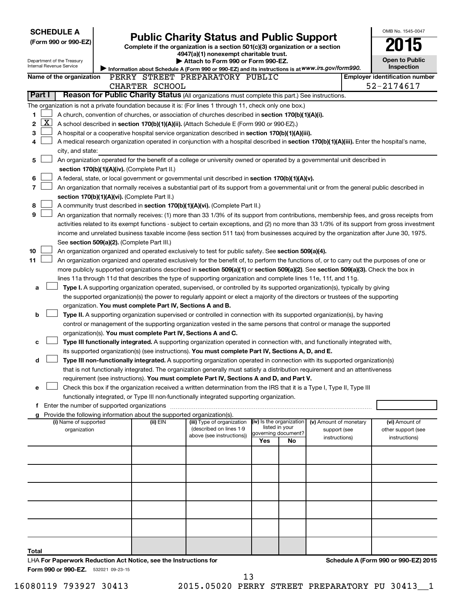| <b>SCHEDULE A</b>                                                                                       |                                                                                                                                                                                               |                                                                        |                                                                                                                                                                                                                                                                                            |                                       |    |                        |  | OMB No. 1545-0047                                   |  |  |
|---------------------------------------------------------------------------------------------------------|-----------------------------------------------------------------------------------------------------------------------------------------------------------------------------------------------|------------------------------------------------------------------------|--------------------------------------------------------------------------------------------------------------------------------------------------------------------------------------------------------------------------------------------------------------------------------------------|---------------------------------------|----|------------------------|--|-----------------------------------------------------|--|--|
| (Form 990 or 990-EZ)                                                                                    |                                                                                                                                                                                               |                                                                        | <b>Public Charity Status and Public Support</b>                                                                                                                                                                                                                                            |                                       |    |                        |  |                                                     |  |  |
|                                                                                                         |                                                                                                                                                                                               |                                                                        | Complete if the organization is a section 501(c)(3) organization or a section<br>4947(a)(1) nonexempt charitable trust.                                                                                                                                                                    |                                       |    |                        |  |                                                     |  |  |
| Department of the Treasury<br>Internal Revenue Service                                                  |                                                                                                                                                                                               |                                                                        | Attach to Form 990 or Form 990-EZ.                                                                                                                                                                                                                                                         |                                       |    |                        |  | <b>Open to Public</b>                               |  |  |
|                                                                                                         |                                                                                                                                                                                               |                                                                        | Information about Schedule A (Form 990 or 990-EZ) and its instructions is at WWW.irs.gov/form990.                                                                                                                                                                                          |                                       |    |                        |  | Inspection                                          |  |  |
| Name of the organization                                                                                |                                                                                                                                                                                               | CHARTER SCHOOL                                                         | PERRY STREET PREPARATORY PUBLIC                                                                                                                                                                                                                                                            |                                       |    |                        |  | <b>Employer identification number</b><br>52-2174617 |  |  |
| Part I                                                                                                  |                                                                                                                                                                                               |                                                                        | Reason for Public Charity Status (All organizations must complete this part.) See instructions.                                                                                                                                                                                            |                                       |    |                        |  |                                                     |  |  |
|                                                                                                         |                                                                                                                                                                                               |                                                                        | The organization is not a private foundation because it is: (For lines 1 through 11, check only one box.)                                                                                                                                                                                  |                                       |    |                        |  |                                                     |  |  |
| 1                                                                                                       |                                                                                                                                                                                               |                                                                        | A church, convention of churches, or association of churches described in section 170(b)(1)(A)(i).                                                                                                                                                                                         |                                       |    |                        |  |                                                     |  |  |
| $\mathbf{X}$<br>2                                                                                       |                                                                                                                                                                                               |                                                                        | A school described in section 170(b)(1)(A)(ii). (Attach Schedule E (Form 990 or 990-EZ).)                                                                                                                                                                                                  |                                       |    |                        |  |                                                     |  |  |
| 3                                                                                                       |                                                                                                                                                                                               |                                                                        | A hospital or a cooperative hospital service organization described in section 170(b)(1)(A)(iii).                                                                                                                                                                                          |                                       |    |                        |  |                                                     |  |  |
| 4                                                                                                       |                                                                                                                                                                                               |                                                                        | A medical research organization operated in conjunction with a hospital described in section 170(b)(1)(A)(iii). Enter the hospital's name,                                                                                                                                                 |                                       |    |                        |  |                                                     |  |  |
| city, and state:                                                                                        |                                                                                                                                                                                               |                                                                        |                                                                                                                                                                                                                                                                                            |                                       |    |                        |  |                                                     |  |  |
| 5                                                                                                       |                                                                                                                                                                                               |                                                                        | An organization operated for the benefit of a college or university owned or operated by a governmental unit described in                                                                                                                                                                  |                                       |    |                        |  |                                                     |  |  |
|                                                                                                         |                                                                                                                                                                                               | section 170(b)(1)(A)(iv). (Complete Part II.)                          |                                                                                                                                                                                                                                                                                            |                                       |    |                        |  |                                                     |  |  |
| 6                                                                                                       |                                                                                                                                                                                               |                                                                        | A federal, state, or local government or governmental unit described in section 170(b)(1)(A)(v).                                                                                                                                                                                           |                                       |    |                        |  |                                                     |  |  |
| 7                                                                                                       |                                                                                                                                                                                               |                                                                        | An organization that normally receives a substantial part of its support from a governmental unit or from the general public described in                                                                                                                                                  |                                       |    |                        |  |                                                     |  |  |
|                                                                                                         |                                                                                                                                                                                               | section 170(b)(1)(A)(vi). (Complete Part II.)                          |                                                                                                                                                                                                                                                                                            |                                       |    |                        |  |                                                     |  |  |
| 8<br>9                                                                                                  |                                                                                                                                                                                               |                                                                        | A community trust described in section 170(b)(1)(A)(vi). (Complete Part II.)                                                                                                                                                                                                               |                                       |    |                        |  |                                                     |  |  |
|                                                                                                         |                                                                                                                                                                                               |                                                                        | An organization that normally receives: (1) more than 33 1/3% of its support from contributions, membership fees, and gross receipts from<br>activities related to its exempt functions - subject to certain exceptions, and (2) no more than 33 1/3% of its support from gross investment |                                       |    |                        |  |                                                     |  |  |
|                                                                                                         |                                                                                                                                                                                               |                                                                        | income and unrelated business taxable income (less section 511 tax) from businesses acquired by the organization after June 30, 1975.                                                                                                                                                      |                                       |    |                        |  |                                                     |  |  |
|                                                                                                         |                                                                                                                                                                                               | See section 509(a)(2). (Complete Part III.)                            |                                                                                                                                                                                                                                                                                            |                                       |    |                        |  |                                                     |  |  |
| 10                                                                                                      |                                                                                                                                                                                               |                                                                        | An organization organized and operated exclusively to test for public safety. See section 509(a)(4).                                                                                                                                                                                       |                                       |    |                        |  |                                                     |  |  |
| 11                                                                                                      |                                                                                                                                                                                               |                                                                        | An organization organized and operated exclusively for the benefit of, to perform the functions of, or to carry out the purposes of one or                                                                                                                                                 |                                       |    |                        |  |                                                     |  |  |
|                                                                                                         |                                                                                                                                                                                               |                                                                        | more publicly supported organizations described in section 509(a)(1) or section 509(a)(2). See section 509(a)(3). Check the box in                                                                                                                                                         |                                       |    |                        |  |                                                     |  |  |
|                                                                                                         |                                                                                                                                                                                               |                                                                        | lines 11a through 11d that describes the type of supporting organization and complete lines 11e, 11f, and 11g.                                                                                                                                                                             |                                       |    |                        |  |                                                     |  |  |
| а                                                                                                       |                                                                                                                                                                                               |                                                                        | Type I. A supporting organization operated, supervised, or controlled by its supported organization(s), typically by giving                                                                                                                                                                |                                       |    |                        |  |                                                     |  |  |
|                                                                                                         | the supported organization(s) the power to regularly appoint or elect a majority of the directors or trustees of the supporting<br>organization. You must complete Part IV, Sections A and B. |                                                                        |                                                                                                                                                                                                                                                                                            |                                       |    |                        |  |                                                     |  |  |
| b                                                                                                       |                                                                                                                                                                                               |                                                                        | Type II. A supporting organization supervised or controlled in connection with its supported organization(s), by having                                                                                                                                                                    |                                       |    |                        |  |                                                     |  |  |
|                                                                                                         |                                                                                                                                                                                               |                                                                        | control or management of the supporting organization vested in the same persons that control or manage the supported                                                                                                                                                                       |                                       |    |                        |  |                                                     |  |  |
|                                                                                                         |                                                                                                                                                                                               | organization(s). You must complete Part IV, Sections A and C.          |                                                                                                                                                                                                                                                                                            |                                       |    |                        |  |                                                     |  |  |
| c                                                                                                       |                                                                                                                                                                                               |                                                                        | Type III functionally integrated. A supporting organization operated in connection with, and functionally integrated with,                                                                                                                                                                 |                                       |    |                        |  |                                                     |  |  |
|                                                                                                         |                                                                                                                                                                                               |                                                                        | its supported organization(s) (see instructions). You must complete Part IV, Sections A, D, and E.                                                                                                                                                                                         |                                       |    |                        |  |                                                     |  |  |
| d                                                                                                       |                                                                                                                                                                                               |                                                                        | Type III non-functionally integrated. A supporting organization operated in connection with its supported organization(s)                                                                                                                                                                  |                                       |    |                        |  |                                                     |  |  |
|                                                                                                         |                                                                                                                                                                                               |                                                                        | that is not functionally integrated. The organization generally must satisfy a distribution requirement and an attentiveness                                                                                                                                                               |                                       |    |                        |  |                                                     |  |  |
|                                                                                                         |                                                                                                                                                                                               |                                                                        | requirement (see instructions). You must complete Part IV, Sections A and D, and Part V.                                                                                                                                                                                                   |                                       |    |                        |  |                                                     |  |  |
| е                                                                                                       |                                                                                                                                                                                               |                                                                        | Check this box if the organization received a written determination from the IRS that it is a Type I, Type II, Type III                                                                                                                                                                    |                                       |    |                        |  |                                                     |  |  |
|                                                                                                         |                                                                                                                                                                                               |                                                                        | functionally integrated, or Type III non-functionally integrated supporting organization.                                                                                                                                                                                                  |                                       |    |                        |  |                                                     |  |  |
| g                                                                                                       |                                                                                                                                                                                               | Provide the following information about the supported organization(s). |                                                                                                                                                                                                                                                                                            |                                       |    |                        |  |                                                     |  |  |
| (i) Name of supported                                                                                   |                                                                                                                                                                                               | (ii) EIN                                                               | (iii) Type of organization                                                                                                                                                                                                                                                                 | (iv) Is the organization              |    | (v) Amount of monetary |  | (vi) Amount of                                      |  |  |
| organization                                                                                            |                                                                                                                                                                                               |                                                                        | (described on lines 1-9<br>above (see instructions))                                                                                                                                                                                                                                       | listed in your<br>governing document? |    | support (see           |  | other support (see                                  |  |  |
|                                                                                                         |                                                                                                                                                                                               |                                                                        |                                                                                                                                                                                                                                                                                            | Yes                                   | No | instructions)          |  | instructions)                                       |  |  |
|                                                                                                         |                                                                                                                                                                                               |                                                                        |                                                                                                                                                                                                                                                                                            |                                       |    |                        |  |                                                     |  |  |
|                                                                                                         |                                                                                                                                                                                               |                                                                        |                                                                                                                                                                                                                                                                                            |                                       |    |                        |  |                                                     |  |  |
|                                                                                                         |                                                                                                                                                                                               |                                                                        |                                                                                                                                                                                                                                                                                            |                                       |    |                        |  |                                                     |  |  |
|                                                                                                         |                                                                                                                                                                                               |                                                                        |                                                                                                                                                                                                                                                                                            |                                       |    |                        |  |                                                     |  |  |
|                                                                                                         |                                                                                                                                                                                               |                                                                        |                                                                                                                                                                                                                                                                                            |                                       |    |                        |  |                                                     |  |  |
|                                                                                                         |                                                                                                                                                                                               |                                                                        |                                                                                                                                                                                                                                                                                            |                                       |    |                        |  |                                                     |  |  |
|                                                                                                         |                                                                                                                                                                                               |                                                                        |                                                                                                                                                                                                                                                                                            |                                       |    |                        |  |                                                     |  |  |
|                                                                                                         |                                                                                                                                                                                               |                                                                        |                                                                                                                                                                                                                                                                                            |                                       |    |                        |  |                                                     |  |  |
|                                                                                                         |                                                                                                                                                                                               |                                                                        |                                                                                                                                                                                                                                                                                            |                                       |    |                        |  |                                                     |  |  |
|                                                                                                         |                                                                                                                                                                                               |                                                                        |                                                                                                                                                                                                                                                                                            |                                       |    |                        |  |                                                     |  |  |
| Total                                                                                                   |                                                                                                                                                                                               |                                                                        |                                                                                                                                                                                                                                                                                            |                                       |    |                        |  |                                                     |  |  |
| LHA For Paperwork Reduction Act Notice, see the Instructions for<br>Form 990 or 990-EZ. 532021 09-23-15 |                                                                                                                                                                                               |                                                                        |                                                                                                                                                                                                                                                                                            |                                       |    |                        |  | Schedule A (Form 990 or 990-EZ) 2015                |  |  |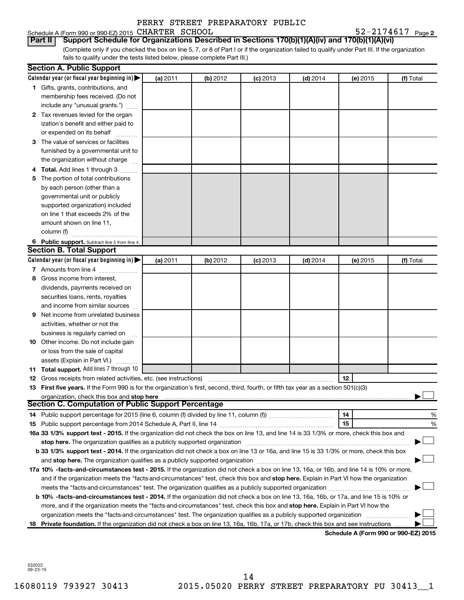Schedule A (Form 990 or 990-EZ) 2015 CHARTER SCHOOL  $52-2174617$  Page

52-2174617 Page 2

(Complete only if you checked the box on line 5, 7, or 8 of Part I or if the organization failed to qualify under Part III. If the organization fails to qualify under the tests listed below, please complete Part III.) **Part II Support Schedule for Organizations Described in Sections 170(b)(1)(A)(iv) and 170(b)(1)(A)(vi)**

|    | <b>Section A. Public Support</b>                                                                                                           |          |          |            |            |                                      |           |
|----|--------------------------------------------------------------------------------------------------------------------------------------------|----------|----------|------------|------------|--------------------------------------|-----------|
|    | Calendar year (or fiscal year beginning in) $\blacktriangleright$                                                                          | (a) 2011 | (b) 2012 | $(c)$ 2013 | $(d)$ 2014 | (e) 2015                             | (f) Total |
|    | 1 Gifts, grants, contributions, and                                                                                                        |          |          |            |            |                                      |           |
|    | membership fees received. (Do not                                                                                                          |          |          |            |            |                                      |           |
|    | include any "unusual grants.")                                                                                                             |          |          |            |            |                                      |           |
|    | 2 Tax revenues levied for the organ-                                                                                                       |          |          |            |            |                                      |           |
|    | ization's benefit and either paid to                                                                                                       |          |          |            |            |                                      |           |
|    | or expended on its behalf                                                                                                                  |          |          |            |            |                                      |           |
|    | 3 The value of services or facilities                                                                                                      |          |          |            |            |                                      |           |
|    | furnished by a governmental unit to                                                                                                        |          |          |            |            |                                      |           |
|    | the organization without charge                                                                                                            |          |          |            |            |                                      |           |
|    | 4 Total. Add lines 1 through 3                                                                                                             |          |          |            |            |                                      |           |
| 5  | The portion of total contributions                                                                                                         |          |          |            |            |                                      |           |
|    | by each person (other than a                                                                                                               |          |          |            |            |                                      |           |
|    | governmental unit or publicly                                                                                                              |          |          |            |            |                                      |           |
|    | supported organization) included                                                                                                           |          |          |            |            |                                      |           |
|    | on line 1 that exceeds 2% of the                                                                                                           |          |          |            |            |                                      |           |
|    | amount shown on line 11,                                                                                                                   |          |          |            |            |                                      |           |
|    | column (f)                                                                                                                                 |          |          |            |            |                                      |           |
|    | 6 Public support. Subtract line 5 from line 4.                                                                                             |          |          |            |            |                                      |           |
|    | <b>Section B. Total Support</b>                                                                                                            |          |          |            |            |                                      |           |
|    | Calendar year (or fiscal year beginning in)                                                                                                | (a) 2011 | (b) 2012 | $(c)$ 2013 | $(d)$ 2014 | (e) 2015                             | (f) Total |
|    | 7 Amounts from line 4                                                                                                                      |          |          |            |            |                                      |           |
| 8  | Gross income from interest,                                                                                                                |          |          |            |            |                                      |           |
|    | dividends, payments received on                                                                                                            |          |          |            |            |                                      |           |
|    | securities loans, rents, royalties                                                                                                         |          |          |            |            |                                      |           |
|    | and income from similar sources                                                                                                            |          |          |            |            |                                      |           |
| 9  | Net income from unrelated business                                                                                                         |          |          |            |            |                                      |           |
|    | activities, whether or not the                                                                                                             |          |          |            |            |                                      |           |
|    | business is regularly carried on                                                                                                           |          |          |            |            |                                      |           |
|    | <b>10</b> Other income. Do not include gain                                                                                                |          |          |            |            |                                      |           |
|    | or loss from the sale of capital                                                                                                           |          |          |            |            |                                      |           |
|    | assets (Explain in Part VI.)                                                                                                               |          |          |            |            |                                      |           |
|    | 11 Total support. Add lines 7 through 10                                                                                                   |          |          |            |            |                                      |           |
|    | <b>12</b> Gross receipts from related activities, etc. (see instructions)                                                                  |          |          |            |            | 12                                   |           |
|    | 13 First five years. If the Form 990 is for the organization's first, second, third, fourth, or fifth tax year as a section 501(c)(3)      |          |          |            |            |                                      |           |
|    | organization, check this box and stop here                                                                                                 |          |          |            |            |                                      |           |
|    | <b>Section C. Computation of Public Support Percentage</b>                                                                                 |          |          |            |            |                                      |           |
|    |                                                                                                                                            |          |          |            |            | 14                                   | %         |
|    |                                                                                                                                            |          |          |            |            | 15                                   | %         |
|    | 16a 33 1/3% support test - 2015. If the organization did not check the box on line 13, and line 14 is 33 1/3% or more, check this box and  |          |          |            |            |                                      |           |
|    | stop here. The organization qualifies as a publicly supported organization                                                                 |          |          |            |            |                                      |           |
|    | b 33 1/3% support test - 2014. If the organization did not check a box on line 13 or 16a, and line 15 is 33 1/3% or more, check this box   |          |          |            |            |                                      |           |
|    |                                                                                                                                            |          |          |            |            |                                      |           |
|    | 17a 10% -facts-and-circumstances test - 2015. If the organization did not check a box on line 13, 16a, or 16b, and line 14 is 10% or more, |          |          |            |            |                                      |           |
|    | and if the organization meets the "facts-and-circumstances" test, check this box and stop here. Explain in Part VI how the organization    |          |          |            |            |                                      |           |
|    |                                                                                                                                            |          |          |            |            |                                      |           |
|    | b 10% -facts-and-circumstances test - 2014. If the organization did not check a box on line 13, 16a, 16b, or 17a, and line 15 is 10% or    |          |          |            |            |                                      |           |
|    | more, and if the organization meets the "facts-and-circumstances" test, check this box and stop here. Explain in Part VI how the           |          |          |            |            |                                      |           |
|    | organization meets the "facts-and-circumstances" test. The organization qualifies as a publicly supported organization                     |          |          |            |            |                                      |           |
| 18 | Private foundation. If the organization did not check a box on line 13, 16a, 16b, 17a, or 17b, check this box and see instructions         |          |          |            |            |                                      |           |
|    |                                                                                                                                            |          |          |            |            | Schedule A (Form 990 or 990-EZ) 2015 |           |

532022 09-23-15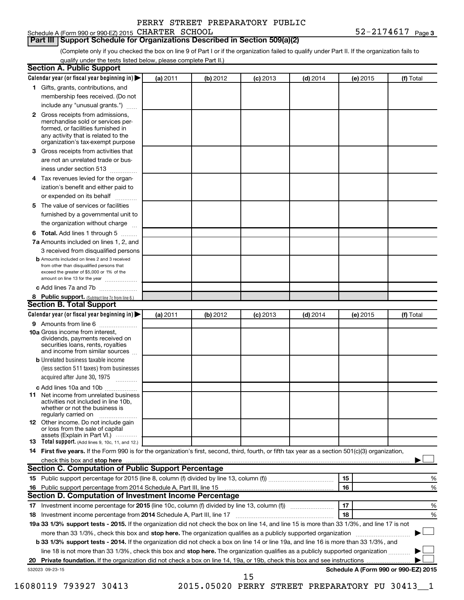# **Part III Support Schedule for Organizations Described in Section 509(a)(2)**

(Complete only if you checked the box on line 9 of Part I or if the organization failed to qualify under Part II. If the organization fails to qualify under the tests listed below, please complete Part II.)

|    | Calendar year (or fiscal year beginning in)                                                                                                                                              | (a) 2011 | (b) 2012 | $(c)$ 2013                                     | $(d)$ 2014 |    | (e) 2015 | (f) Total                            |
|----|------------------------------------------------------------------------------------------------------------------------------------------------------------------------------------------|----------|----------|------------------------------------------------|------------|----|----------|--------------------------------------|
|    | 1 Gifts, grants, contributions, and                                                                                                                                                      |          |          |                                                |            |    |          |                                      |
|    | membership fees received. (Do not                                                                                                                                                        |          |          |                                                |            |    |          |                                      |
|    | include any "unusual grants.")                                                                                                                                                           |          |          |                                                |            |    |          |                                      |
|    | 2 Gross receipts from admissions,<br>merchandise sold or services per-<br>formed, or facilities furnished in<br>any activity that is related to the<br>organization's tax-exempt purpose |          |          |                                                |            |    |          |                                      |
| 3  | Gross receipts from activities that                                                                                                                                                      |          |          |                                                |            |    |          |                                      |
|    | are not an unrelated trade or bus-                                                                                                                                                       |          |          |                                                |            |    |          |                                      |
|    | iness under section 513                                                                                                                                                                  |          |          |                                                |            |    |          |                                      |
| 4  | Tax revenues levied for the organ-                                                                                                                                                       |          |          |                                                |            |    |          |                                      |
|    | ization's benefit and either paid to<br>or expended on its behalf<br>.                                                                                                                   |          |          |                                                |            |    |          |                                      |
| 5. | The value of services or facilities                                                                                                                                                      |          |          |                                                |            |    |          |                                      |
|    | furnished by a governmental unit to<br>the organization without charge                                                                                                                   |          |          |                                                |            |    |          |                                      |
|    |                                                                                                                                                                                          |          |          |                                                |            |    |          |                                      |
| 6  | Total. Add lines 1 through 5                                                                                                                                                             |          |          |                                                |            |    |          |                                      |
|    | 7a Amounts included on lines 1, 2, and                                                                                                                                                   |          |          |                                                |            |    |          |                                      |
|    | 3 received from disqualified persons<br><b>b</b> Amounts included on lines 2 and 3 received                                                                                              |          |          |                                                |            |    |          |                                      |
|    | from other than disqualified persons that<br>exceed the greater of \$5,000 or 1% of the<br>amount on line 13 for the year                                                                |          |          |                                                |            |    |          |                                      |
|    | c Add lines 7a and 7b                                                                                                                                                                    |          |          |                                                |            |    |          |                                      |
|    | 8 Public support. (Subtract line 7c from line 6.)                                                                                                                                        |          |          |                                                |            |    |          |                                      |
|    | <b>Section B. Total Support</b>                                                                                                                                                          |          |          |                                                |            |    |          |                                      |
|    | Calendar year (or fiscal year beginning in)                                                                                                                                              | (a) 2011 | (b) 2012 | $(c)$ 2013                                     | $(d)$ 2014 |    | (e) 2015 | (f) Total                            |
|    | 9 Amounts from line 6                                                                                                                                                                    |          |          |                                                |            |    |          |                                      |
|    | <b>10a</b> Gross income from interest,<br>dividends, payments received on<br>securities loans, rents, royalties<br>and income from similar sources                                       |          |          |                                                |            |    |          |                                      |
|    | <b>b</b> Unrelated business taxable income                                                                                                                                               |          |          |                                                |            |    |          |                                      |
|    | (less section 511 taxes) from businesses<br>acquired after June 30, 1975                                                                                                                 |          |          |                                                |            |    |          |                                      |
|    | c Add lines 10a and 10b                                                                                                                                                                  |          |          |                                                |            |    |          |                                      |
| 11 | Net income from unrelated business<br>activities not included in line 10b.<br>whether or not the business is<br>regularly carried on                                                     |          |          |                                                |            |    |          |                                      |
|    | <b>12</b> Other income. Do not include gain<br>or loss from the sale of capital<br>assets (Explain in Part VI.)                                                                          |          |          |                                                |            |    |          |                                      |
|    | <b>13</b> Total support. (Add lines 9, 10c, 11, and 12.)                                                                                                                                 |          |          |                                                |            |    |          |                                      |
|    | 14 First five years. If the Form 990 is for the organization's first, second, third, fourth, or fifth tax year as a section 501(c)(3) organization,                                      |          |          |                                                |            |    |          |                                      |
|    | check this box and stop here <b>contained and according to the contained and stop here</b> check this box and stop here                                                                  |          |          |                                                |            |    |          |                                      |
|    | Section C. Computation of Public Support Percentage                                                                                                                                      |          |          |                                                |            |    |          |                                      |
|    |                                                                                                                                                                                          |          |          |                                                |            | 15 |          | %                                    |
|    |                                                                                                                                                                                          |          |          |                                                |            | 16 |          | %                                    |
|    | Section D. Computation of Investment Income Percentage                                                                                                                                   |          |          |                                                |            |    |          |                                      |
|    |                                                                                                                                                                                          |          |          |                                                |            | 17 |          | %                                    |
|    |                                                                                                                                                                                          |          |          |                                                |            | 18 |          | %                                    |
|    | 19a 33 1/3% support tests - 2015. If the organization did not check the box on line 14, and line 15 is more than 33 1/3%, and line 17 is not                                             |          |          |                                                |            |    |          |                                      |
|    | more than 33 1/3%, check this box and stop here. The organization qualifies as a publicly supported organization <i>marroummanness</i>                                                   |          |          |                                                |            |    |          |                                      |
|    | b 33 1/3% support tests - 2014. If the organization did not check a box on line 14 or line 19a, and line 16 is more than 33 1/3%, and                                                    |          |          |                                                |            |    |          |                                      |
|    | line 18 is not more than 33 1/3%, check this box and stop here. The organization qualifies as a publicly supported organization                                                          |          |          |                                                |            |    |          |                                      |
|    |                                                                                                                                                                                          |          |          |                                                |            |    |          |                                      |
|    | 532023 09-23-15                                                                                                                                                                          |          |          | 15                                             |            |    |          | Schedule A (Form 990 or 990-EZ) 2015 |
|    | 16080119 793927 30413                                                                                                                                                                    |          |          | 2015.05020 PERRY STREET PREPARATORY PU 30413_1 |            |    |          |                                      |
|    |                                                                                                                                                                                          |          |          |                                                |            |    |          |                                      |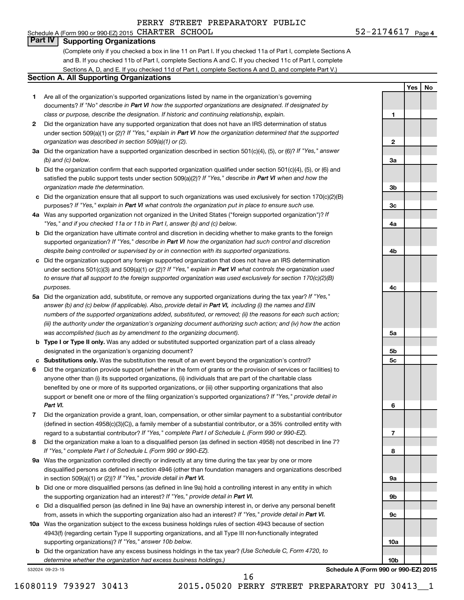### Schedule A (Form 990 or 990-EZ) 2015 CHARTER SCHOOL  $52-2174617$  Page **Part IV Supporting Organizations**

(Complete only if you checked a box in line 11 on Part I. If you checked 11a of Part I, complete Sections A and B. If you checked 11b of Part I, complete Sections A and C. If you checked 11c of Part I, complete Sections A, D, and E. If you checked 11d of Part I, complete Sections A and D, and complete Part V.)

#### **Section A. All Supporting Organizations**

- **1** Are all of the organization's supported organizations listed by name in the organization's governing documents? If "No" describe in Part VI how the supported organizations are designated. If designated by *class or purpose, describe the designation. If historic and continuing relationship, explain.*
- **2** Did the organization have any supported organization that does not have an IRS determination of status under section 509(a)(1) or (2)? If "Yes," explain in Part VI how the organization determined that the supported *organization was described in section 509(a)(1) or (2).*
- **3a** Did the organization have a supported organization described in section 501(c)(4), (5), or (6)? If "Yes," answer *(b) and (c) below.*
- **b** Did the organization confirm that each supported organization qualified under section 501(c)(4), (5), or (6) and satisfied the public support tests under section 509(a)(2)? If "Yes," describe in Part VI when and how the *organization made the determination.*
- **c** Did the organization ensure that all support to such organizations was used exclusively for section 170(c)(2)(B) purposes? If "Yes," explain in Part VI what controls the organization put in place to ensure such use.
- **4 a** *If* Was any supported organization not organized in the United States ("foreign supported organization")? *"Yes," and if you checked 11a or 11b in Part I, answer (b) and (c) below.*
- **b** Did the organization have ultimate control and discretion in deciding whether to make grants to the foreign supported organization? If "Yes," describe in Part VI how the organization had such control and discretion *despite being controlled or supervised by or in connection with its supported organizations.*
- **c** Did the organization support any foreign supported organization that does not have an IRS determination under sections 501(c)(3) and 509(a)(1) or (2)? If "Yes," explain in Part VI what controls the organization used *to ensure that all support to the foreign supported organization was used exclusively for section 170(c)(2)(B) purposes.*
- **5a** Did the organization add, substitute, or remove any supported organizations during the tax year? If "Yes," answer (b) and (c) below (if applicable). Also, provide detail in Part VI, including (i) the names and EIN *numbers of the supported organizations added, substituted, or removed; (ii) the reasons for each such action; (iii) the authority under the organization's organizing document authorizing such action; and (iv) how the action was accomplished (such as by amendment to the organizing document).*
- **b Type I or Type II only.** Was any added or substituted supported organization part of a class already designated in the organization's organizing document?
- **c Substitutions only.**  Was the substitution the result of an event beyond the organization's control?
- **6** Did the organization provide support (whether in the form of grants or the provision of services or facilities) to support or benefit one or more of the filing organization's supported organizations? If "Yes," provide detail in anyone other than (i) its supported organizations, (ii) individuals that are part of the charitable class benefited by one or more of its supported organizations, or (iii) other supporting organizations that also *Part VI.*
- **7** Did the organization provide a grant, loan, compensation, or other similar payment to a substantial contributor regard to a substantial contributor? If "Yes," complete Part I of Schedule L (Form 990 or 990-EZ). (defined in section 4958(c)(3)(C)), a family member of a substantial contributor, or a 35% controlled entity with
- **8** Did the organization make a loan to a disqualified person (as defined in section 4958) not described in line 7? *If "Yes," complete Part I of Schedule L (Form 990 or 990-EZ).*
- **9 a** Was the organization controlled directly or indirectly at any time during the tax year by one or more in section 509(a)(1) or (2))? If "Yes," provide detail in Part VI. disqualified persons as defined in section 4946 (other than foundation managers and organizations described
- **b** Did one or more disqualified persons (as defined in line 9a) hold a controlling interest in any entity in which the supporting organization had an interest? If "Yes," provide detail in Part VI.
- **c** Did a disqualified person (as defined in line 9a) have an ownership interest in, or derive any personal benefit from, assets in which the supporting organization also had an interest? If "Yes," provide detail in Part VI.
- **10 a** Was the organization subject to the excess business holdings rules of section 4943 because of section supporting organizations)? If "Yes," answer 10b below. 4943(f) (regarding certain Type II supporting organizations, and all Type III non-functionally integrated
	- **b** Did the organization have any excess business holdings in the tax year? (Use Schedule C, Form 4720, to *determine whether the organization had excess business holdings.)*

532024 09-23-15

**Yes No 1 2 3a 3b 3c 4a 4b 4c 5a 5b 5c 6 7 8 9a 9b**

**Schedule A (Form 990 or 990-EZ) 2015**

**9c**

**10a**

**10b**

16

16080119 793927 30413 2015.05020 PERRY STREET PREPARATORY PU 30413\_\_1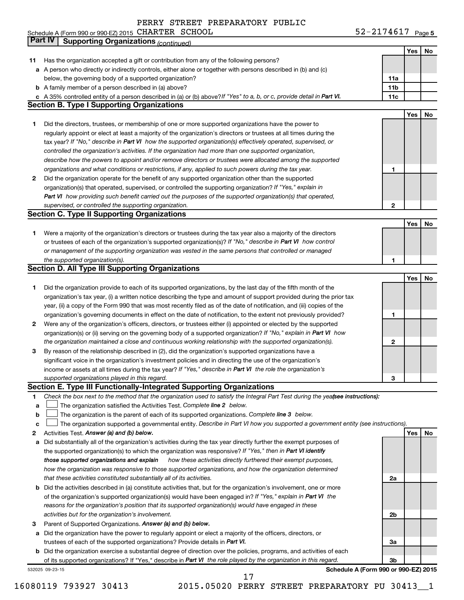|    | Schedule A (Form 990 or 990-EZ) 2015 CHARTER SCHOOL                                                                             | $52 - 2174617$ Page 5 |     |    |
|----|---------------------------------------------------------------------------------------------------------------------------------|-----------------------|-----|----|
|    | <b>Part IV</b><br><b>Supporting Organizations (continued)</b>                                                                   |                       |     |    |
|    |                                                                                                                                 |                       | Yes | No |
| 11 | Has the organization accepted a gift or contribution from any of the following persons?                                         |                       |     |    |
|    | a A person who directly or indirectly controls, either alone or together with persons described in (b) and (c)                  |                       |     |    |
|    | below, the governing body of a supported organization?                                                                          | 11a                   |     |    |
|    | <b>b</b> A family member of a person described in (a) above?                                                                    | 11 <sub>b</sub>       |     |    |
|    | c A 35% controlled entity of a person described in (a) or (b) above? If "Yes" to a, b, or c, provide detail in Part VI.         | 11c                   |     |    |
|    | <b>Section B. Type I Supporting Organizations</b>                                                                               |                       |     |    |
|    |                                                                                                                                 |                       | Yes | No |
| 1  | Did the directors, trustees, or membership of one or more supported organizations have the power to                             |                       |     |    |
|    | regularly appoint or elect at least a majority of the organization's directors or trustees at all times during the              |                       |     |    |
|    | tax year? If "No," describe in Part VI how the supported organization(s) effectively operated, supervised, or                   |                       |     |    |
|    | controlled the organization's activities. If the organization had more than one supported organization,                         |                       |     |    |
|    | describe how the powers to appoint and/or remove directors or trustees were allocated among the supported                       |                       |     |    |
|    | organizations and what conditions or restrictions, if any, applied to such powers during the tax year.                          | 1                     |     |    |
| 2  | Did the organization operate for the benefit of any supported organization other than the supported                             |                       |     |    |
|    | organization(s) that operated, supervised, or controlled the supporting organization? If "Yes," explain in                      |                       |     |    |
|    | Part VI how providing such benefit carried out the purposes of the supported organization(s) that operated,                     |                       |     |    |
|    | supervised, or controlled the supporting organization.                                                                          | $\mathbf{2}$          |     |    |
|    | <b>Section C. Type II Supporting Organizations</b>                                                                              |                       |     |    |
|    |                                                                                                                                 |                       | Yes | No |
| 1. | Were a majority of the organization's directors or trustees during the tax year also a majority of the directors                |                       |     |    |
|    | or trustees of each of the organization's supported organization(s)? If "No," describe in Part VI how control                   |                       |     |    |
|    | or management of the supporting organization was vested in the same persons that controlled or managed                          |                       |     |    |
|    | the supported organization(s).                                                                                                  | 1                     |     |    |
|    | <b>Section D. All Type III Supporting Organizations</b>                                                                         |                       |     |    |
|    |                                                                                                                                 |                       | Yes | No |
| 1. | Did the organization provide to each of its supported organizations, by the last day of the fifth month of the                  |                       |     |    |
|    | organization's tax year, (i) a written notice describing the type and amount of support provided during the prior tax           |                       |     |    |
|    | year, (ii) a copy of the Form 990 that was most recently filed as of the date of notification, and (iii) copies of the          |                       |     |    |
|    | organization's governing documents in effect on the date of notification, to the extent not previously provided?                | 1                     |     |    |
| 2  | Were any of the organization's officers, directors, or trustees either (i) appointed or elected by the supported                |                       |     |    |
|    | organization(s) or (ii) serving on the governing body of a supported organization? If "No," explain in Part VI how              |                       |     |    |
|    | the organization maintained a close and continuous working relationship with the supported organization(s).                     | 2                     |     |    |
| 3  | By reason of the relationship described in (2), did the organization's supported organizations have a                           |                       |     |    |
|    | significant voice in the organization's investment policies and in directing the use of the organization's                      |                       |     |    |
|    | income or assets at all times during the tax year? If "Yes," describe in Part VI the role the organization's                    |                       |     |    |
|    | supported organizations played in this regard.                                                                                  | 3                     |     |    |
|    | Section E. Type III Functionally-Integrated Supporting Organizations                                                            |                       |     |    |
| 1  | Check the box next to the method that the organization used to satisfy the Integral Part Test during the yeafsee instructions): |                       |     |    |
| a  | The organization satisfied the Activities Test. Complete line 2 below.                                                          |                       |     |    |
| b  | The organization is the parent of each of its supported organizations. Complete line 3 below.                                   |                       |     |    |
| с  | The organization supported a governmental entity. Describe in Part VI how you supported a government entity (see instructions). |                       |     |    |
| 2  | Activities Test. Answer (a) and (b) below.                                                                                      |                       | Yes | No |
| a  | Did substantially all of the organization's activities during the tax year directly further the exempt purposes of              |                       |     |    |
|    | the supported organization(s) to which the organization was responsive? If "Yes," then in Part VI identify                      |                       |     |    |
|    | how these activities directly furthered their exempt purposes,<br>those supported organizations and explain                     |                       |     |    |
|    | how the organization was responsive to those supported organizations, and how the organization determined                       |                       |     |    |
|    | that these activities constituted substantially all of its activities.                                                          | 2a                    |     |    |
| b  | Did the activities described in (a) constitute activities that, but for the organization's involvement, one or more             |                       |     |    |
|    | of the organization's supported organization(s) would have been engaged in? If "Yes," explain in Part VI the                    |                       |     |    |
|    | reasons for the organization's position that its supported organization(s) would have engaged in these                          |                       |     |    |
|    | activities but for the organization's involvement.                                                                              | 2b                    |     |    |
| 3  | Parent of Supported Organizations. Answer (a) and (b) below.                                                                    |                       |     |    |
| а  | Did the organization have the power to regularly appoint or elect a majority of the officers, directors, or                     |                       |     |    |
|    | trustees of each of the supported organizations? Provide details in Part VI.                                                    | За                    |     |    |
| b  | Did the organization exercise a substantial degree of direction over the policies, programs, and activities of each             |                       |     |    |
|    | of its supported organizations? If "Yes," describe in Part VI the role played by the organization in this regard.               | 3b                    |     |    |
|    |                                                                                                                                 |                       |     |    |

532025 09-23-15

**Schedule A (Form 990 or 990-EZ) 2015**

16080119 793927 30413 2015.05020 PERRY STREET PREPARATORY PU 30413\_\_1

17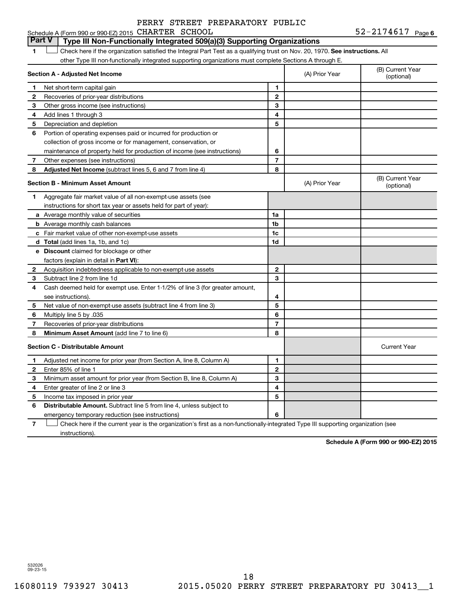52-2174617 Page 6 Schedule A (Form 990 or 990-EZ) 2015 CHARTER SCHOOL  $52-2174617$  Page

# **Part V Type III Non-Functionally Integrated 509(a)(3) Supporting Organizations**

1 **Letter on Reck here if the organization satisfied the Integral Part Test as a qualifying trust on Nov. 20, 1970. See instructions. All** other Type III non-functionally integrated supporting organizations must complete Sections A through E.

|              | Section A - Adjusted Net Income                                              |                | (A) Prior Year | (B) Current Year<br>(optional) |
|--------------|------------------------------------------------------------------------------|----------------|----------------|--------------------------------|
| 1            | Net short-term capital gain                                                  | 1              |                |                                |
| 2            | Recoveries of prior-year distributions                                       | $\mathbf{2}$   |                |                                |
| З            | Other gross income (see instructions)                                        | 3              |                |                                |
| 4            | Add lines 1 through 3                                                        | 4              |                |                                |
| 5            | Depreciation and depletion                                                   | 5              |                |                                |
| 6            | Portion of operating expenses paid or incurred for production or             |                |                |                                |
|              | collection of gross income or for management, conservation, or               |                |                |                                |
|              | maintenance of property held for production of income (see instructions)     | 6              |                |                                |
| 7            | Other expenses (see instructions)                                            | $\overline{7}$ |                |                                |
| 8            | Adjusted Net Income (subtract lines 5, 6 and 7 from line 4)                  | 8              |                |                                |
|              | <b>Section B - Minimum Asset Amount</b>                                      |                | (A) Prior Year | (B) Current Year<br>(optional) |
| 1            | Aggregate fair market value of all non-exempt-use assets (see                |                |                |                                |
|              | instructions for short tax year or assets held for part of year):            |                |                |                                |
|              | <b>a</b> Average monthly value of securities                                 | 1a             |                |                                |
|              | <b>b</b> Average monthly cash balances                                       | 1 <sub>b</sub> |                |                                |
|              | c Fair market value of other non-exempt-use assets                           | 1c             |                |                                |
|              | <b>d</b> Total (add lines 1a, 1b, and 1c)                                    | 1d             |                |                                |
|              | e Discount claimed for blockage or other                                     |                |                |                                |
|              | factors (explain in detail in <b>Part VI</b> ):                              |                |                |                                |
| $\mathbf{2}$ | Acquisition indebtedness applicable to non-exempt-use assets                 | $\mathbf{2}$   |                |                                |
| 3            | Subtract line 2 from line 1d                                                 | 3              |                |                                |
| 4            | Cash deemed held for exempt use. Enter 1-1/2% of line 3 (for greater amount, |                |                |                                |
|              | see instructions).                                                           | 4              |                |                                |
| 5            | Net value of non-exempt-use assets (subtract line 4 from line 3)             | 5              |                |                                |
| 6            | Multiply line 5 by .035                                                      | 6              |                |                                |
| 7            | Recoveries of prior-year distributions                                       | $\overline{7}$ |                |                                |
| 8            | Minimum Asset Amount (add line 7 to line 6)                                  | 8              |                |                                |
|              | <b>Section C - Distributable Amount</b>                                      |                |                | <b>Current Year</b>            |
| 1            | Adjusted net income for prior year (from Section A, line 8, Column A)        | 1              |                |                                |
| 2            | Enter 85% of line 1                                                          | $\mathbf{2}$   |                |                                |
| З            | Minimum asset amount for prior year (from Section B, line 8, Column A)       | 3              |                |                                |
| 4            | Enter greater of line 2 or line 3                                            | 4              |                |                                |
| 5            | Income tax imposed in prior year                                             | 5              |                |                                |
| 6            | <b>Distributable Amount.</b> Subtract line 5 from line 4, unless subject to  |                |                |                                |
|              | emergency temporary reduction (see instructions)                             | 6              |                |                                |
|              |                                                                              |                |                |                                |

**7** Check here if the current year is the organization's first as a non-functionally-integrated Type III supporting organization (see † instructions).

**Schedule A (Form 990 or 990-EZ) 2015**

532026 09-23-15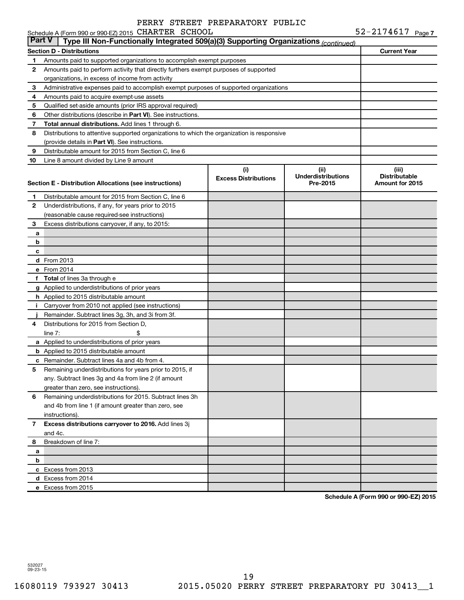|          | Schedule A (Form 990 or 990-EZ) 2015 CHARTER SCHOOL                                                              |                                    |                                               | 52-2174617 Page 7                                |  |  |  |  |
|----------|------------------------------------------------------------------------------------------------------------------|------------------------------------|-----------------------------------------------|--------------------------------------------------|--|--|--|--|
| ∣ Part V | Type III Non-Functionally Integrated 509(a)(3) Supporting Organizations (continued)                              |                                    |                                               |                                                  |  |  |  |  |
|          | <b>Section D - Distributions</b>                                                                                 | <b>Current Year</b>                |                                               |                                                  |  |  |  |  |
| 1.       | Amounts paid to supported organizations to accomplish exempt purposes                                            |                                    |                                               |                                                  |  |  |  |  |
| 2        | Amounts paid to perform activity that directly furthers exempt purposes of supported                             |                                    |                                               |                                                  |  |  |  |  |
|          | organizations, in excess of income from activity                                                                 |                                    |                                               |                                                  |  |  |  |  |
| 3        | Administrative expenses paid to accomplish exempt purposes of supported organizations                            |                                    |                                               |                                                  |  |  |  |  |
| 4        | Amounts paid to acquire exempt-use assets                                                                        |                                    |                                               |                                                  |  |  |  |  |
| 5        | Qualified set-aside amounts (prior IRS approval required)                                                        |                                    |                                               |                                                  |  |  |  |  |
| 6        | Other distributions (describe in Part VI). See instructions.                                                     |                                    |                                               |                                                  |  |  |  |  |
| 7        | Total annual distributions. Add lines 1 through 6.                                                               |                                    |                                               |                                                  |  |  |  |  |
| 8        | Distributions to attentive supported organizations to which the organization is responsive                       |                                    |                                               |                                                  |  |  |  |  |
|          | (provide details in Part VI). See instructions.                                                                  |                                    |                                               |                                                  |  |  |  |  |
| 9        | Distributable amount for 2015 from Section C, line 6                                                             |                                    |                                               |                                                  |  |  |  |  |
| 10       | Line 8 amount divided by Line 9 amount                                                                           |                                    |                                               |                                                  |  |  |  |  |
|          | Section E - Distribution Allocations (see instructions)                                                          | (i)<br><b>Excess Distributions</b> | (ii)<br><b>Underdistributions</b><br>Pre-2015 | (iii)<br><b>Distributable</b><br>Amount for 2015 |  |  |  |  |
| 1.       | Distributable amount for 2015 from Section C, line 6                                                             |                                    |                                               |                                                  |  |  |  |  |
| 2        | Underdistributions, if any, for years prior to 2015                                                              |                                    |                                               |                                                  |  |  |  |  |
|          | (reasonable cause required-see instructions)                                                                     |                                    |                                               |                                                  |  |  |  |  |
| 3        | Excess distributions carryover, if any, to 2015:                                                                 |                                    |                                               |                                                  |  |  |  |  |
| a        |                                                                                                                  |                                    |                                               |                                                  |  |  |  |  |
| b        |                                                                                                                  |                                    |                                               |                                                  |  |  |  |  |
| c        |                                                                                                                  |                                    |                                               |                                                  |  |  |  |  |
|          | <b>d</b> From 2013                                                                                               |                                    |                                               |                                                  |  |  |  |  |
|          | e From 2014                                                                                                      |                                    |                                               |                                                  |  |  |  |  |
|          | f Total of lines 3a through e                                                                                    |                                    |                                               |                                                  |  |  |  |  |
|          | g Applied to underdistributions of prior years                                                                   |                                    |                                               |                                                  |  |  |  |  |
|          | h Applied to 2015 distributable amount                                                                           |                                    |                                               |                                                  |  |  |  |  |
| Ť.       | Carryover from 2010 not applied (see instructions)                                                               |                                    |                                               |                                                  |  |  |  |  |
|          | Remainder. Subtract lines 3g, 3h, and 3i from 3f.                                                                |                                    |                                               |                                                  |  |  |  |  |
| 4        | Distributions for 2015 from Section D.                                                                           |                                    |                                               |                                                  |  |  |  |  |
|          | \$<br>line $7:$                                                                                                  |                                    |                                               |                                                  |  |  |  |  |
|          | a Applied to underdistributions of prior years                                                                   |                                    |                                               |                                                  |  |  |  |  |
|          | <b>b</b> Applied to 2015 distributable amount                                                                    |                                    |                                               |                                                  |  |  |  |  |
|          | <b>c</b> Remainder. Subtract lines 4a and 4b from 4.                                                             |                                    |                                               |                                                  |  |  |  |  |
| 5        | Remaining underdistributions for years prior to 2015, if<br>any. Subtract lines 3g and 4a from line 2 (if amount |                                    |                                               |                                                  |  |  |  |  |
|          | greater than zero, see instructions).                                                                            |                                    |                                               |                                                  |  |  |  |  |
| 6        | Remaining underdistributions for 2015. Subtract lines 3h                                                         |                                    |                                               |                                                  |  |  |  |  |
|          | and 4b from line 1 (if amount greater than zero, see                                                             |                                    |                                               |                                                  |  |  |  |  |
|          | instructions).                                                                                                   |                                    |                                               |                                                  |  |  |  |  |
| 7        | Excess distributions carryover to 2016. Add lines 3j                                                             |                                    |                                               |                                                  |  |  |  |  |
|          | and 4c.                                                                                                          |                                    |                                               |                                                  |  |  |  |  |
| 8        | Breakdown of line 7:                                                                                             |                                    |                                               |                                                  |  |  |  |  |
| a        |                                                                                                                  |                                    |                                               |                                                  |  |  |  |  |
| b        |                                                                                                                  |                                    |                                               |                                                  |  |  |  |  |
|          | c Excess from 2013                                                                                               |                                    |                                               |                                                  |  |  |  |  |
|          | d Excess from 2014                                                                                               |                                    |                                               |                                                  |  |  |  |  |
|          | e Excess from 2015                                                                                               |                                    |                                               |                                                  |  |  |  |  |

**Schedule A (Form 990 or 990-EZ) 2015**

532027 09-23-15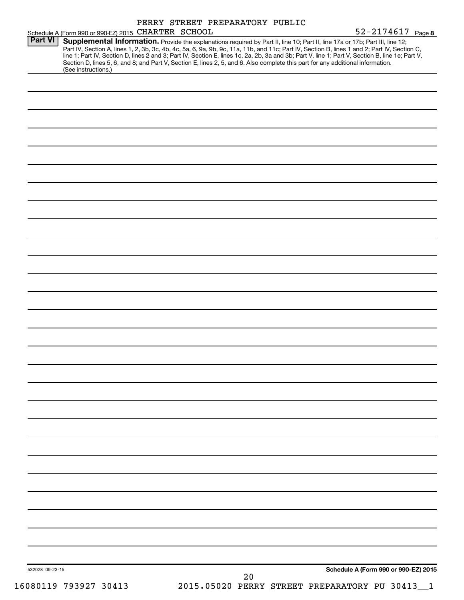| Schedule A (Form 990 or 990 EZ) 2015 CHARTER SCHOOL |                                                                                                                                                                                                                                                                                                                                                                                                                                                                                                                                                                     | 52-2174617 Page 8                    |
|-----------------------------------------------------|---------------------------------------------------------------------------------------------------------------------------------------------------------------------------------------------------------------------------------------------------------------------------------------------------------------------------------------------------------------------------------------------------------------------------------------------------------------------------------------------------------------------------------------------------------------------|--------------------------------------|
| <b>Part VI</b><br>(See instructions.)               | Supplemental Information. Provide the explanations required by Part II, line 10; Part II, line 17a or 17b; Part III, line 12;<br>Part IV, Section A, lines 1, 2, 3b, 3c, 4b, 4c, 5a, 6, 9a, 9b, 9c, 11a, 11b, and 11c; Part IV, Section B, lines 1 and 2; Part IV, Section C,<br>line 1; Part IV, Section D, lines 2 and 3; Part IV, Section E, lines 1c, 2a, 2b, 3a and 3b; Part V, line 1; Part V, Section B, line 1e; Part V,<br>Section D, lines 5, 6, and 8; and Part V, Section E, lines 2, 5, and 6. Also complete this part for any additional information. |                                      |
|                                                     |                                                                                                                                                                                                                                                                                                                                                                                                                                                                                                                                                                     |                                      |
|                                                     |                                                                                                                                                                                                                                                                                                                                                                                                                                                                                                                                                                     |                                      |
|                                                     |                                                                                                                                                                                                                                                                                                                                                                                                                                                                                                                                                                     |                                      |
|                                                     |                                                                                                                                                                                                                                                                                                                                                                                                                                                                                                                                                                     |                                      |
|                                                     |                                                                                                                                                                                                                                                                                                                                                                                                                                                                                                                                                                     |                                      |
|                                                     |                                                                                                                                                                                                                                                                                                                                                                                                                                                                                                                                                                     |                                      |
|                                                     |                                                                                                                                                                                                                                                                                                                                                                                                                                                                                                                                                                     |                                      |
|                                                     |                                                                                                                                                                                                                                                                                                                                                                                                                                                                                                                                                                     |                                      |
|                                                     |                                                                                                                                                                                                                                                                                                                                                                                                                                                                                                                                                                     |                                      |
|                                                     |                                                                                                                                                                                                                                                                                                                                                                                                                                                                                                                                                                     |                                      |
|                                                     |                                                                                                                                                                                                                                                                                                                                                                                                                                                                                                                                                                     |                                      |
|                                                     |                                                                                                                                                                                                                                                                                                                                                                                                                                                                                                                                                                     |                                      |
|                                                     |                                                                                                                                                                                                                                                                                                                                                                                                                                                                                                                                                                     |                                      |
|                                                     |                                                                                                                                                                                                                                                                                                                                                                                                                                                                                                                                                                     |                                      |
|                                                     |                                                                                                                                                                                                                                                                                                                                                                                                                                                                                                                                                                     |                                      |
|                                                     |                                                                                                                                                                                                                                                                                                                                                                                                                                                                                                                                                                     |                                      |
|                                                     |                                                                                                                                                                                                                                                                                                                                                                                                                                                                                                                                                                     |                                      |
|                                                     |                                                                                                                                                                                                                                                                                                                                                                                                                                                                                                                                                                     |                                      |
|                                                     |                                                                                                                                                                                                                                                                                                                                                                                                                                                                                                                                                                     |                                      |
|                                                     |                                                                                                                                                                                                                                                                                                                                                                                                                                                                                                                                                                     |                                      |
|                                                     |                                                                                                                                                                                                                                                                                                                                                                                                                                                                                                                                                                     |                                      |
|                                                     |                                                                                                                                                                                                                                                                                                                                                                                                                                                                                                                                                                     |                                      |
|                                                     |                                                                                                                                                                                                                                                                                                                                                                                                                                                                                                                                                                     |                                      |
|                                                     |                                                                                                                                                                                                                                                                                                                                                                                                                                                                                                                                                                     |                                      |
|                                                     |                                                                                                                                                                                                                                                                                                                                                                                                                                                                                                                                                                     |                                      |
|                                                     |                                                                                                                                                                                                                                                                                                                                                                                                                                                                                                                                                                     |                                      |
|                                                     |                                                                                                                                                                                                                                                                                                                                                                                                                                                                                                                                                                     |                                      |
|                                                     |                                                                                                                                                                                                                                                                                                                                                                                                                                                                                                                                                                     |                                      |
|                                                     |                                                                                                                                                                                                                                                                                                                                                                                                                                                                                                                                                                     |                                      |
|                                                     |                                                                                                                                                                                                                                                                                                                                                                                                                                                                                                                                                                     |                                      |
|                                                     |                                                                                                                                                                                                                                                                                                                                                                                                                                                                                                                                                                     |                                      |
|                                                     |                                                                                                                                                                                                                                                                                                                                                                                                                                                                                                                                                                     |                                      |
|                                                     |                                                                                                                                                                                                                                                                                                                                                                                                                                                                                                                                                                     |                                      |
|                                                     |                                                                                                                                                                                                                                                                                                                                                                                                                                                                                                                                                                     |                                      |
| 532028 09-23-15                                     |                                                                                                                                                                                                                                                                                                                                                                                                                                                                                                                                                                     | Schedule A (Form 990 or 990-EZ) 2015 |
|                                                     | 20<br>2015.05020 PERRY STREET PREPARATORY PU 30413                                                                                                                                                                                                                                                                                                                                                                                                                                                                                                                  |                                      |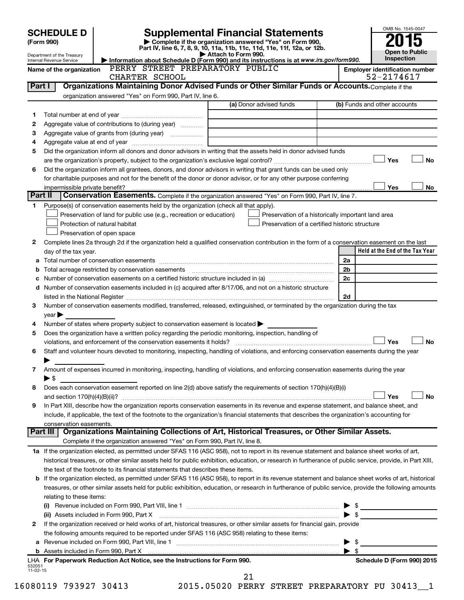|                    | <b>SCHEDULE D</b>              |                                                                                                        | <b>Supplemental Financial Statements</b>                                                                                                                   |                               | OMB No. 1545-0047                                   |
|--------------------|--------------------------------|--------------------------------------------------------------------------------------------------------|------------------------------------------------------------------------------------------------------------------------------------------------------------|-------------------------------|-----------------------------------------------------|
|                    | (Form 990)                     |                                                                                                        | Complete if the organization answered "Yes" on Form 990,                                                                                                   |                               |                                                     |
|                    | Department of the Treasury     |                                                                                                        | Part IV, line 6, 7, 8, 9, 10, 11a, 11b, 11c, 11d, 11e, 11f, 12a, or 12b.<br>Attach to Form 990.                                                            |                               | <b>Open to Public</b>                               |
|                    | Internal Revenue Service       | PERRY STREET PREPARATORY PUBLIC                                                                        | Information about Schedule D (Form 990) and its instructions is at www.irs.gov/form990.                                                                    |                               | Inspection                                          |
|                    | Name of the organization       | CHARTER SCHOOL                                                                                         |                                                                                                                                                            |                               | <b>Employer identification number</b><br>52-2174617 |
| Part I             |                                |                                                                                                        | Organizations Maintaining Donor Advised Funds or Other Similar Funds or Accounts. Complete if the                                                          |                               |                                                     |
|                    |                                | organization answered "Yes" on Form 990, Part IV, line 6.                                              |                                                                                                                                                            |                               |                                                     |
|                    |                                |                                                                                                        | (a) Donor advised funds                                                                                                                                    |                               | (b) Funds and other accounts                        |
| 1                  |                                |                                                                                                        |                                                                                                                                                            |                               |                                                     |
| 2                  |                                | Aggregate value of contributions to (during year)                                                      |                                                                                                                                                            |                               |                                                     |
| З                  |                                |                                                                                                        |                                                                                                                                                            |                               |                                                     |
| 4                  |                                |                                                                                                        |                                                                                                                                                            |                               |                                                     |
| 5                  |                                |                                                                                                        | Did the organization inform all donors and donor advisors in writing that the assets held in donor advised funds                                           |                               |                                                     |
|                    |                                |                                                                                                        |                                                                                                                                                            |                               | Yes<br><b>No</b>                                    |
| 6                  |                                |                                                                                                        | Did the organization inform all grantees, donors, and donor advisors in writing that grant funds can be used only                                          |                               |                                                     |
|                    |                                |                                                                                                        | for charitable purposes and not for the benefit of the donor or donor advisor, or for any other purpose conferring                                         |                               |                                                     |
|                    | impermissible private benefit? |                                                                                                        |                                                                                                                                                            |                               | Yes<br>No                                           |
| Part II            |                                |                                                                                                        | Conservation Easements. Complete if the organization answered "Yes" on Form 990, Part IV, line 7.                                                          |                               |                                                     |
| 1                  |                                | Purpose(s) of conservation easements held by the organization (check all that apply).                  |                                                                                                                                                            |                               |                                                     |
|                    |                                | Preservation of land for public use (e.g., recreation or education)                                    | Preservation of a historically important land area                                                                                                         |                               |                                                     |
|                    |                                | Protection of natural habitat                                                                          | Preservation of a certified historic structure                                                                                                             |                               |                                                     |
|                    |                                | Preservation of open space                                                                             |                                                                                                                                                            |                               |                                                     |
| 2                  |                                |                                                                                                        | Complete lines 2a through 2d if the organization held a qualified conservation contribution in the form of a conservation easement on the last             |                               |                                                     |
|                    | day of the tax year.           |                                                                                                        |                                                                                                                                                            |                               | Held at the End of the Tax Year                     |
|                    |                                |                                                                                                        |                                                                                                                                                            | 2a                            |                                                     |
| b                  |                                |                                                                                                        |                                                                                                                                                            | 2 <sub>b</sub><br>2c          |                                                     |
| с                  |                                |                                                                                                        | Number of conservation easements included in (c) acquired after 8/17/06, and not on a historic structure                                                   |                               |                                                     |
| d                  |                                |                                                                                                        |                                                                                                                                                            | 2d                            |                                                     |
| 3                  |                                |                                                                                                        | Number of conservation easements modified, transferred, released, extinguished, or terminated by the organization during the tax                           |                               |                                                     |
|                    | year                           |                                                                                                        |                                                                                                                                                            |                               |                                                     |
| 4                  |                                | Number of states where property subject to conservation easement is located $\blacktriangleright$      |                                                                                                                                                            |                               |                                                     |
| 5                  |                                | Does the organization have a written policy regarding the periodic monitoring, inspection, handling of |                                                                                                                                                            |                               |                                                     |
|                    |                                |                                                                                                        |                                                                                                                                                            |                               | Yes<br><b>No</b>                                    |
| 6                  |                                |                                                                                                        | Staff and volunteer hours devoted to monitoring, inspecting, handling of violations, and enforcing conservation easements during the year                  |                               |                                                     |
|                    |                                |                                                                                                        |                                                                                                                                                            |                               |                                                     |
| 7                  |                                |                                                                                                        | Amount of expenses incurred in monitoring, inspecting, handling of violations, and enforcing conservation easements during the year                        |                               |                                                     |
|                    | $\blacktriangleright$ \$       |                                                                                                        |                                                                                                                                                            |                               |                                                     |
| 8                  |                                |                                                                                                        | Does each conservation easement reported on line 2(d) above satisfy the requirements of section 170(h)(4)(B)(i)                                            |                               |                                                     |
|                    |                                |                                                                                                        |                                                                                                                                                            |                               | No<br>Yes                                           |
| 9                  |                                |                                                                                                        | In Part XIII, describe how the organization reports conservation easements in its revenue and expense statement, and balance sheet, and                    |                               |                                                     |
|                    |                                |                                                                                                        | include, if applicable, the text of the footnote to the organization's financial statements that describes the organization's accounting for               |                               |                                                     |
|                    | conservation easements.        |                                                                                                        |                                                                                                                                                            |                               |                                                     |
|                    |                                |                                                                                                        | Part III   Organizations Maintaining Collections of Art, Historical Treasures, or Other Similar Assets.                                                    |                               |                                                     |
|                    |                                | Complete if the organization answered "Yes" on Form 990, Part IV, line 8.                              |                                                                                                                                                            |                               |                                                     |
|                    |                                |                                                                                                        | 1a If the organization elected, as permitted under SFAS 116 (ASC 958), not to report in its revenue statement and balance sheet works of art,              |                               |                                                     |
|                    |                                |                                                                                                        | historical treasures, or other similar assets held for public exhibition, education, or research in furtherance of public service, provide, in Part XIII,  |                               |                                                     |
|                    |                                | the text of the footnote to its financial statements that describes these items.                       |                                                                                                                                                            |                               |                                                     |
|                    |                                |                                                                                                        | <b>b</b> If the organization elected, as permitted under SFAS 116 (ASC 958), to report in its revenue statement and balance sheet works of art, historical |                               |                                                     |
|                    |                                |                                                                                                        | treasures, or other similar assets held for public exhibition, education, or research in furtherance of public service, provide the following amounts      |                               |                                                     |
|                    | relating to these items:       |                                                                                                        |                                                                                                                                                            |                               |                                                     |
|                    |                                |                                                                                                        |                                                                                                                                                            | \$                            |                                                     |
|                    |                                | (ii) Assets included in Form 990, Part X                                                               |                                                                                                                                                            | $\blacktriangleright$ \$      |                                                     |
| 2                  |                                |                                                                                                        | If the organization received or held works of art, historical treasures, or other similar assets for financial gain, provide                               |                               |                                                     |
|                    |                                | the following amounts required to be reported under SFAS 116 (ASC 958) relating to these items:        |                                                                                                                                                            |                               |                                                     |
|                    |                                |                                                                                                        |                                                                                                                                                            | \$<br>$\blacktriangleright$ s |                                                     |
|                    |                                | LHA For Paperwork Reduction Act Notice, see the Instructions for Form 990.                             |                                                                                                                                                            |                               | Schedule D (Form 990) 2015                          |
| 532051<br>11-02-15 |                                |                                                                                                        |                                                                                                                                                            |                               |                                                     |
|                    |                                |                                                                                                        | 21                                                                                                                                                         |                               |                                                     |
|                    |                                |                                                                                                        |                                                                                                                                                            |                               |                                                     |

16080119 793927 30413 2015.05020 PERRY STREET PREPARATORY PU 30413\_\_1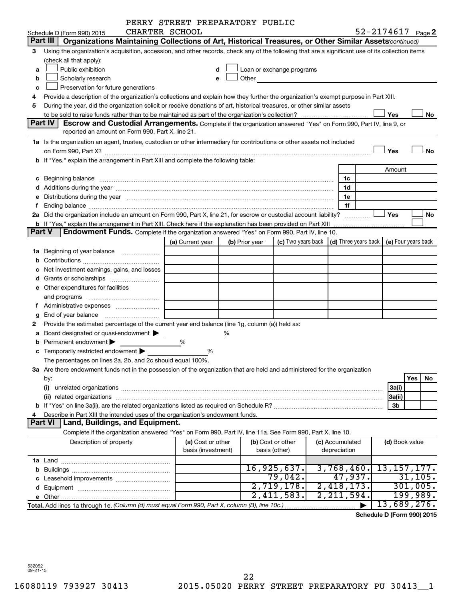|   |                                                                                                                                                                                                                                | PERRY STREET PREPARATORY PUBLIC |   |                |                                                                                                                                                                                                                               |                                                         |     |                |                       |
|---|--------------------------------------------------------------------------------------------------------------------------------------------------------------------------------------------------------------------------------|---------------------------------|---|----------------|-------------------------------------------------------------------------------------------------------------------------------------------------------------------------------------------------------------------------------|---------------------------------------------------------|-----|----------------|-----------------------|
|   | CHARTER SCHOOL<br>Schedule D (Form 990) 2015                                                                                                                                                                                   |                                 |   |                |                                                                                                                                                                                                                               |                                                         |     |                | $52 - 2174617$ Page 2 |
|   | Part III   Organizations Maintaining Collections of Art, Historical Treasures, or Other Similar Assets (continued)                                                                                                             |                                 |   |                |                                                                                                                                                                                                                               |                                                         |     |                |                       |
| 3 | Using the organization's acquisition, accession, and other records, check any of the following that are a significant use of its collection items                                                                              |                                 |   |                |                                                                                                                                                                                                                               |                                                         |     |                |                       |
|   | (check all that apply):                                                                                                                                                                                                        |                                 |   |                |                                                                                                                                                                                                                               |                                                         |     |                |                       |
| a | Public exhibition                                                                                                                                                                                                              |                                 |   |                | Loan or exchange programs                                                                                                                                                                                                     |                                                         |     |                |                       |
| b | Scholarly research                                                                                                                                                                                                             |                                 |   |                | Other and the contract of the contract of the contract of the contract of the contract of the contract of the contract of the contract of the contract of the contract of the contract of the contract of the contract of the |                                                         |     |                |                       |
| c | Preservation for future generations                                                                                                                                                                                            |                                 |   |                |                                                                                                                                                                                                                               |                                                         |     |                |                       |
|   | Provide a description of the organization's collections and explain how they further the organization's exempt purpose in Part XIII.                                                                                           |                                 |   |                |                                                                                                                                                                                                                               |                                                         |     |                |                       |
| 5 | During the year, did the organization solicit or receive donations of art, historical treasures, or other similar assets                                                                                                       |                                 |   |                |                                                                                                                                                                                                                               |                                                         |     |                |                       |
|   |                                                                                                                                                                                                                                |                                 |   |                |                                                                                                                                                                                                                               |                                                         | Yes |                | No                    |
|   | Part IV<br><b>Escrow and Custodial Arrangements.</b> Complete if the organization answered "Yes" on Form 990, Part IV, line 9, or                                                                                              |                                 |   |                |                                                                                                                                                                                                                               |                                                         |     |                |                       |
|   | reported an amount on Form 990, Part X, line 21.                                                                                                                                                                               |                                 |   |                |                                                                                                                                                                                                                               |                                                         |     |                |                       |
|   | 1a Is the organization an agent, trustee, custodian or other intermediary for contributions or other assets not included                                                                                                       |                                 |   |                |                                                                                                                                                                                                                               |                                                         |     |                |                       |
|   |                                                                                                                                                                                                                                |                                 |   |                |                                                                                                                                                                                                                               |                                                         | Yes |                | <b>No</b>             |
|   | b If "Yes," explain the arrangement in Part XIII and complete the following table:                                                                                                                                             |                                 |   |                |                                                                                                                                                                                                                               |                                                         |     |                |                       |
|   |                                                                                                                                                                                                                                |                                 |   |                |                                                                                                                                                                                                                               |                                                         |     | Amount         |                       |
|   |                                                                                                                                                                                                                                |                                 |   |                |                                                                                                                                                                                                                               | 1c                                                      |     |                |                       |
|   |                                                                                                                                                                                                                                |                                 |   |                |                                                                                                                                                                                                                               | 1d                                                      |     |                |                       |
|   | e Distributions during the year manufactured and contained and contained and contained and contained and contained and contained and contained and contained and contained and contained and contained and contained and conta |                                 |   |                |                                                                                                                                                                                                                               | 1e                                                      |     |                |                       |
|   |                                                                                                                                                                                                                                |                                 |   |                |                                                                                                                                                                                                                               | 1f                                                      |     |                |                       |
|   | 2a Did the organization include an amount on Form 990, Part X, line 21, for escrow or custodial account liability?                                                                                                             |                                 |   |                |                                                                                                                                                                                                                               | .                                                       | Yes |                | No                    |
|   | <b>b</b> If "Yes," explain the arrangement in Part XIII. Check here if the explanation has been provided on Part XIII                                                                                                          |                                 |   |                |                                                                                                                                                                                                                               |                                                         |     |                |                       |
|   | <b>Endowment Funds.</b> Complete if the organization answered "Yes" on Form 990, Part IV, line 10.<br>Part V                                                                                                                   |                                 |   |                |                                                                                                                                                                                                                               |                                                         |     |                |                       |
|   |                                                                                                                                                                                                                                | (a) Current year                |   | (b) Prior year |                                                                                                                                                                                                                               | (c) Two years back $\vert$ (d) Three years back $\vert$ |     |                | (e) Four years back   |
|   |                                                                                                                                                                                                                                |                                 |   |                |                                                                                                                                                                                                                               |                                                         |     |                |                       |
|   |                                                                                                                                                                                                                                |                                 |   |                |                                                                                                                                                                                                                               |                                                         |     |                |                       |
|   | Net investment earnings, gains, and losses                                                                                                                                                                                     |                                 |   |                |                                                                                                                                                                                                                               |                                                         |     |                |                       |
|   |                                                                                                                                                                                                                                |                                 |   |                |                                                                                                                                                                                                                               |                                                         |     |                |                       |
|   | e Other expenditures for facilities                                                                                                                                                                                            |                                 |   |                |                                                                                                                                                                                                                               |                                                         |     |                |                       |
|   | and programs                                                                                                                                                                                                                   |                                 |   |                |                                                                                                                                                                                                                               |                                                         |     |                |                       |
|   | f Administrative expenses                                                                                                                                                                                                      |                                 |   |                |                                                                                                                                                                                                                               |                                                         |     |                |                       |
| g |                                                                                                                                                                                                                                |                                 |   |                |                                                                                                                                                                                                                               |                                                         |     |                |                       |
|   | Provide the estimated percentage of the current year end balance (line 1g, column (a)) held as:                                                                                                                                |                                 |   |                |                                                                                                                                                                                                                               |                                                         |     |                |                       |
|   | a Board designated or quasi-endowment >                                                                                                                                                                                        |                                 | % |                |                                                                                                                                                                                                                               |                                                         |     |                |                       |
|   | Permanent endowment                                                                                                                                                                                                            | %                               |   |                |                                                                                                                                                                                                                               |                                                         |     |                |                       |
|   | c Temporarily restricted endowment $\blacktriangleright$                                                                                                                                                                       | %                               |   |                |                                                                                                                                                                                                                               |                                                         |     |                |                       |
|   | The percentages on lines 2a, 2b, and 2c should equal 100%.                                                                                                                                                                     |                                 |   |                |                                                                                                                                                                                                                               |                                                         |     |                |                       |
|   | 3a Are there endowment funds not in the possession of the organization that are held and administered for the organization                                                                                                     |                                 |   |                |                                                                                                                                                                                                                               |                                                         |     |                |                       |
|   | by:                                                                                                                                                                                                                            |                                 |   |                |                                                                                                                                                                                                                               |                                                         |     | Yes            | No                    |
|   | (i)                                                                                                                                                                                                                            |                                 |   |                |                                                                                                                                                                                                                               |                                                         |     | 3a(i)          |                       |
|   |                                                                                                                                                                                                                                |                                 |   |                |                                                                                                                                                                                                                               |                                                         |     | 3a(ii)<br>3b   |                       |
|   | Describe in Part XIII the intended uses of the organization's endowment funds.                                                                                                                                                 |                                 |   |                |                                                                                                                                                                                                                               |                                                         |     |                |                       |
|   | Land, Buildings, and Equipment.<br><b>Part VI</b>                                                                                                                                                                              |                                 |   |                |                                                                                                                                                                                                                               |                                                         |     |                |                       |
|   | Complete if the organization answered "Yes" on Form 990, Part IV, line 11a. See Form 990, Part X, line 10.                                                                                                                     |                                 |   |                |                                                                                                                                                                                                                               |                                                         |     |                |                       |
|   | Description of property                                                                                                                                                                                                        | (a) Cost or other               |   |                | (b) Cost or other                                                                                                                                                                                                             | (c) Accumulated                                         |     | (d) Book value |                       |
|   |                                                                                                                                                                                                                                | basis (investment)              |   |                | basis (other)                                                                                                                                                                                                                 | depreciation                                            |     |                |                       |
|   |                                                                                                                                                                                                                                |                                 |   |                |                                                                                                                                                                                                                               |                                                         |     |                |                       |
|   |                                                                                                                                                                                                                                |                                 |   |                | 16,925,637.                                                                                                                                                                                                                   | 3,768,460.                                              |     |                | 13, 157, 177.         |
|   |                                                                                                                                                                                                                                |                                 |   |                | 79,042.                                                                                                                                                                                                                       | 47,937.                                                 |     |                | 31, 105.              |
|   |                                                                                                                                                                                                                                |                                 |   |                | 2,719,178.                                                                                                                                                                                                                    | 2,418,173.                                              |     |                | 301,005.              |
|   |                                                                                                                                                                                                                                |                                 |   |                | 2,411,583.                                                                                                                                                                                                                    | 2,211,594.                                              |     |                | <u>199,989.</u>       |
|   | Total. Add lines 1a through 1e. (Column (d) must equal Form 990, Part X, column (B), line 10c.)                                                                                                                                |                                 |   |                |                                                                                                                                                                                                                               |                                                         |     |                | 13,689,276.           |
|   |                                                                                                                                                                                                                                |                                 |   |                |                                                                                                                                                                                                                               |                                                         |     |                |                       |

**Schedule D (Form 990) 2015**

532052 09-21-15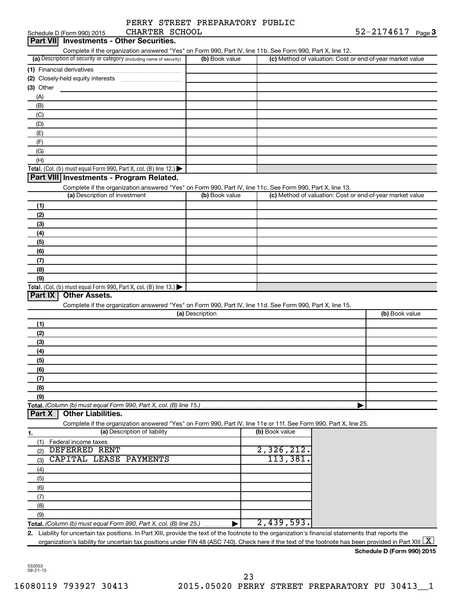|  | PERRY STREET PREPARATORY PUBLIC |  |
|--|---------------------------------|--|
|  |                                 |  |

| CHARTER SCHOOL<br>Schedule D (Form 990) 2015                                                                                                                           |                 |                |                                                           | 52-2174617                 | Page 3 |
|------------------------------------------------------------------------------------------------------------------------------------------------------------------------|-----------------|----------------|-----------------------------------------------------------|----------------------------|--------|
| Part VII Investments - Other Securities.                                                                                                                               |                 |                |                                                           |                            |        |
| Complete if the organization answered "Yes" on Form 990, Part IV, line 11b. See Form 990, Part X, line 12.                                                             |                 |                |                                                           |                            |        |
| (a) Description of security or category (including name of security)                                                                                                   | (b) Book value  |                | (c) Method of valuation: Cost or end-of-year market value |                            |        |
| (1) Financial derivatives                                                                                                                                              |                 |                |                                                           |                            |        |
|                                                                                                                                                                        |                 |                |                                                           |                            |        |
| (3) Other                                                                                                                                                              |                 |                |                                                           |                            |        |
| (A)                                                                                                                                                                    |                 |                |                                                           |                            |        |
| (B)                                                                                                                                                                    |                 |                |                                                           |                            |        |
| (C)                                                                                                                                                                    |                 |                |                                                           |                            |        |
| (D)                                                                                                                                                                    |                 |                |                                                           |                            |        |
| (E)                                                                                                                                                                    |                 |                |                                                           |                            |        |
| (F)                                                                                                                                                                    |                 |                |                                                           |                            |        |
| (G)                                                                                                                                                                    |                 |                |                                                           |                            |        |
|                                                                                                                                                                        |                 |                |                                                           |                            |        |
| (H)                                                                                                                                                                    |                 |                |                                                           |                            |        |
| Total. (Col. (b) must equal Form 990, Part X, col. (B) line 12.) $\blacktriangleright$                                                                                 |                 |                |                                                           |                            |        |
| Part VIII Investments - Program Related.                                                                                                                               |                 |                |                                                           |                            |        |
| Complete if the organization answered "Yes" on Form 990, Part IV, line 11c. See Form 990, Part X, line 13.                                                             |                 |                |                                                           |                            |        |
| (a) Description of investment                                                                                                                                          | (b) Book value  |                | (c) Method of valuation: Cost or end-of-year market value |                            |        |
| (1)                                                                                                                                                                    |                 |                |                                                           |                            |        |
| (2)                                                                                                                                                                    |                 |                |                                                           |                            |        |
| (3)                                                                                                                                                                    |                 |                |                                                           |                            |        |
| (4)                                                                                                                                                                    |                 |                |                                                           |                            |        |
| (5)                                                                                                                                                                    |                 |                |                                                           |                            |        |
| (6)                                                                                                                                                                    |                 |                |                                                           |                            |        |
| (7)                                                                                                                                                                    |                 |                |                                                           |                            |        |
| (8)                                                                                                                                                                    |                 |                |                                                           |                            |        |
| (9)                                                                                                                                                                    |                 |                |                                                           |                            |        |
| Total. (Col. (b) must equal Form 990, Part X, col. (B) line 13.) $\blacktriangleright$                                                                                 |                 |                |                                                           |                            |        |
| <b>Other Assets.</b><br>Part IX                                                                                                                                        |                 |                |                                                           |                            |        |
| Complete if the organization answered "Yes" on Form 990, Part IV, line 11d. See Form 990, Part X, line 15.                                                             |                 |                |                                                           |                            |        |
|                                                                                                                                                                        | (a) Description |                |                                                           | (b) Book value             |        |
| (1)                                                                                                                                                                    |                 |                |                                                           |                            |        |
| (2)                                                                                                                                                                    |                 |                |                                                           |                            |        |
|                                                                                                                                                                        |                 |                |                                                           |                            |        |
| (3)                                                                                                                                                                    |                 |                |                                                           |                            |        |
| (4)                                                                                                                                                                    |                 |                |                                                           |                            |        |
| (5)                                                                                                                                                                    |                 |                |                                                           |                            |        |
| (6)                                                                                                                                                                    |                 |                |                                                           |                            |        |
| (7)                                                                                                                                                                    |                 |                |                                                           |                            |        |
| (8)                                                                                                                                                                    |                 |                |                                                           |                            |        |
| (9)                                                                                                                                                                    |                 |                |                                                           |                            |        |
| Total. (Column (b) must equal Form 990, Part X, col. (B) line 15.)                                                                                                     |                 |                |                                                           |                            |        |
| <b>Other Liabilities.</b><br>Part X                                                                                                                                    |                 |                |                                                           |                            |        |
| Complete if the organization answered "Yes" on Form 990, Part IV, line 11e or 11f. See Form 990, Part X, line 25.                                                      |                 |                |                                                           |                            |        |
| (a) Description of liability<br>1.                                                                                                                                     |                 | (b) Book value |                                                           |                            |        |
| (1) Federal income taxes                                                                                                                                               |                 |                |                                                           |                            |        |
| <b>DEFERRED RENT</b><br>(2)                                                                                                                                            |                 | 2,326,212.     |                                                           |                            |        |
| CAPITAL LEASE PAYMENTS<br>(3)                                                                                                                                          |                 | 113,381        |                                                           |                            |        |
| (4)                                                                                                                                                                    |                 |                |                                                           |                            |        |
| (5)                                                                                                                                                                    |                 |                |                                                           |                            |        |
| (6)                                                                                                                                                                    |                 |                |                                                           |                            |        |
| (7)                                                                                                                                                                    |                 |                |                                                           |                            |        |
| (8)                                                                                                                                                                    |                 |                |                                                           |                            |        |
| (9)                                                                                                                                                                    |                 |                |                                                           |                            |        |
| Total. (Column (b) must equal Form 990, Part X, col. (B) line 25.) ▶                                                                                                   |                 | 2,439,593.     |                                                           |                            |        |
| 2. Liability for uncertain tax positions. In Part XIII, provide the text of the footnote to the organization's financial statements that reports the                   |                 |                |                                                           |                            |        |
| organization's liability for uncertain tax positions under FIN 48 (ASC 740). Check here if the text of the footnote has been provided in Part XIII $\lfloor x \rfloor$ |                 |                |                                                           |                            |        |
|                                                                                                                                                                        |                 |                |                                                           | Schedule D (Form 990) 2015 |        |
|                                                                                                                                                                        |                 |                |                                                           |                            |        |

532053 09-21-15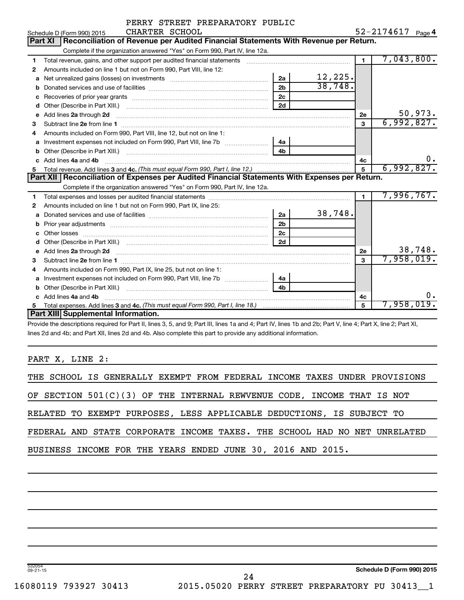|                | PERRY STREET PREPARATORY PUBLIC |                |
|----------------|---------------------------------|----------------|
| CUADTED CCUOOL |                                 | $52 - 2171617$ |

|              | Schedule D (Form 990) 2015<br>CHARTER SCHOOL                                                                                                                                                                                        |                |         |                | $52 - 2119011$<br>Page 4 |
|--------------|-------------------------------------------------------------------------------------------------------------------------------------------------------------------------------------------------------------------------------------|----------------|---------|----------------|--------------------------|
|              | Reconciliation of Revenue per Audited Financial Statements With Revenue per Return.<br><b>Part XI</b>                                                                                                                               |                |         |                |                          |
|              | Complete if the organization answered "Yes" on Form 990, Part IV, line 12a.                                                                                                                                                         |                |         |                |                          |
| 1.           | Total revenue, gains, and other support per audited financial statements                                                                                                                                                            |                |         | $\blacksquare$ | 7,043,800.               |
| $\mathbf{2}$ | Amounts included on line 1 but not on Form 990, Part VIII, line 12:                                                                                                                                                                 |                |         |                |                          |
| a            | Net unrealized gains (losses) on investments [111] Net unrealized mains (losses) on investments [11] Metamanian                                                                                                                     | 2a             | 12,225. |                |                          |
| b            |                                                                                                                                                                                                                                     | 2 <sub>b</sub> | 38,748. |                |                          |
| c            |                                                                                                                                                                                                                                     | 2 <sub>c</sub> |         |                |                          |
| d            |                                                                                                                                                                                                                                     | 2d             |         |                |                          |
| e            | Add lines 2a through 2d                                                                                                                                                                                                             |                |         | 2e             | 50,973.                  |
| 3            |                                                                                                                                                                                                                                     |                |         | 3              | 6,992,827.               |
| 4            | Amounts included on Form 990, Part VIII, line 12, but not on line 1:                                                                                                                                                                |                |         |                |                          |
| a            |                                                                                                                                                                                                                                     | 4a             |         |                |                          |
| b            |                                                                                                                                                                                                                                     | 4 <sub>h</sub> |         |                |                          |
| c.           | Add lines 4a and 4b                                                                                                                                                                                                                 |                |         | 4c             | 0.                       |
| 5.           |                                                                                                                                                                                                                                     |                |         | 5              | 6,992,827.               |
|              |                                                                                                                                                                                                                                     |                |         |                |                          |
|              | Part XII   Reconciliation of Expenses per Audited Financial Statements With Expenses per Return.                                                                                                                                    |                |         |                |                          |
|              | Complete if the organization answered "Yes" on Form 990, Part IV, line 12a.                                                                                                                                                         |                |         |                |                          |
| 1            |                                                                                                                                                                                                                                     |                |         | 1              | 7,996,767.               |
| 2            | Amounts included on line 1 but not on Form 990, Part IX, line 25:                                                                                                                                                                   |                |         |                |                          |
| a            |                                                                                                                                                                                                                                     | 2a             | 38,748. |                |                          |
| b            | Prior year adjustments [111] matter contracts and all the matter contracts and all the matter contracts and the                                                                                                                     | 2 <sub>b</sub> |         |                |                          |
| с            |                                                                                                                                                                                                                                     | 2 <sub>c</sub> |         |                |                          |
|              |                                                                                                                                                                                                                                     | 2d             |         |                |                          |
|              | Add lines 2a through 2d <b>[10]</b> University of the state of the state of the state of the state of the state of the state of the state of the state of the state of the state of the state of the state of the state of the stat |                |         | 2e             | 38,748.                  |
| 3            |                                                                                                                                                                                                                                     |                |         | 3              | 7,958,019.               |
| 4            | Amounts included on Form 990, Part IX, line 25, but not on line 1:                                                                                                                                                                  |                |         |                |                          |
| a            |                                                                                                                                                                                                                                     | 4a             |         |                |                          |
| b            |                                                                                                                                                                                                                                     | 4b             |         |                |                          |
|              | Add lines 4a and 4b                                                                                                                                                                                                                 |                |         | 4c             | 0.                       |
| 5.           | Part XIII Supplemental Information.                                                                                                                                                                                                 |                |         | $\overline{5}$ | 7,958,019.               |

Provide the descriptions required for Part II, lines 3, 5, and 9; Part III, lines 1a and 4; Part IV, lines 1b and 2b; Part V, line 4; Part X, line 2; Part XI, lines 2d and 4b; and Part XII, lines 2d and 4b. Also complete this part to provide any additional information.

PART X, LINE 2:

|  |  |  |  |                                                                          |  |  |  | THE SCHOOL IS GENERALLY EXEMPT FROM FEDERAL INCOME TAXES UNDER PROVISIONS |
|--|--|--|--|--------------------------------------------------------------------------|--|--|--|---------------------------------------------------------------------------|
|  |  |  |  | OF SECTION $501(C)(3)$ OF THE INTERNAL REWVENUE CODE, INCOME THAT IS NOT |  |  |  |                                                                           |
|  |  |  |  | RELATED TO EXEMPT PURPOSES, LESS APPLICABLE DEDUCTIONS, IS SUBJECT TO    |  |  |  |                                                                           |
|  |  |  |  |                                                                          |  |  |  | FEDERAL AND STATE CORPORATE INCOME TAXES. THE SCHOOL HAD NO NET UNRELATED |
|  |  |  |  | BUSINESS INCOME FOR THE YEARS ENDED JUNE 30, 2016 AND 2015.              |  |  |  |                                                                           |
|  |  |  |  |                                                                          |  |  |  |                                                                           |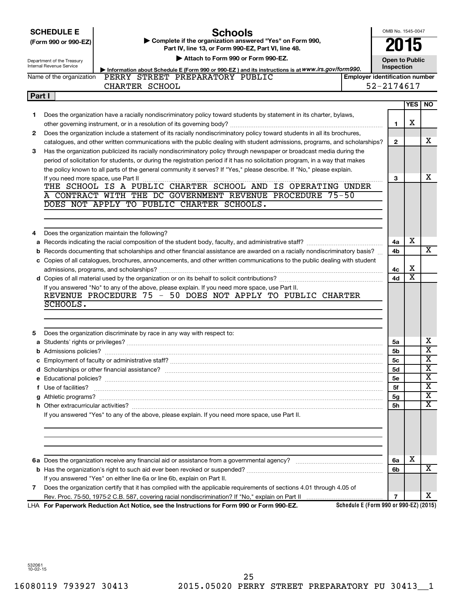| <b>SCHEDULE E</b> |  |
|-------------------|--|
|-------------------|--|

# **Schools**

OMB No. 1545-0047

**2015**

| (Form 990 or 990-EZ) | Complete if the organization answered "Yes" on Form 990, |
|----------------------|----------------------------------------------------------|
|                      | Part IV, line 13, or Form 990-EZ, Part VI, line 48,      |

|        | Attach to Form 990 or Form 990-EZ.<br>Department of the Treasury<br>Internal Revenue Service<br>Inspection |                                                                                                                               |                                       |                |                         | <b>Open to Public</b>   |
|--------|------------------------------------------------------------------------------------------------------------|-------------------------------------------------------------------------------------------------------------------------------|---------------------------------------|----------------|-------------------------|-------------------------|
|        | Information about Schedule E (Form 990 or 990-EZ) and its instructions is at WWW.irs.gov/form990.          |                                                                                                                               |                                       |                |                         |                         |
|        | Name of the organization                                                                                   | PERRY STREET PREPARATORY PUBLIC                                                                                               | <b>Employer identification number</b> |                |                         |                         |
|        |                                                                                                            | CHARTER SCHOOL                                                                                                                |                                       | 52-2174617     |                         |                         |
| Part I |                                                                                                            |                                                                                                                               |                                       |                | <b>YES</b>              | NO.                     |
|        |                                                                                                            |                                                                                                                               |                                       |                |                         |                         |
| 1.     |                                                                                                            | Does the organization have a racially nondiscriminatory policy toward students by statement in its charter, bylaws,           |                                       | 1              | х                       |                         |
| 2      |                                                                                                            | Does the organization include a statement of its racially nondiscriminatory policy toward students in all its brochures,      |                                       |                |                         |                         |
|        |                                                                                                            | catalogues, and other written communications with the public dealing with student admissions, programs, and scholarships?     |                                       | $\mathbf{2}$   |                         | x                       |
| 3      |                                                                                                            | Has the organization publicized its racially nondiscriminatory policy through newspaper or broadcast media during the         |                                       |                |                         |                         |
|        |                                                                                                            | period of solicitation for students, or during the registration period if it has no solicitation program, in a way that makes |                                       |                |                         |                         |
|        |                                                                                                            | the policy known to all parts of the general community it serves? If "Yes," please describe. If "No," please explain.         |                                       |                |                         |                         |
|        | If you need more space, use Part II                                                                        |                                                                                                                               |                                       | 3              |                         | x                       |
|        |                                                                                                            |                                                                                                                               |                                       |                |                         |                         |
|        |                                                                                                            | CONTRACT WITH THE DC GOVERNMENT REVENUE PROCEDURE 75-50                                                                       |                                       |                |                         |                         |
|        |                                                                                                            | DOES NOT APPLY TO PUBLIC CHARTER SCHOOLS.                                                                                     |                                       |                |                         |                         |
|        |                                                                                                            |                                                                                                                               |                                       |                |                         |                         |
|        |                                                                                                            |                                                                                                                               |                                       |                |                         |                         |
| 4      |                                                                                                            | Does the organization maintain the following?                                                                                 |                                       |                |                         |                         |
|        |                                                                                                            |                                                                                                                               |                                       | 4a             | X                       |                         |
| b      |                                                                                                            | Records documenting that scholarships and other financial assistance are awarded on a racially nondiscriminatory basis?       |                                       | 4b             |                         | x                       |
|        |                                                                                                            | c Copies of all catalogues, brochures, announcements, and other written communications to the public dealing with student     |                                       |                |                         |                         |
|        |                                                                                                            |                                                                                                                               |                                       | 4с             | X                       |                         |
|        |                                                                                                            |                                                                                                                               |                                       | 4d             | $\overline{\textbf{x}}$ |                         |
|        |                                                                                                            | If you answered "No" to any of the above, please explain. If you need more space, use Part II.                                |                                       |                |                         |                         |
|        |                                                                                                            | REVENUE PROCEDURE 75 - 50 DOES NOT APPLY TO PUBLIC CHARTER                                                                    |                                       |                |                         |                         |
|        | SCHOOLS.                                                                                                   |                                                                                                                               |                                       |                |                         |                         |
|        |                                                                                                            |                                                                                                                               |                                       |                |                         |                         |
|        |                                                                                                            |                                                                                                                               |                                       |                |                         |                         |
| 5      |                                                                                                            | Does the organization discriminate by race in any way with respect to:                                                        |                                       |                |                         |                         |
|        |                                                                                                            |                                                                                                                               |                                       | 5a             |                         | x                       |
|        |                                                                                                            |                                                                                                                               |                                       | 5b             |                         | $\overline{\textbf{x}}$ |
| С      |                                                                                                            |                                                                                                                               |                                       | 5 <sub>c</sub> |                         | х                       |
|        |                                                                                                            |                                                                                                                               |                                       | 5d             |                         | $\overline{\mathbf{X}}$ |
|        |                                                                                                            |                                                                                                                               |                                       | 5e             |                         | $\overline{\textbf{x}}$ |
|        | f Use of facilities?                                                                                       |                                                                                                                               |                                       | 5f             |                         | $\overline{\textbf{x}}$ |
|        | g Athletic programs?                                                                                       |                                                                                                                               |                                       | 5g             |                         | x                       |
|        |                                                                                                            |                                                                                                                               |                                       | 5h             |                         | $\overline{\mathbf{X}}$ |
|        |                                                                                                            | If you answered "Yes" to any of the above, please explain. If you need more space, use Part II.                               |                                       |                |                         |                         |
|        |                                                                                                            |                                                                                                                               |                                       |                |                         |                         |
|        |                                                                                                            |                                                                                                                               |                                       |                |                         |                         |
|        |                                                                                                            |                                                                                                                               |                                       |                |                         |                         |
|        |                                                                                                            |                                                                                                                               |                                       |                |                         |                         |
|        |                                                                                                            |                                                                                                                               |                                       | 6a             | х                       |                         |
|        |                                                                                                            |                                                                                                                               |                                       | 6b             |                         | X                       |
|        |                                                                                                            | If you answered "Yes" on either line 6a or line 6b, explain on Part II.                                                       |                                       |                |                         |                         |
| 7      |                                                                                                            | Does the organization certify that it has complied with the applicable requirements of sections 4.01 through 4.05 of          |                                       |                |                         |                         |
|        |                                                                                                            |                                                                                                                               |                                       | $\overline{7}$ |                         | x                       |

**For Paperwork Reduction Act Notice, see the Instructions for Form 990 or Form 990-EZ.** LHA

**Schedule E (Form 990 or 990-EZ) (2015)**

532061 10-02-15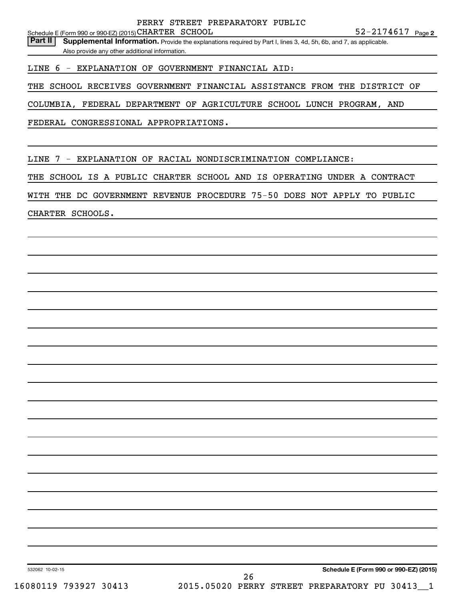Part II | Supplemental Information. Provide the explanations required by Part I, lines 3, 4d, 5h, 6b, and 7, as applicable. Also provide any other additional information.

LINE 6 - EXPLANATION OF GOVERNMENT FINANCIAL AID:

THE SCHOOL RECEIVES GOVERNMENT FINANCIAL ASSISTANCE FROM THE DISTRICT OF

COLUMBIA, FEDERAL DEPARTMENT OF AGRICULTURE SCHOOL LUNCH PROGRAM, AND

FEDERAL CONGRESSIONAL APPROPRIATIONS.

LINE 7 - EXPLANATION OF RACIAL NONDISCRIMINATION COMPLIANCE:

THE SCHOOL IS A PUBLIC CHARTER SCHOOL AND IS OPERATING UNDER A CONTRACT

WITH THE DC GOVERNMENT REVENUE PROCEDURE 75-50 DOES NOT APPLY TO PUBLIC

CHARTER SCHOOLS.

**Schedule E (Form 990 or 990-EZ) (2015)**

532062 10-02-15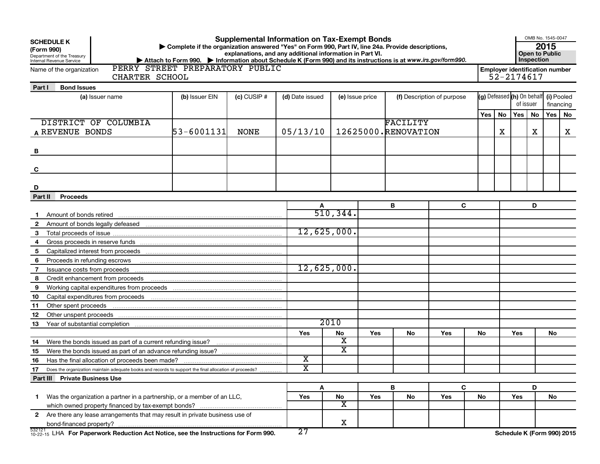| <b>Supplemental Information on Tax-Exempt Bonds</b><br><b>SCHEDULE K</b><br>Complete if the organization answered "Yes" on Form 990, Part IV, line 24a. Provide descriptions,<br>(Form 990)<br>explanations, and any additional information in Part VI.<br>Department of the Treasury<br>Internal Revenue Service<br>> Attach to Form 990. > Information about Schedule K (Form 990) and its instructions is at www.irs.gov/form990. |                                 |  |                         |                               |     |                            | OMB No. 1545-0047<br>2015<br><b>Open to Public</b><br>Inspection |     |                                                     |     |                         |     |    |
|--------------------------------------------------------------------------------------------------------------------------------------------------------------------------------------------------------------------------------------------------------------------------------------------------------------------------------------------------------------------------------------------------------------------------------------|---------------------------------|--|-------------------------|-------------------------------|-----|----------------------------|------------------------------------------------------------------|-----|-----------------------------------------------------|-----|-------------------------|-----|----|
| Name of the organization<br>CHARTER SCHOOL                                                                                                                                                                                                                                                                                                                                                                                           | PERRY STREET PREPARATORY PUBLIC |  |                         |                               |     |                            |                                                                  |     | <b>Employer identification number</b><br>52-2174617 |     |                         |     |    |
| <b>Bond Issues</b><br>Part I                                                                                                                                                                                                                                                                                                                                                                                                         |                                 |  |                         |                               |     |                            |                                                                  |     |                                                     |     |                         |     |    |
| (a) Issuer name                                                                                                                                                                                                                                                                                                                                                                                                                      | (b) Issuer EIN<br>$(c)$ CUSIP # |  | (d) Date issued         | (e) Issue price               |     | (f) Description of purpose |                                                                  |     | (g) Defeased (h) On behalf<br>of issuer             |     | (i) Pooled<br>financing |     |    |
|                                                                                                                                                                                                                                                                                                                                                                                                                                      |                                 |  |                         |                               |     |                            |                                                                  | Yes | No                                                  | Yes | No                      | Yes | No |
| DISTRICT OF COLUMBIA                                                                                                                                                                                                                                                                                                                                                                                                                 |                                 |  |                         |                               |     | <b>FACILITY</b>            |                                                                  |     |                                                     |     |                         |     |    |
| 53-6001131<br>A REVENUE BONDS<br><b>NONE</b>                                                                                                                                                                                                                                                                                                                                                                                         |                                 |  | 05/13/10                |                               |     | 12625000.RENOVATION        |                                                                  | X   |                                                     | x   |                         | X   |    |
|                                                                                                                                                                                                                                                                                                                                                                                                                                      |                                 |  |                         |                               |     |                            |                                                                  |     |                                                     |     |                         |     |    |
| В                                                                                                                                                                                                                                                                                                                                                                                                                                    |                                 |  |                         |                               |     |                            |                                                                  |     |                                                     |     |                         |     |    |
|                                                                                                                                                                                                                                                                                                                                                                                                                                      |                                 |  |                         |                               |     |                            |                                                                  |     |                                                     |     |                         |     |    |
| C                                                                                                                                                                                                                                                                                                                                                                                                                                    |                                 |  |                         |                               |     |                            |                                                                  |     |                                                     |     |                         |     |    |
|                                                                                                                                                                                                                                                                                                                                                                                                                                      |                                 |  |                         |                               |     |                            |                                                                  |     |                                                     |     |                         |     |    |
| D                                                                                                                                                                                                                                                                                                                                                                                                                                    |                                 |  |                         |                               |     |                            |                                                                  |     |                                                     |     |                         |     |    |
| <b>Proceeds</b><br>Part II                                                                                                                                                                                                                                                                                                                                                                                                           |                                 |  |                         |                               |     |                            |                                                                  |     |                                                     |     |                         |     |    |
|                                                                                                                                                                                                                                                                                                                                                                                                                                      |                                 |  |                         | 510, 344.                     |     | В                          | C                                                                |     |                                                     |     | D                       |     |    |
|                                                                                                                                                                                                                                                                                                                                                                                                                                      |                                 |  |                         |                               |     |                            |                                                                  |     |                                                     |     |                         |     |    |
| 3                                                                                                                                                                                                                                                                                                                                                                                                                                    |                                 |  | 12,625,000.             |                               |     |                            |                                                                  |     |                                                     |     |                         |     |    |
| 4                                                                                                                                                                                                                                                                                                                                                                                                                                    |                                 |  |                         |                               |     |                            |                                                                  |     |                                                     |     |                         |     |    |
| 5                                                                                                                                                                                                                                                                                                                                                                                                                                    |                                 |  |                         |                               |     |                            |                                                                  |     |                                                     |     |                         |     |    |
| Proceeds in refunding escrows material content and the extra material content and the extra material content and the extra material content and the Proceeds in refunding escrews<br>6                                                                                                                                                                                                                                               |                                 |  |                         |                               |     |                            |                                                                  |     |                                                     |     |                         |     |    |
| 7                                                                                                                                                                                                                                                                                                                                                                                                                                    |                                 |  | 12,625,000.             |                               |     |                            |                                                                  |     |                                                     |     |                         |     |    |
| 8                                                                                                                                                                                                                                                                                                                                                                                                                                    |                                 |  |                         |                               |     |                            |                                                                  |     |                                                     |     |                         |     |    |
| 9                                                                                                                                                                                                                                                                                                                                                                                                                                    |                                 |  |                         |                               |     |                            |                                                                  |     |                                                     |     |                         |     |    |
| 10                                                                                                                                                                                                                                                                                                                                                                                                                                   |                                 |  |                         |                               |     |                            |                                                                  |     |                                                     |     |                         |     |    |
| Other spent proceeds<br>11                                                                                                                                                                                                                                                                                                                                                                                                           |                                 |  |                         |                               |     |                            |                                                                  |     |                                                     |     |                         |     |    |
| 12                                                                                                                                                                                                                                                                                                                                                                                                                                   |                                 |  |                         |                               |     |                            |                                                                  |     |                                                     |     |                         |     |    |
| 13                                                                                                                                                                                                                                                                                                                                                                                                                                   |                                 |  |                         | 2010                          |     |                            |                                                                  |     |                                                     |     |                         |     |    |
|                                                                                                                                                                                                                                                                                                                                                                                                                                      |                                 |  | Yes                     | No                            | Yes | No                         | Yes                                                              | No  |                                                     | Yes |                         | No  |    |
| 14                                                                                                                                                                                                                                                                                                                                                                                                                                   |                                 |  |                         | х                             |     |                            |                                                                  |     |                                                     |     |                         |     |    |
| 15                                                                                                                                                                                                                                                                                                                                                                                                                                   |                                 |  |                         | $\overline{\textbf{x}}$       |     |                            |                                                                  |     |                                                     |     |                         |     |    |
| Has the final allocation of proceeds been made?<br>16                                                                                                                                                                                                                                                                                                                                                                                |                                 |  | х                       |                               |     |                            |                                                                  |     |                                                     |     |                         |     |    |
| 17<br>Does the organization maintain adequate books and records to support the final allocation of proceeds?                                                                                                                                                                                                                                                                                                                         |                                 |  | $\overline{\textbf{x}}$ |                               |     |                            |                                                                  |     |                                                     |     |                         |     |    |
| Part III Private Business Use                                                                                                                                                                                                                                                                                                                                                                                                        |                                 |  |                         |                               |     |                            |                                                                  |     |                                                     |     |                         |     |    |
|                                                                                                                                                                                                                                                                                                                                                                                                                                      |                                 |  | A                       |                               |     | B                          | C                                                                |     |                                                     |     | D                       |     |    |
| Was the organization a partner in a partnership, or a member of an LLC,<br>1                                                                                                                                                                                                                                                                                                                                                         |                                 |  | Yes                     | No<br>$\overline{\mathbf{X}}$ | Yes | No                         | Yes                                                              | No  |                                                     | Yes |                         | No  |    |
|                                                                                                                                                                                                                                                                                                                                                                                                                                      |                                 |  |                         |                               |     |                            |                                                                  |     |                                                     |     |                         |     |    |
| 2 Are there any lease arrangements that may result in private business use of                                                                                                                                                                                                                                                                                                                                                        |                                 |  |                         | X                             |     |                            |                                                                  |     |                                                     |     |                         |     |    |
| $^{532721}_{10-22-15}$ LHA For Paperwork Reduction Act Notice, see the Instructions for Form 990.                                                                                                                                                                                                                                                                                                                                    |                                 |  | $\overline{27}$         |                               |     |                            |                                                                  |     | Schedule K (Form 990) 2015                          |     |                         |     |    |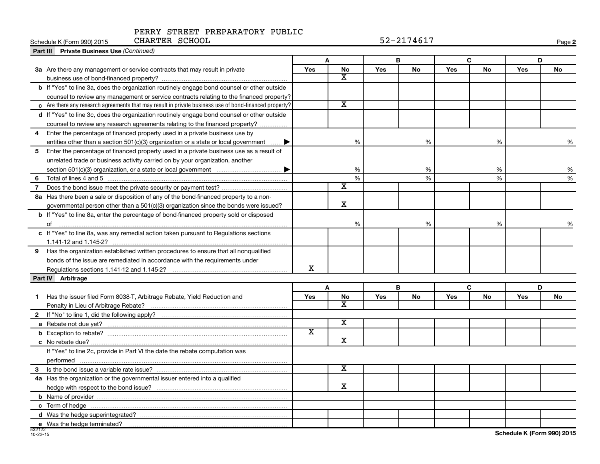#### PERRY STREET PREPARATORY PUBLIC CHARTER SCHOOL 52-2174617

| CHARTER SCHOOL<br>Schedule K (Form 990) 2015                                                                   | 52-2174617              |                             |            |    |     |    |            |    |
|----------------------------------------------------------------------------------------------------------------|-------------------------|-----------------------------|------------|----|-----|----|------------|----|
| Part III Private Business Use (Continued)                                                                      |                         |                             |            |    |     |    |            |    |
|                                                                                                                | Α                       |                             | B          |    | C   |    | D          |    |
| 3a Are there any management or service contracts that may result in private                                    | Yes                     | No                          | Yes        | No | Yes | No | <b>Yes</b> | No |
|                                                                                                                |                         | X                           |            |    |     |    |            |    |
| <b>b</b> If "Yes" to line 3a, does the organization routinely engage bond counsel or other outside             |                         |                             |            |    |     |    |            |    |
| counsel to review any management or service contracts relating to the financed property?                       |                         |                             |            |    |     |    |            |    |
| $\,$ $\,$ Are there any research agreements that may result in private business use of bond-financed property? |                         | $\overline{\textnormal{x}}$ |            |    |     |    |            |    |
| d If "Yes" to line 3c, does the organization routinely engage bond counsel or other outside                    |                         |                             |            |    |     |    |            |    |
| counsel to review any research agreements relating to the financed property?                                   |                         |                             |            |    |     |    |            |    |
| Enter the percentage of financed property used in a private business use by<br>4                               |                         |                             |            |    |     |    |            |    |
| entities other than a section 501(c)(3) organization or a state or local government $\ldots$ .                 |                         | %                           |            | %  |     | %  |            | %  |
| Enter the percentage of financed property used in a private business use as a result of<br>5                   |                         |                             |            |    |     |    |            |    |
| unrelated trade or business activity carried on by your organization, another                                  |                         |                             |            |    |     |    |            |    |
|                                                                                                                |                         | %                           |            | %  |     | %  |            | %  |
|                                                                                                                |                         | $\%$                        |            | %  |     | %  |            | %  |
| 7                                                                                                              |                         | $\overline{\texttt{x}}$     |            |    |     |    |            |    |
| 8a Has there been a sale or disposition of any of the bond-financed property to a non-                         |                         |                             |            |    |     |    |            |    |
| governmental person other than a 501(c)(3) organization since the bonds were issued?                           |                         | $\mathbf X$                 |            |    |     |    |            |    |
| <b>b</b> If "Yes" to line 8a, enter the percentage of bond-financed property sold or disposed                  |                         |                             |            |    |     |    |            |    |
| of                                                                                                             |                         | %                           |            | %  |     | %  |            | %  |
| c If "Yes" to line 8a, was any remedial action taken pursuant to Regulations sections                          |                         |                             |            |    |     |    |            |    |
|                                                                                                                |                         |                             |            |    |     |    |            |    |
| Has the organization established written procedures to ensure that all nongualified<br>9                       |                         |                             |            |    |     |    |            |    |
| bonds of the issue are remediated in accordance with the requirements under                                    |                         |                             |            |    |     |    |            |    |
|                                                                                                                | х                       |                             |            |    |     |    |            |    |
| Part IV Arbitrage                                                                                              |                         |                             |            |    |     |    |            |    |
|                                                                                                                |                         | A                           |            | B  |     | C  | D          |    |
| Has the issuer filed Form 8038-T, Arbitrage Rebate, Yield Reduction and<br>1.                                  | Yes                     | No                          | <b>Yes</b> | No | Yes | No | <b>Yes</b> | No |
|                                                                                                                |                         | x                           |            |    |     |    |            |    |
| $\mathbf{2}$                                                                                                   |                         |                             |            |    |     |    |            |    |
|                                                                                                                |                         | $\overline{\mathbf{X}}$     |            |    |     |    |            |    |
|                                                                                                                | $\overline{\mathbf{x}}$ |                             |            |    |     |    |            |    |
|                                                                                                                |                         | $\overline{\textnormal{x}}$ |            |    |     |    |            |    |
| If "Yes" to line 2c, provide in Part VI the date the rebate computation was                                    |                         |                             |            |    |     |    |            |    |
|                                                                                                                |                         |                             |            |    |     |    |            |    |
| 3                                                                                                              |                         | x                           |            |    |     |    |            |    |
| 4a Has the organization or the governmental issuer entered into a qualified                                    |                         |                             |            |    |     |    |            |    |
|                                                                                                                |                         | х                           |            |    |     |    |            |    |
|                                                                                                                |                         |                             |            |    |     |    |            |    |
|                                                                                                                |                         |                             |            |    |     |    |            |    |
|                                                                                                                |                         |                             |            |    |     |    |            |    |
| e Was the hedge terminated?                                                                                    |                         |                             |            |    |     |    |            |    |

**Schedule K (Form 990) 2015**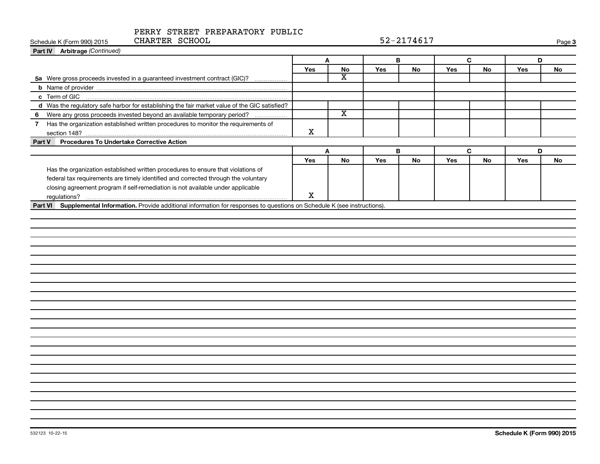| CHARTER SCHOOL<br>Schedule K (Form 990) 2015                                                                                  |     |                         |     | 52-2174617 |     |           |     | Page 3 |
|-------------------------------------------------------------------------------------------------------------------------------|-----|-------------------------|-----|------------|-----|-----------|-----|--------|
| Part IV Arbitrage (Continued)                                                                                                 |     |                         |     |            |     |           |     |        |
|                                                                                                                               | A   |                         | В   |            | C   |           | D   |        |
|                                                                                                                               | Yes | No                      | Yes | No         | Yes | No        | Yes | No     |
| 5a Were gross proceeds invested in a guaranteed investment contract (GIC)?                                                    |     | х                       |     |            |     |           |     |        |
|                                                                                                                               |     |                         |     |            |     |           |     |        |
|                                                                                                                               |     |                         |     |            |     |           |     |        |
| d Was the regulatory safe harbor for establishing the fair market value of the GIC satisfied?                                 |     |                         |     |            |     |           |     |        |
| Were any gross proceeds invested beyond an available temporary period?<br>6                                                   |     | $\overline{\textbf{X}}$ |     |            |     |           |     |        |
| 7 Has the organization established written procedures to monitor the requirements of                                          | X   |                         |     |            |     |           |     |        |
| Procedures To Undertake Corrective Action<br>Part V                                                                           |     |                         |     |            |     |           |     |        |
|                                                                                                                               | A   |                         |     | B          |     | C         | D   |        |
|                                                                                                                               | Yes | <b>No</b>               | Yes | <b>No</b>  | Yes | <b>No</b> | Yes | No     |
| Has the organization established written procedures to ensure that violations of                                              |     |                         |     |            |     |           |     |        |
| federal tax requirements are timely identified and corrected through the voluntary                                            |     |                         |     |            |     |           |     |        |
| closing agreement program if self-remediation is not available under applicable                                               |     |                         |     |            |     |           |     |        |
|                                                                                                                               | х   |                         |     |            |     |           |     |        |
| Part VI Supplemental Information. Provide additional information for responses to questions on Schedule K (see instructions). |     |                         |     |            |     |           |     |        |
|                                                                                                                               |     |                         |     |            |     |           |     |        |
|                                                                                                                               |     |                         |     |            |     |           |     |        |
|                                                                                                                               |     |                         |     |            |     |           |     |        |
|                                                                                                                               |     |                         |     |            |     |           |     |        |
|                                                                                                                               |     |                         |     |            |     |           |     |        |
|                                                                                                                               |     |                         |     |            |     |           |     |        |
|                                                                                                                               |     |                         |     |            |     |           |     |        |
|                                                                                                                               |     |                         |     |            |     |           |     |        |
|                                                                                                                               |     |                         |     |            |     |           |     |        |
|                                                                                                                               |     |                         |     |            |     |           |     |        |
|                                                                                                                               |     |                         |     |            |     |           |     |        |
|                                                                                                                               |     |                         |     |            |     |           |     |        |
|                                                                                                                               |     |                         |     |            |     |           |     |        |
|                                                                                                                               |     |                         |     |            |     |           |     |        |
|                                                                                                                               |     |                         |     |            |     |           |     |        |
|                                                                                                                               |     |                         |     |            |     |           |     |        |
|                                                                                                                               |     |                         |     |            |     |           |     |        |
|                                                                                                                               |     |                         |     |            |     |           |     |        |
|                                                                                                                               |     |                         |     |            |     |           |     |        |
|                                                                                                                               |     |                         |     |            |     |           |     |        |
|                                                                                                                               |     |                         |     |            |     |           |     |        |
|                                                                                                                               |     |                         |     |            |     |           |     |        |
|                                                                                                                               |     |                         |     |            |     |           |     |        |
|                                                                                                                               |     |                         |     |            |     |           |     |        |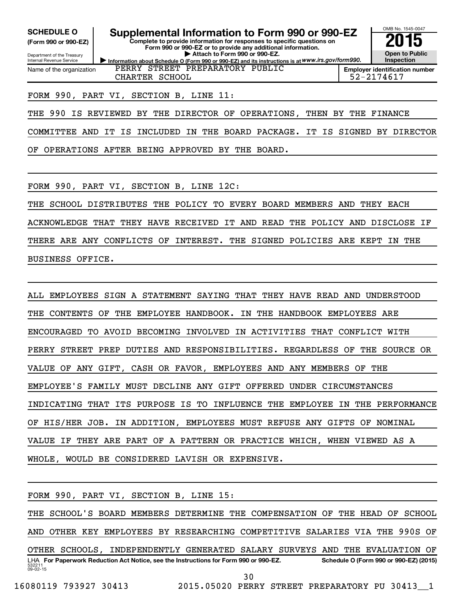**(Form 990 or 990-EZ)**

Department of the Treasury Internal Revenue Service Name of the organization

SCHEDULE O **Supplemental Information to Form 990 or 990-EZ** 2015<br>(Form 990 or 990-EZ) Complete to provide information for responses to specific questions on

**Information about Schedule O (Form 990 or 990-EZ) and its instructions is at WWW.irs.gov/form990. Complete to provide information for responses to specific questions on Form 990 or 990-EZ or to provide any additional information. | Attach to Form 990 or 990-EZ.**



OMB No. 1545-0047

**Employer identification number** CHARTER SCHOOL 52-2174617

#### FORM 990, PART VI, SECTION B, LINE 11:

THE 990 IS REVIEWED BY THE DIRECTOR OF OPERATIONS, THEN BY THE FINANCE

PERRY STREET PREPARATORY PUBLIC

COMMITTEE AND IT IS INCLUDED IN THE BOARD PACKAGE. IT IS SIGNED BY DIRECTOR

OF OPERATIONS AFTER BEING APPROVED BY THE BOARD.

FORM 990, PART VI, SECTION B, LINE 12C:

THE SCHOOL DISTRIBUTES THE POLICY TO EVERY BOARD MEMBERS AND THEY EACH

ACKNOWLEDGE THAT THEY HAVE RECEIVED IT AND READ THE POLICY AND DISCLOSE IF

THERE ARE ANY CONFLICTS OF INTEREST. THE SIGNED POLICIES ARE KEPT IN THE BUSINESS OFFICE.

ALL EMPLOYEES SIGN A STATEMENT SAYING THAT THEY HAVE READ AND UNDERSTOOD THE CONTENTS OF THE EMPLOYEE HANDBOOK. IN THE HANDBOOK EMPLOYEES ARE ENCOURAGED TO AVOID BECOMING INVOLVED IN ACTIVITIES THAT CONFLICT WITH PERRY STREET PREP DUTIES AND RESPONSIBILITIES. REGARDLESS OF THE SOURCE OR VALUE OF ANY GIFT, CASH OR FAVOR, EMPLOYEES AND ANY MEMBERS OF THE EMPLOYEE'S FAMILY MUST DECLINE ANY GIFT OFFERED UNDER CIRCUMSTANCES INDICATING THAT ITS PURPOSE IS TO INFLUENCE THE EMPLOYEE IN THE PERFORMANCE OF HIS/HER JOB. IN ADDITION, EMPLOYEES MUST REFUSE ANY GIFTS OF NOMINAL VALUE IF THEY ARE PART OF A PATTERN OR PRACTICE WHICH, WHEN VIEWED AS A WHOLE, WOULD BE CONSIDERED LAVISH OR EXPENSIVE.

FORM 990, PART VI, SECTION B, LINE 15:

532211  $09 - 02 - 15$ LHA For Paperwork Reduction Act Notice, see the Instructions for Form 990 or 990-EZ. Schedule O (Form 990 or 990-EZ) (2015) THE SCHOOL'S BOARD MEMBERS DETERMINE THE COMPENSATION OF THE HEAD OF SCHOOL AND OTHER KEY EMPLOYEES BY RESEARCHING COMPETITIVE SALARIES VIA THE 990S OF OTHER SCHOOLS, INDEPENDENTLY GENERATED SALARY SURVEYS AND THE EVALUATION OF 30